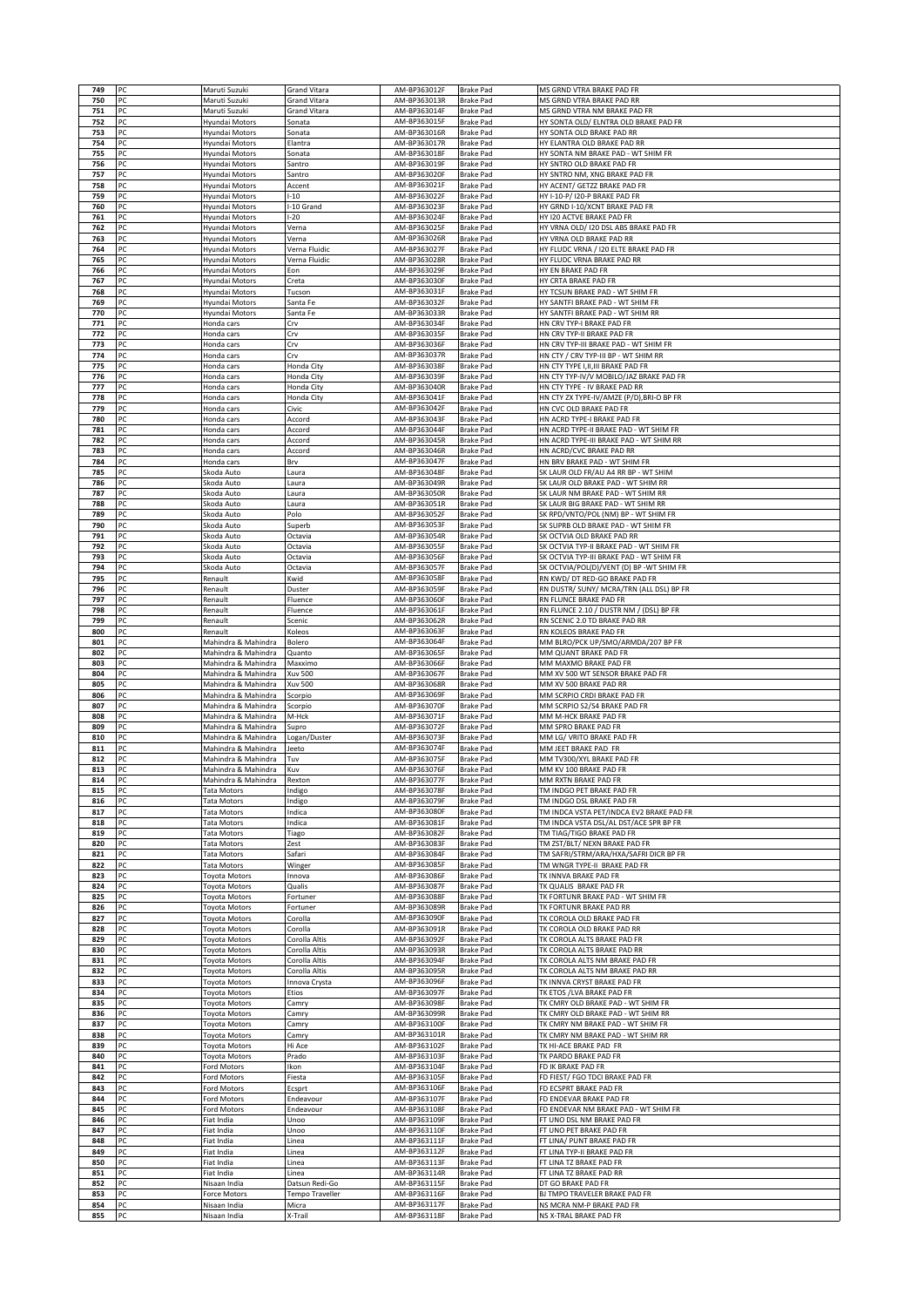| 750        | PC       | Maruti Suzuki                              | <b>Grand Vitara</b>            | AM-BP363012F                 | <b>Brake Pad</b>                     | MS GRND VTRA BRAKE PAD FR                                                         |
|------------|----------|--------------------------------------------|--------------------------------|------------------------------|--------------------------------------|-----------------------------------------------------------------------------------|
|            | PC       | Maruti Suzuki                              | Grand Vitara                   | AM-BP363013R                 | <b>Brake Pad</b>                     | MS GRND VTRA BRAKE PAD RR                                                         |
| 751        | PC       | Maruti Suzuki                              | Grand Vitara                   | AM-BP363014F                 | <b>Brake Pad</b>                     | MS GRND VTRA NM BRAKE PAD FR                                                      |
| 752        | PC       | Hyundai Motors                             | Sonata                         | AM-BP363015F                 | <b>Brake Pad</b>                     | HY SONTA OLD/ ELNTRA OLD BRAKE PAD FR                                             |
| 753        | PC       | Hyundai Motors                             | Sonata                         | AM-BP363016R                 | <b>Brake Pad</b>                     | HY SONTA OLD BRAKE PAD RR                                                         |
| 754        | PC       | Hyundai Motors                             | Elantra                        | AM-BP363017R                 | <b>Brake Pad</b>                     | HY ELANTRA OLD BRAKE PAD RR                                                       |
| 755<br>756 | PC<br>PC | Hyundai Motors<br>Hyundai Motors           | Sonata<br>Santro               | AM-BP363018F<br>AM-BP363019F | <b>Brake Pad</b><br><b>Brake Pad</b> | HY SONTA NM BRAKE PAD - WT SHIM FR<br>HY SNTRO OLD BRAKE PAD FR                   |
| 757        | PC       | Hyundai Motors                             | Santro                         | AM-BP363020F                 | <b>Brake Pad</b>                     | HY SNTRO NM, XNG BRAKE PAD FR                                                     |
| 758        | PC       | Hyundai Motors                             | Accent                         | AM-BP363021F                 | <b>Brake Pad</b>                     | HY ACENT/ GETZZ BRAKE PAD FR                                                      |
| 759        | PC       | Hyundai Motors                             | $-10$                          | AM-BP363022F                 | <b>Brake Pad</b>                     | HY I-10-P/ I20-P BRAKE PAD FR                                                     |
| 760        | PC       | Hyundai Motors                             | -10 Grand                      | AM-BP363023F                 | <b>Brake Pad</b>                     | HY GRND I-10/XCNT BRAKE PAD FR                                                    |
| 761        | PC       | Hyundai Motors                             | $-20$                          | AM-BP363024F                 | <b>Brake Pad</b>                     | HY I20 ACTVE BRAKE PAD FR                                                         |
| 762        | PC       | Hyundai Motors                             | Verna                          | AM-BP363025F                 | <b>Brake Pad</b>                     | HY VRNA OLD/ 120 DSL ABS BRAKE PAD FR                                             |
| 763        | PC       | Hyundai Motors                             | Verna                          | AM-BP363026R                 | <b>Brake Pad</b>                     | HY VRNA OLD BRAKE PAD RR                                                          |
| 764<br>765 | PC<br>PC | Hyundai Motors<br>Hyundai Motors           | Verna Fluidic<br>Verna Fluidic | AM-BP363027F<br>AM-BP363028R | <b>Brake Pad</b><br><b>Brake Pad</b> | HY FLUDC VRNA / I20 ELTE BRAKE PAD FR<br>HY FLUDC VRNA BRAKE PAD RR               |
| 766        | PC       | Hyundai Motors                             | Eon                            | AM-BP363029F                 | <b>Brake Pad</b>                     | HY EN BRAKE PAD FR                                                                |
| 767        | PC       | Hyundai Motors                             | Creta                          | AM-BP363030F                 | <b>Brake Pad</b>                     | HY CRTA BRAKE PAD FR                                                              |
| 768        | PC       | Hyundai Motors                             | Tucson                         | AM-BP363031F                 | <b>Brake Pad</b>                     | HY TCSUN BRAKE PAD - WT SHIM FR                                                   |
| 769        | PC       | Hyundai Motors                             | Santa Fe                       | AM-BP363032F                 | <b>Brake Pad</b>                     | HY SANTFI BRAKE PAD - WT SHIM FR                                                  |
| 770        | PC       | Hyundai Motors                             | Santa Fe                       | AM-BP363033R                 | <b>Brake Pad</b>                     | HY SANTFI BRAKE PAD - WT SHIM RR                                                  |
| 771        | PC       | Honda cars                                 | Crv                            | AM-BP363034F                 | <b>Brake Pad</b>                     | HN CRV TYP-I BRAKE PAD FR                                                         |
| 772<br>773 | PC<br>PC | Honda cars<br>Honda cars                   | Crv<br>Crv                     | AM-BP363035F<br>AM-BP363036F | <b>Brake Pad</b><br><b>Brake Pad</b> | HN CRV TYP-II BRAKE PAD FR<br>HN CRV TYP-III BRAKE PAD - WT SHIM FR               |
| 774        | PC       | Honda cars                                 | Crv                            | AM-BP363037R                 | <b>Brake Pad</b>                     | HN CTY / CRV TYP-III BP - WT SHIM RR                                              |
| 775        | PC       | Honda cars                                 | Honda City                     | AM-BP363038F                 | <b>Brake Pad</b>                     | HN CTY TYPE I,II,III BRAKE PAD FR                                                 |
| 776        | PC       | Honda cars                                 | Honda City                     | AM-BP363039F                 | <b>Brake Pad</b>                     | HN CTY TYP-IV/V MOBILO/JAZ BRAKE PAD FR                                           |
| 777        | PC       | Honda cars                                 | Honda City                     | AM-BP363040R                 | <b>Brake Pad</b>                     | HN CTY TYPE - IV BRAKE PAD RR                                                     |
| 778        | PC       | Honda cars                                 | Honda City                     | AM-BP363041F                 | <b>Brake Pad</b>                     | HN CTY ZX TYPE-IV/AMZE (P/D),BRI-O BP FR                                          |
| 779        | PC       | Honda cars                                 | Civic                          | AM-BP363042F                 | <b>Brake Pad</b>                     | HN CVC OLD BRAKE PAD FR                                                           |
| 780        | PC<br>PC | Honda cars                                 | Accord                         | AM-BP363043F                 | <b>Brake Pad</b>                     | HN ACRD TYPE-I BRAKE PAD FR                                                       |
| 781<br>782 | PC       | Honda cars<br>Honda cars                   | Accord<br>Accord               | AM-BP363044F<br>AM-BP363045R | <b>Brake Pad</b><br><b>Brake Pad</b> | HN ACRD TYPE-II BRAKE PAD - WT SHIM FR<br>HN ACRD TYPE-III BRAKE PAD - WT SHIM RR |
| 783        | PC       | Honda cars                                 | Accord                         | AM-BP363046R                 | <b>Brake Pad</b>                     | HN ACRD/CVC BRAKE PAD RR                                                          |
| 784        | PC       | Honda cars                                 | Brv                            | AM-BP363047F                 | <b>Brake Pad</b>                     | HN BRV BRAKE PAD - WT SHIM FR                                                     |
| 785        | PC       | Skoda Auto                                 | Laura                          | AM-BP363048F                 | Brake Pad                            | SK LAUR OLD FR/AU A4 RR BP - WT SHIM                                              |
| 786        | PC       | Skoda Auto                                 | Laura                          | AM-BP363049R                 | <b>Brake Pad</b>                     | SK LAUR OLD BRAKE PAD - WT SHIM RR                                                |
| 787        | PC       | Skoda Auto                                 | Laura                          | AM-BP363050R                 | <b>Brake Pad</b>                     | SK LAUR NM BRAKE PAD - WT SHIM RR                                                 |
| 788        | PC       | Skoda Auto                                 | Laura                          | AM-BP363051R                 | <b>Brake Pad</b>                     | SK LAUR BIG BRAKE PAD - WT SHIM RR                                                |
| 789        | PC       | Skoda Auto                                 | Polo                           | AM-BP363052F<br>AM-BP363053F | <b>Brake Pad</b>                     | SK RPD/VNTO/POL (NM) BP - WT SHIM FR                                              |
| 790<br>791 | PC<br>PC | Skoda Auto<br>Skoda Auto                   | Superb<br>Octavia              | AM-BP363054R                 | <b>Brake Pad</b><br><b>Brake Pad</b> | SK SUPRB OLD BRAKE PAD - WT SHIM FR<br>SK OCTVIA OLD BRAKE PAD RR                 |
| 792        | PC       | Skoda Auto                                 | Octavia                        | AM-BP363055F                 | <b>Brake Pad</b>                     | SK OCTVIA TYP-II BRAKE PAD - WT SHIM FR                                           |
| 793        | PC       | Skoda Auto                                 | Octavia                        | AM-BP363056F                 | <b>Brake Pad</b>                     | SK OCTVIA TYP-III BRAKE PAD - WT SHIM FR                                          |
| 794        | PC       | Skoda Auto                                 | Octavia                        | AM-BP363057F                 | <b>Brake Pad</b>                     | SK OCTVIA/POL(D)/VENT (D) BP -WT SHIM FR                                          |
| 795        | PC       | Renault                                    | Kwid                           | AM-BP363058F                 | <b>Brake Pad</b>                     | RN KWD/ DT RED-GO BRAKE PAD FR                                                    |
| 796        | PC       | Renault                                    | Duster                         | AM-BP363059F                 | <b>Brake Pad</b>                     | RN DUSTR/ SUNY/ MCRA/TRN (ALL DSL) BP FR                                          |
| 797        | PC       | Renault                                    | Fluence                        | AM-BP363060F                 | <b>Brake Pad</b>                     | RN FLUNCE BRAKE PAD FR                                                            |
| 798        | PC<br>PC | Renault                                    | Fluence                        | AM-BP363061F                 | <b>Brake Pad</b>                     | RN FLUNCE 2.10 / DUSTR NM / (DSL) BP FR                                           |
| 799<br>800 | PC       | Renault<br>Renault                         | Scenic<br>Koleos               | AM-BP363062R<br>AM-BP363063F | <b>Brake Pad</b><br><b>Brake Pad</b> | RN SCENIC 2.0 TD BRAKE PAD RR<br>RN KOLEOS BRAKE PAD FR                           |
| 801        | PC       | Mahindra & Mahindra                        | Bolero                         | AM-BP363064F                 | <b>Brake Pad</b>                     | MM BLRO/PCK UP/SMO/ARMDA/207 BP FR                                                |
| 802        | PC       | Mahindra & Mahindra                        | Quanto                         | AM-BP363065F                 | <b>Brake Pad</b>                     | MM QUANT BRAKE PAD FR                                                             |
| 803        | PC       | Mahindra & Mahindra                        | Maxximo                        | AM-BP363066F                 | <b>Brake Pad</b>                     | MM MAXMO BRAKE PAD FR                                                             |
| 804        | PC       | Mahindra & Mahindra                        | Xuv 500                        | AM-BP363067F                 | <b>Brake Pad</b>                     | MM XV 500 WT SENSOR BRAKE PAD FR                                                  |
| 805        | PC       | Mahindra & Mahindra                        | Xuv 500                        | AM-BP363068R                 | <b>Brake Pad</b>                     | MM XV 500 BRAKE PAD RR                                                            |
| 806<br>807 | PC<br>PC | Mahindra & Mahindra<br>Mahindra & Mahindra | Scorpio<br>Scorpio             | AM-BP363069F<br>AM-BP363070F | <b>Brake Pad</b><br><b>Brake Pad</b> | MM SCRPIO CRDI BRAKE PAD FR<br>MM SCRPIO S2/S4 BRAKE PAD FR                       |
| 808        | PC       | Mahindra & Mahindra                        | M-Hck                          | AM-BP363071F                 | <b>Brake Pad</b>                     | MM M-HCK BRAKE PAD FR                                                             |
|            | PC       | Mahindra & Mahindra                        | Supro                          | AM-BP363072F                 | <b>Brake Pad</b>                     | MM SPRO BRAKE PAD FR                                                              |
| 809        |          |                                            | Logan/Duster                   | AM-BP363073F                 | <b>Brake Pad</b>                     | MM LG/ VRITO BRAKE PAD FR                                                         |
| 810        | PC       | Mahindra & Mahindra                        |                                |                              |                                      |                                                                                   |
| 811        | PC       | Mahindra & Mahindra                        | leeto                          | AM-BP363074F                 | Brake Pad                            | MM JEET BRAKE PAD FR                                                              |
| 812        | PC       | Mahindra & Mahindra                        | Tuv                            | AM-BP363075F                 | <b>Brake Pad</b>                     | MM TV300/XYL BRAKE PAD FR                                                         |
| 813        | PC       | Mahindra & Mahindra                        | Kuv                            | AM-BP363076F                 | <b>Brake Pad</b>                     | MM KV 100 BRAKE PAD FR                                                            |
| 814        |          | Manındra & Manındra                        | Rexton                         | AM-BP363U771                 | Brake Pad                            | MM RXTN BRAKE PAD FR                                                              |
| 815        | PC       | <b>Tata Motors</b>                         | Indigo                         | AM-BP363078F<br>AM-BP363079F | <b>Brake Pad</b>                     | TM INDGO PET BRAKE PAD FR                                                         |
| 816<br>817 | PC<br>PC | <b>Tata Motors</b><br><b>Tata Motors</b>   | Indigo<br>Indica               | AM-BP363080F                 | <b>Brake Pad</b><br><b>Brake Pad</b> | TM INDGO DSL BRAKE PAD FR<br>TM INDCA VSTA PET/INDCA EV2 BRAKE PAD FR             |
| 818        | PC       | <b>Tata Motors</b>                         | ndica                          | AM-BP363081F                 | <b>Brake Pad</b>                     | TM INDCA VSTA DSL/AL DST/ACE SPR BP FR                                            |
| 819        | PC       | <b>Tata Motors</b>                         | Tiago                          | AM-BP363082F                 | <b>Brake Pad</b>                     | TM TIAG/TIGO BRAKE PAD FR                                                         |
| 820        | PC       | <b>Tata Motors</b>                         | Zest                           | AM-BP363083F                 | <b>Brake Pad</b>                     | TM ZST/BLT/ NEXN BRAKE PAD FR                                                     |
| 821        | PC       | <b>Tata Motors</b>                         | Safari                         | AM-BP363084F                 | <b>Brake Pad</b>                     | TM SAFRI/STRM/ARA/HXA/SAFRI DICR BP FR                                            |
| 822<br>823 | PC<br>PC | <b>Tata Motors</b><br><b>Toyota Motors</b> | Winger<br>Innova               | AM-BP363085F<br>AM-BP363086F | <b>Brake Pad</b><br><b>Brake Pad</b> | TM WNGR TYPE-II BRAKE PAD FR<br>TK INNVA BRAKE PAD FR                             |
| 824        | PC       | <b>Toyota Motors</b>                       | Qualis                         | AM-BP363087F                 | <b>Brake Pad</b>                     | TK QUALIS BRAKE PAD FR                                                            |
| 825        | PC       | Toyota Motors                              | Fortuner                       | AM-BP363088F                 | <b>Brake Pad</b>                     | TK FORTUNR BRAKE PAD - WT SHIM FR                                                 |
| 826        | PC       | <b>Toyota Motors</b>                       | Fortuner                       | AM-BP363089R                 | <b>Brake Pad</b>                     | TK FORTUNR BRAKE PAD RR                                                           |
| 827        | PC       | oyota Motors                               | Corolla                        | AM-BP363090F                 | <b>Brake Pad</b>                     | TK COROLA OLD BRAKE PAD FR                                                        |
| 828        | PC       | <b>Toyota Motors</b>                       | Corolla                        | AM-BP363091R                 | <b>Brake Pad</b>                     | TK COROLA OLD BRAKE PAD RR                                                        |
| 829        | PC       | oyota Motors                               | Corolla Altis                  | AM-BP363092F                 | <b>Brake Pad</b><br><b>Brake Pad</b> | TK COROLA ALTS BRAKE PAD FR<br>TK COROLA ALTS BRAKE PAD RR                        |
| 830<br>831 | PC<br>PC | <b>Toyota Motors</b><br>oyota Motors       | Corolla Altis<br>Corolla Altis | AM-BP363093R<br>AM-BP363094F | <b>Brake Pad</b>                     | TK COROLA ALTS NM BRAKE PAD FR                                                    |
| 832        | PC       | <b>Toyota Motors</b>                       | Corolla Altis                  | AM-BP363095R                 | <b>Brake Pad</b>                     | TK COROLA ALTS NM BRAKE PAD RR                                                    |
| 833        | PC       | <b>Toyota Motors</b>                       | Innova Crysta                  | AM-BP363096F                 | <b>Brake Pad</b>                     | TK INNVA CRYST BRAKE PAD FR                                                       |
| 834        | PC       | <b>Foyota Motors</b>                       | Etios                          | AM-BP363097F                 | <b>Brake Pad</b>                     | TK ETOS / LVA BRAKE PAD FR                                                        |
| 835        | PC       | <b>Toyota Motors</b>                       | Camry                          | AM-BP363098F                 | <b>Brake Pad</b>                     | TK CMRY OLD BRAKE PAD - WT SHIM FR                                                |
| 836        | PC       | <b>Toyota Motors</b>                       | Camry                          | AM-BP363099R                 | <b>Brake Pad</b>                     | TK CMRY OLD BRAKE PAD - WT SHIM RR                                                |
| 837<br>838 | PC<br>PC | <b>Toyota Motors</b><br>Toyota Motors      | Camry<br>Camry                 | AM-BP363100F<br>AM-BP363101R | <b>Brake Pad</b><br><b>Brake Pad</b> | TK CMRY NM BRAKE PAD - WT SHIM FR<br>TK CMRY NM BRAKE PAD - WT SHIM RR            |
| 839        | PC       | <b>Toyota Motors</b>                       | Hi Ace                         | AM-BP363102F                 | <b>Brake Pad</b>                     | TK HI-ACE BRAKE PAD FR                                                            |
| 840        | PC       | <b>Toyota Motors</b>                       | Prado                          | AM-BP363103F                 | <b>Brake Pad</b>                     | TK PARDO BRAKE PAD FR                                                             |
| 841        | PC       | Ford Motors                                | Ikon                           | AM-BP363104F                 | <b>Brake Pad</b>                     | FD IK BRAKE PAD FR                                                                |
| 842        | PC       | ord Motors                                 | Fiesta                         | AM-BP363105F                 | <b>Brake Pad</b>                     | FD FIEST/ FGO TDCI BRAKE PAD FR                                                   |
| 843        | PC       | Ford Motors                                | Ecsprt                         | AM-BP363106F                 | <b>Brake Pad</b>                     | FD ECSPRT BRAKE PAD FR                                                            |
| 844        | PC       | Ford Motors                                | Endeavour                      | AM-BP363107F                 | <b>Brake Pad</b>                     | FD ENDEVAR BRAKE PAD FR                                                           |
| 845<br>846 | PC<br>PC | Ford Motors<br>Fiat India                  | Endeavour<br>Unoo              | AM-BP363108F<br>AM-BP363109F | <b>Brake Pad</b><br><b>Brake Pad</b> | FD ENDEVAR NM BRAKE PAD - WT SHIM FR<br>FT UNO DSL NM BRAKE PAD FR                |
| 847        | PC       | Fiat India                                 | Unoo                           | AM-BP363110F                 | <b>Brake Pad</b>                     | FT UNO PET BRAKE PAD FR                                                           |
| 848        | PC       | Fiat India                                 | Linea                          | AM-BP363111F                 | <b>Brake Pad</b>                     | FT LINA/ PUNT BRAKE PAD FR                                                        |
| 849        | PC       | Fiat India                                 | Linea                          | AM-BP363112F                 | <b>Brake Pad</b>                     | FT LINA TYP-II BRAKE PAD FR                                                       |
| 850        | PC       | Fiat India                                 | Linea                          | AM-BP363113F                 | <b>Brake Pad</b>                     | FT LINA TZ BRAKE PAD FR                                                           |
| 851        | PC       | Fiat India                                 | Linea                          | AM-BP363114R                 | <b>Brake Pad</b>                     | FT LINA TZ BRAKE PAD RR                                                           |
| 852        | PC       | Nisaan India                               | Datsun Redi-Go                 | AM-BP363115F                 | <b>Brake Pad</b>                     | DT GO BRAKE PAD FR                                                                |
| 853        | PC       | Force Motors                               | Tempo Traveller                | AM-BP363116F                 | <b>Brake Pad</b>                     | BJ TMPO TRAVELER BRAKE PAD FR                                                     |
| 854<br>855 | PC<br>PC | Nisaan India<br>Nisaan India               | Micra<br>X-Trail               | AM-BP363117F<br>AM-BP363118F | <b>Brake Pad</b><br><b>Brake Pad</b> | NS MCRA NM-P BRAKE PAD FR<br>NS X-TRAL BRAKE PAD FR                               |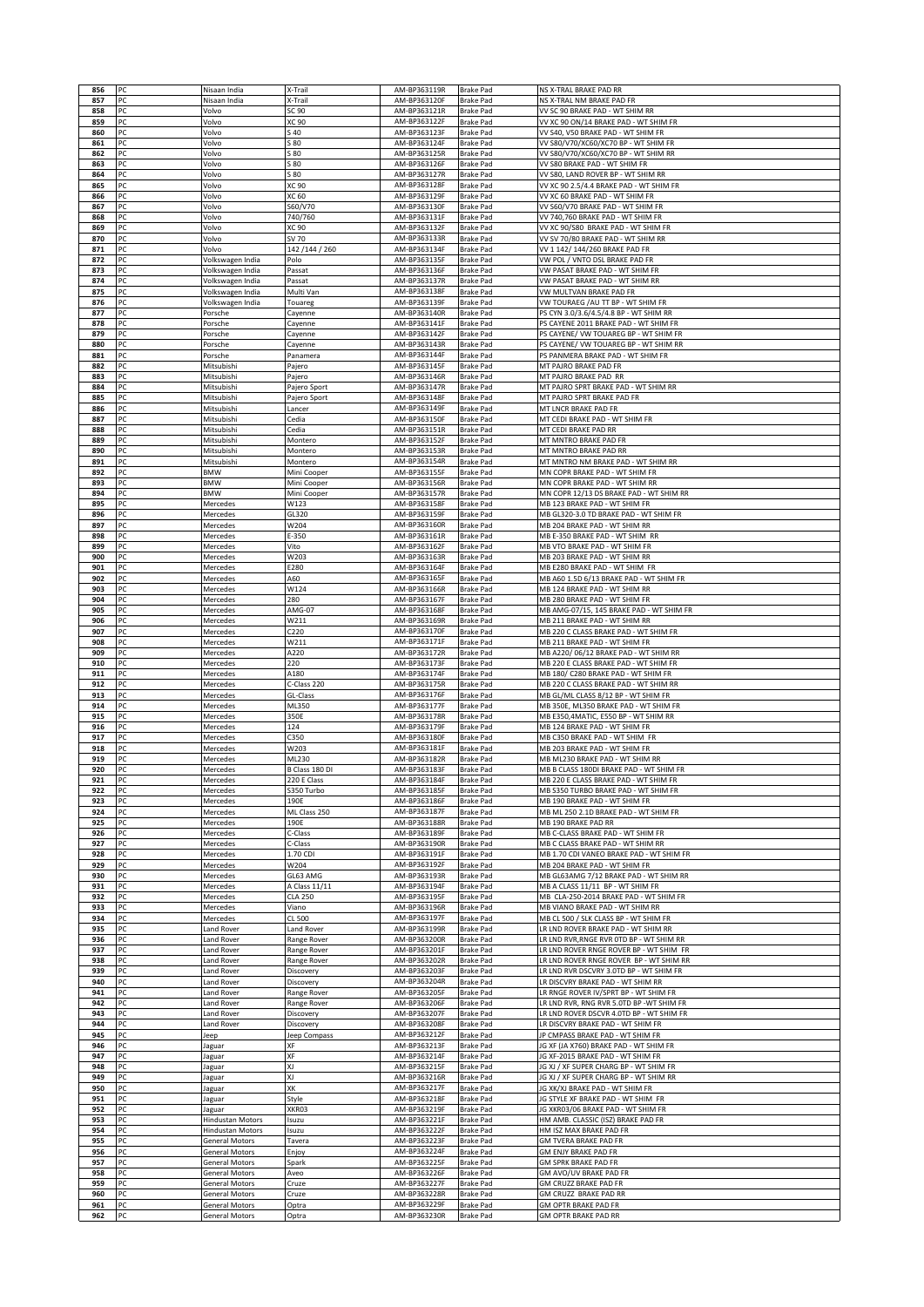| 856        | PC       | Nisaan India                         | X-Trail                  | AM-BP363119R                 | <b>Brake Pad</b>                     | NS X-TRAL BRAKE PAD RR                                                     |
|------------|----------|--------------------------------------|--------------------------|------------------------------|--------------------------------------|----------------------------------------------------------------------------|
| 857        | PC       | Nisaan India                         | X-Trail                  | AM-BP363120F                 | <b>Brake Pad</b>                     | NS X-TRAL NM BRAKE PAD FR                                                  |
| 858        | PC       | Volvo                                | SC 90                    | AM-BP363121R                 | <b>Brake Pad</b>                     | VV SC 90 BRAKE PAD - WT SHIM RR                                            |
| 859        | PC       | Volvo                                | XC 90                    | AM-BP363122F                 | <b>Brake Pad</b>                     | VV XC 90 ON/14 BRAKE PAD - WT SHIM FR                                      |
| 860        | PC       | Volvo                                | S 40                     | AM-BP363123F                 | <b>Brake Pad</b>                     | VV S40, V50 BRAKE PAD - WT SHIM FR                                         |
| 861        | PC       | Volvo                                | 5 80                     | AM-BP363124F                 | <b>Brake Pad</b>                     | VV S80/V70/XC60/XC70 BP - WT SHIM FR                                       |
| 862<br>863 | PC<br>PC | Volvo                                | 5 80<br>5 80             | AM-BP363125R<br>AM-BP363126F | <b>Brake Pad</b><br><b>Brake Pad</b> | VV S80/V70/XC60/XC70 BP - WT SHIM RR<br>VV S80 BRAKE PAD - WT SHIM FR      |
| 864        | PC       | Volvo<br>Volvo                       | 580                      | AM-BP363127R                 | Brake Pad                            | VV S80, LAND ROVER BP - WT SHIM RR                                         |
| 865        | PC       | Volvo                                | XC 90                    | AM-BP363128F                 | <b>Brake Pad</b>                     | VV XC 90 2.5/4.4 BRAKE PAD - WT SHIM FR                                    |
| 866        | PC       | Volvo                                | XC 60                    | AM-BP363129F                 | <b>Brake Pad</b>                     | VV XC 60 BRAKE PAD - WT SHIM FR                                            |
| 867        | PC       | Volvo                                | S60/V70                  | AM-BP363130F                 | <b>Brake Pad</b>                     | VV S60/V70 BRAKE PAD - WT SHIM FR                                          |
| 868        | PC       | Volvo                                | 740/760                  | AM-BP363131F                 | Brake Pad                            | VV 740,760 BRAKE PAD - WT SHIM FR                                          |
| 869        | PC       | Volvo                                | XC 90                    | AM-BP363132F                 | <b>Brake Pad</b>                     | VV XC 90/S80 BRAKE PAD - WT SHIM FR                                        |
| 870        | PC       | Volvo                                | SV 70                    | AM-BP363133R                 | <b>Brake Pad</b>                     | VV SV 70/80 BRAKE PAD - WT SHIM RR                                         |
| 871        | PC       | Volvo                                | 142 / 144 / 260          | AM-BP363134F                 | Brake Pad                            | VV 1 142/144/260 BRAKE PAD FR                                              |
| 872<br>873 | PC<br>PC | Volkswagen India<br>Volkswagen India | Polo<br>Passat           | AM-BP363135F<br>AM-BP363136F | <b>Brake Pad</b><br><b>Brake Pad</b> | VW POL / VNTO DSL BRAKE PAD FR<br>VW PASAT BRAKE PAD - WT SHIM FR          |
| 874        | PC       | Volkswagen India                     | Passat                   | AM-BP363137R                 | <b>Brake Pad</b>                     | VW PASAT BRAKE PAD - WT SHIM RR                                            |
| 875        | PC       | Volkswagen India                     | Multi Van                | AM-BP363138F                 | <b>Brake Pad</b>                     | VW MULTVAN BRAKE PAD FR                                                    |
| 876        | PC       | Volkswagen India                     | Touareg                  | AM-BP363139F                 | <b>Brake Pad</b>                     | VW TOURAEG / AU TT BP - WT SHIM FR                                         |
| 877        | PC       | Porsche                              | Cayenne                  | AM-BP363140R                 | <b>Brake Pad</b>                     | PS CYN 3.0/3.6/4.5/4.8 BP - WT SHIM RR                                     |
| 878        | PC       | Porsche                              | Cayenne                  | AM-BP363141F                 | Brake Pad                            | PS CAYENE 2011 BRAKE PAD - WT SHIM FR                                      |
| 879        | PC       | Porsche                              | Cayenne                  | AM-BP363142F                 | <b>Brake Pad</b>                     | PS CAYENE/ VW TOUAREG BP - WT SHIM FR                                      |
| 880        | PC<br>PC | Porsche                              | Cayenne                  | AM-BP363143R<br>AM-BP363144F | <b>Brake Pad</b>                     | PS CAYENE/ VW TOUAREG BP - WT SHIM RR<br>PS PANMERA BRAKE PAD - WT SHIM FR |
| 881<br>882 | PC       | Porsche<br>Mitsubishi                | Panamera<br>Pajero       | AM-BP363145F                 | Brake Pad<br><b>Brake Pad</b>        | MT PAJRO BRAKE PAD FR                                                      |
| 883        | PC       | Mitsubishi                           | Pajero                   | AM-BP363146R                 | <b>Brake Pad</b>                     | MT PAJRO BRAKE PAD RR                                                      |
| 884        | PC       | Mitsubishi                           | Pajero Sport             | AM-BP363147R                 | Brake Pad                            | MT PAJRO SPRT BRAKE PAD - WT SHIM RR                                       |
| 885        | PC       | Mitsubishi                           | Pajero Sport             | AM-BP363148F                 | Brake Pad                            | MT PAJRO SPRT BRAKE PAD FR                                                 |
| 886        | PC       | Mitsubishi                           | Lancer                   | AM-BP363149F                 | <b>Brake Pad</b>                     | MT LNCR BRAKE PAD FR                                                       |
| 887        | PC       | Mitsubishi                           | Cedia                    | AM-BP363150F                 | <b>Brake Pad</b>                     | MT CEDI BRAKE PAD - WT SHIM FR                                             |
| 888        | PC       | Mitsubishi                           | Cedia                    | AM-BP363151R                 | <b>Brake Pad</b>                     | MT CEDI BRAKE PAD RR                                                       |
| 889<br>890 | PC<br>PC | Mitsubishi                           | Montero                  | AM-BP363152F<br>AM-BP363153R | <b>Brake Pad</b>                     | MT MNTRO BRAKE PAD FR<br>MT MNTRO BRAKE PAD RR                             |
| 891        | PC       | Mitsubishi<br>Mitsubishi             | Montero<br>Montero       | AM-BP363154R                 | <b>Brake Pad</b><br><b>Brake Pad</b> | MT MNTRO NM BRAKE PAD - WT SHIM RR                                         |
| 892        | PC       | <b>BMW</b>                           | Mini Cooper              | AM-BP363155F                 | Brake Pad                            | MN COPR BRAKE PAD - WT SHIM FR                                             |
| 893        | PC       | <b>BMW</b>                           | Mini Cooper              | AM-BP363156R                 | <b>Brake Pad</b>                     | MN COPR BRAKE PAD - WT SHIM RR                                             |
| 894        | PC       | <b>BMW</b>                           | Mini Cooper              | AM-BP363157R                 | <b>Brake Pad</b>                     | MN COPR 12/13 DS BRAKE PAD - WT SHIM RR                                    |
| 895        | PC       | Mercedes                             | W123                     | AM-BP363158F                 | <b>Brake Pad</b>                     | MB 123 BRAKE PAD - WT SHIM FR                                              |
| 896        | PC       | Mercedes                             | GL320                    | AM-BP363159F                 | Brake Pad                            | MB GL320-3.0 TD BRAKE PAD - WT SHIM FR                                     |
| 897        | PC       | Mercedes                             | W204                     | AM-BP363160R                 | <b>Brake Pad</b>                     | MB 204 BRAKE PAD - WT SHIM RR                                              |
| 898        | PC       | Mercedes                             | E-350                    | AM-BP363161R                 | <b>Brake Pad</b>                     | MB E-350 BRAKE PAD - WT SHIM RR                                            |
| 899<br>900 | PC<br>PC | Mercedes<br>Mercedes                 | Vito<br>W203             | AM-BP363162F<br>AM-BP363163R | <b>Brake Pad</b><br><b>Brake Pad</b> | MB VTO BRAKE PAD - WT SHIM FR<br>MB 203 BRAKE PAD - WT SHIM RR             |
| 901        | PC       | Mercedes                             | E280                     | AM-BP363164F                 | <b>Brake Pad</b>                     | MB E280 BRAKE PAD - WT SHIM FR                                             |
| 902        | PC       | Mercedes                             | A60                      | AM-BP363165F                 | <b>Brake Pad</b>                     | MB A60 1.5D 6/13 BRAKE PAD - WT SHIM FR                                    |
| 903        | PC       | Mercedes                             | W124                     | AM-BP363166R                 | Brake Pad                            | MB 124 BRAKE PAD - WT SHIM RR                                              |
| 904        | PC       | Mercedes                             | 280                      | AM-BP363167F                 | <b>Brake Pad</b>                     | MB 280 BRAKE PAD - WT SHIM FR                                              |
| 905        | PC       | Mercedes                             | AMG-07                   | AM-BP363168F                 | <b>Brake Pad</b>                     | MB AMG-07/15, 145 BRAKE PAD - WT SHIM FR                                   |
| 906        | PC       | Mercedes                             | W211                     | AM-BP363169R                 | <b>Brake Pad</b>                     | MB 211 BRAKE PAD - WT SHIM RR                                              |
| 907        | PC       | Mercedes                             | C220                     | AM-BP363170F                 | <b>Brake Pad</b>                     | MB 220 C CLASS BRAKE PAD - WT SHIM FR                                      |
| 908<br>909 | PC<br>PС | Mercedes                             | W211<br>A220             | AM-BP363171F<br>AM-BP363172R | <b>Brake Pad</b><br><b>Brake Pad</b> | MB 211 BRAKE PAD - WT SHIM FR<br>MB A220/06/12 BRAKE PAD - WT SHIM RR      |
| 910        | PC       | Mercedes<br>Mercedes                 | 220                      | AM-BP363173F                 | Brake Pad                            | MB 220 E CLASS BRAKE PAD - WT SHIM FR                                      |
| 911        | PC       | Mercedes                             | A180                     | AM-BP363174F                 | <b>Brake Pad</b>                     | MB 180/ C280 BRAKE PAD - WT SHIM FR                                        |
| 912        | PC       | Mercedes                             | C-Class 220              | AM-BP363175R                 | <b>Brake Pad</b>                     | MB 220 C CLASS BRAKE PAD - WT SHIM RR                                      |
| 913        | PC       | Mercedes                             | GL-Class                 | AM-BP363176F                 | <b>Brake Pad</b>                     | MB GL/ML CLASS 8/12 BP - WT SHIM FR                                        |
| 914        | PC       | Mercedes                             | ML350                    | AM-BP363177F                 | <b>Brake Pad</b>                     | MB 350E, ML350 BRAKE PAD - WT SHIM FR                                      |
| 915        | PC       | Mercedes                             | 350E                     | AM-BP363178R                 | <b>Brake Pad</b>                     | MB E350,4MATIC, E550 BP - WT SHIM RR                                       |
| 916        | PC       | Mercedes                             | 124                      | AM-BP363179F                 | <b>Brake Pad</b>                     | MB 124 BRAKE PAD - WT SHIM FR                                              |
| 917<br>918 | PC<br>PC | Mercedes<br>Mercedes                 | C350<br>W203             | AM-BP363180F<br>AM-BP363181F | Brake Pad<br><b>Brake Pad</b>        | MB C350 BRAKE PAD - WT SHIM FR<br>MB 203 BRAKE PAD - WT SHIM FR            |
| 919        | PC       | Mercedes                             | ML230                    | AM-BP363182R                 | <b>Brake Pad</b>                     | MB ML230 BRAKE PAD - WT SHIM RR                                            |
| 920        | PC       | Mercedes                             | B Class 180 DI           | AM-BP363183F                 | <b>Brake Pad</b>                     | MB B CLASS 180DI BRAKE PAD - WT SHIM FR                                    |
| 921        |          | Mercedes                             | 220 E Class              | AM-BP363184F                 | <b>Brake Pad</b>                     | MB 220 E CLASS BRAKE PAD - WT SHIM FR                                      |
| 922        | PC       | Mercedes                             | S350 Turbo               | AM-BP363185F                 | <b>Brake Pad</b>                     | MB S350 TURBO BRAKE PAD - WT SHIM FR                                       |
| 923        | PC       | Mercedes                             | 190E                     | AM-BP363186F                 | <b>Brake Pad</b>                     | MB 190 BRAKE PAD - WT SHIM FR                                              |
| 924        | PC       | Mercedes                             | ML Class 250<br>190E     | AM-BP363187F<br>AM-BP363188R | <b>Brake Pad</b>                     | MB ML 250 2.1D BRAKE PAD - WT SHIM FR                                      |
| 925<br>926 | PC<br>PC | Mercedes<br>Mercedes                 | C-Class                  | AM-BP363189F                 | Brake Pad<br><b>Brake Pad</b>        | MB 190 BRAKE PAD RR<br>MB C-CLASS BRAKE PAD - WT SHIM FR                   |
| 927        | PC       | Mercedes                             | C-Class                  | AM-BP363190R                 | <b>Brake Pad</b>                     | MB C CLASS BRAKE PAD - WT SHIM RR                                          |
| 928        | PC       | Mercedes                             | 1.70 CDI                 | AM-BP363191F                 | <b>Brake Pad</b>                     | MB 1.70 CDI VANEO BRAKE PAD - WT SHIM FR                                   |
| 929        | PC       | Mercedes                             | W204                     | AM-BP363192F                 | <b>Brake Pad</b>                     | MB 204 BRAKE PAD - WT SHIM FR                                              |
| 930        | PC       | Mercedes                             | GL63 AMG                 | AM-BP363193R                 | <b>Brake Pad</b>                     | MB GL63AMG 7/12 BRAKE PAD - WT SHIM RR                                     |
| 931        | PC       | Mercedes                             | A Class 11/11            | AM-BP363194F                 | <b>Brake Pad</b>                     | MB A CLASS 11/11 BP - WT SHIM FR                                           |
| 932<br>933 | PC<br>PC | Mercedes<br>Mercedes                 | <b>CLA 250</b><br>Viano  | AM-BP363195F<br>AM-BP363196R | <b>Brake Pad</b><br><b>Brake Pad</b> | MB CLA-250-2014 BRAKE PAD - WT SHIM FR<br>MB VIANO BRAKE PAD - WT SHIM RR  |
| 934        | PC       | Mercedes                             | CL 500                   | AM-BP363197F                 | <b>Brake Pad</b>                     | MB CL 500 / SLK CLASS BP - WT SHIM FR                                      |
| 935        | PC       | Land Rover                           | Land Rover               | AM-BP363199R                 | <b>Brake Pad</b>                     | LR LND ROVER BRAKE PAD - WT SHIM RR                                        |
| 936        | PC       | Land Rover                           | Range Rover              | AM-BP363200R                 | <b>Brake Pad</b>                     | LR LND RVR, RNGE RVR OTD BP - WT SHIM RR                                   |
| 937        | PC       | Land Rover                           | Range Rover              | AM-BP363201F                 | <b>Brake Pad</b>                     | LR LND ROVER RNGE ROVER BP - WT SHIM FR                                    |
| 938        | PC       | Land Rover                           | Range Rover              | AM-BP363202R                 | <b>Brake Pad</b>                     | LR LND ROVER RNGE ROVER BP - WT SHIM RR                                    |
| 939        | PC       | Land Rover                           | Discovery                | AM-BP363203F                 | <b>Brake Pad</b>                     | LR LND RVR DSCVRY 3.0TD BP - WT SHIM FR                                    |
| 940<br>941 | PC<br>PC | Land Rover<br>Land Rover             | Discovery<br>Range Rover | AM-BP363204R<br>AM-BP363205F | <b>Brake Pad</b><br><b>Brake Pad</b> | LR DISCVRY BRAKE PAD - WT SHIM RR<br>LR RNGE ROVER IV/SPRT BP - WT SHIM FR |
| 942        | PC       | Land Rover                           | Range Rover              | AM-BP363206F                 | <b>Brake Pad</b>                     | LR LND RVR, RNG RVR 5.0TD BP -WT SHIM FR                                   |
| 943        | PC       | Land Rover                           | Discovery                | AM-BP363207F                 | <b>Brake Pad</b>                     | LR LND ROVER DSCVR 4.0TD BP - WT SHIM FR                                   |
| 944        | PC       | Land Rover                           | Discovery                | AM-BP363208F                 | <b>Brake Pad</b>                     | LR DISCVRY BRAKE PAD - WT SHIM FR                                          |
| 945        | PC       | Jeep                                 | Jeep Compass             | AM-BP363212F                 | <b>Brake Pad</b>                     | JP CMPASS BRAKE PAD - WT SHIM FR                                           |
| 946        | PC       | Jaguar                               | ХF                       | AM-BP363213F                 | <b>Brake Pad</b>                     | JG XF (JA X760) BRAKE PAD - WT SHIM FR                                     |
| 947        | PC       | Jaguar                               | XF                       | AM-BP363214F                 | <b>Brake Pad</b>                     | JG XF-2015 BRAKE PAD - WT SHIM FR                                          |
| 948        | PC       | Jaguar                               | ΧJ<br>ΧJ                 | AM-BP363215F                 | <b>Brake Pad</b>                     | JG XJ / XF SUPER CHARG BP - WT SHIM FR                                     |
| 949<br>950 | PC<br>PC | Jaguar<br>Jaguar                     | XК                       | AM-BP363216R<br>AM-BP363217F | <b>Brake Pad</b><br><b>Brake Pad</b> | JG XJ / XF SUPER CHARG BP - WT SHIM RR<br>JG XK/XJ BRAKE PAD - WT SHIM FR  |
| 951        | PC       | Jaguar                               | Style                    | AM-BP363218F                 | <b>Brake Pad</b>                     | JG STYLE XF BRAKE PAD - WT SHIM FR                                         |
| 952        | PC       | Jaguar                               | XKR03                    | AM-BP363219F                 | <b>Brake Pad</b>                     | JG XKR03/06 BRAKE PAD - WT SHIM FR                                         |
| 953        | PC       | <b>Hindustan Motors</b>              | Isuzu                    | AM-BP363221F                 | <b>Brake Pad</b>                     | HM AMB. CLASSIC (ISZ) BRAKE PAD FR                                         |
| 954        | PC       | <b>Hindustan Motors</b>              | Isuzu                    | AM-BP363222F                 | <b>Brake Pad</b>                     | HM ISZ MAX BRAKE PAD FR                                                    |
| 955        | PC       | <b>General Motors</b>                | Tavera                   | AM-BP363223F                 | <b>Brake Pad</b>                     | GM TVERA BRAKE PAD FR                                                      |
| 956        | PC       | <b>General Motors</b>                | Enjoy                    | AM-BP363224F                 | <b>Brake Pad</b>                     | GM ENJY BRAKE PAD FR                                                       |
| 957        | PC<br>PC | General Motors                       | Spark                    | AM-BP363225F<br>AM-BP363226F | <b>Brake Pad</b>                     | GM SPRK BRAKE PAD FR                                                       |
| 958<br>959 | PC       | General Motors<br>General Motors     | Aveo<br>Cruze            | AM-BP363227F                 | <b>Brake Pad</b><br><b>Brake Pad</b> | GM AVO/UV BRAKE PAD FR<br>GM CRUZZ BRAKE PAD FR                            |
| 960        | PC       | General Motors                       | Cruze                    | AM-BP363228R                 | <b>Brake Pad</b>                     | GM CRUZZ BRAKE PAD RR                                                      |
| 961        | PC       | <b>General Motors</b>                | Optra                    | AM-BP363229F                 | Brake Pad                            | GM OPTR BRAKE PAD FR                                                       |
| 962        | PC       | General Motors                       | Optra                    | AM-BP363230R                 | <b>Brake Pad</b>                     | GM OPTR BRAKE PAD RR                                                       |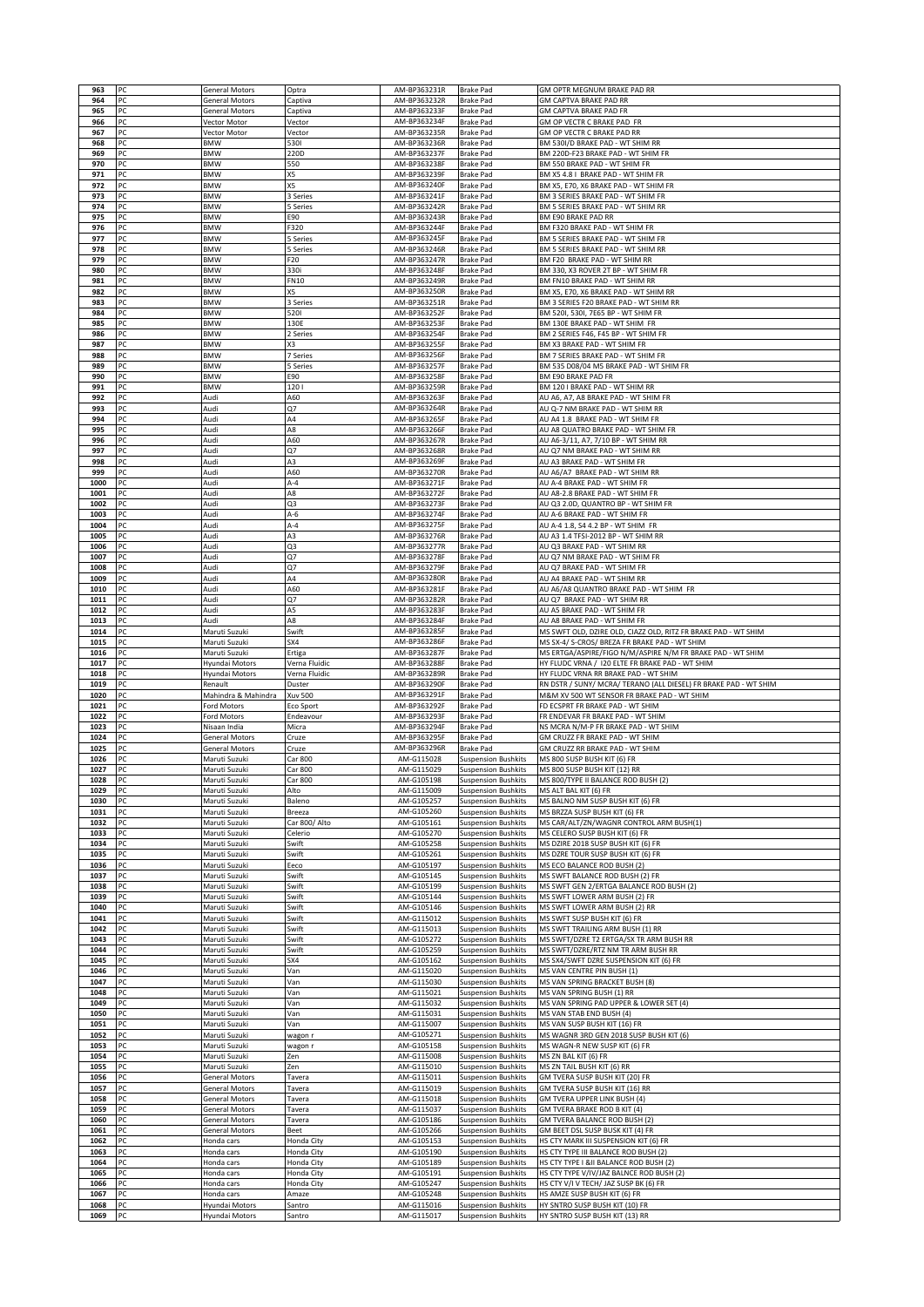| 963          | PC       | General Motors                          | Optra                    | AM-BP363231R                 | <b>Brake Pad</b>                                         | GM OPTR MEGNUM BRAKE PAD RR                                                                                 |
|--------------|----------|-----------------------------------------|--------------------------|------------------------------|----------------------------------------------------------|-------------------------------------------------------------------------------------------------------------|
| 964<br>965   | PC<br>PC | General Motors<br>General Motors        | Captiva<br>Captiva       | AM-BP363232R<br>AM-BP363233F | <b>Brake Pad</b><br><b>Brake Pad</b>                     | GM CAPTVA BRAKE PAD RR<br>GM CAPTVA BRAKE PAD FR                                                            |
| 966          | PC       | Vector Motor                            | Vector                   | AM-BP363234F                 | <b>Brake Pad</b>                                         | GM OP VECTR C BRAKE PAD FR                                                                                  |
| 967          | PC       | Vector Motor                            | Vector                   | AM-BP363235R                 | <b>Brake Pad</b>                                         | GM OP VECTR C BRAKE PAD RR                                                                                  |
| 968          | PC<br>PC | <b>BMW</b><br><b>BMW</b>                | 5301<br>220D             | AM-BP363236R                 | <b>Brake Pad</b>                                         | BM 530I/D BRAKE PAD - WT SHIM RR                                                                            |
| 969<br>970   | PC       | <b>BMW</b>                              | 550                      | AM-BP363237F<br>AM-BP363238F | <b>Brake Pad</b><br><b>Brake Pad</b>                     | BM 220D-F23 BRAKE PAD - WT SHIM FR<br>BM 550 BRAKE PAD - WT SHIM FR                                         |
| 971          | PC       | <b>BMW</b>                              | X5                       | AM-BP363239F                 | <b>Brake Pad</b>                                         | BM X5 4.8   BRAKE PAD - WT SHIM FR                                                                          |
| 972          | PC       | <b>BMW</b>                              | X5                       | AM-BP363240F                 | <b>Brake Pad</b>                                         | BM X5, E70, X6 BRAKE PAD - WT SHIM FR                                                                       |
| 973<br>974   | PC<br>PC | <b>BMW</b><br><b>BMW</b>                | 3 Series<br>5 Series     | AM-BP363241F<br>AM-BP363242R | <b>Brake Pad</b><br><b>Brake Pad</b>                     | BM 3 SERIES BRAKE PAD - WT SHIM FR<br>BM 5 SERIES BRAKE PAD - WT SHIM RR                                    |
| 975          | PC       | BMW                                     | E90                      | AM-BP363243R                 | <b>Brake Pad</b>                                         | BM E90 BRAKE PAD RR                                                                                         |
| 976          | PC       | <b>BMW</b>                              | F320                     | AM-BP363244F                 | <b>Brake Pad</b>                                         | BM F320 BRAKE PAD - WT SHIM FR                                                                              |
| 977<br>978   | PC<br>PC | <b>BMW</b><br><b>BMW</b>                | 5 Series<br>5 Series     | AM-BP363245F<br>AM-BP363246R | <b>Brake Pad</b><br><b>Brake Pad</b>                     | BM 5 SERIES BRAKE PAD - WT SHIM FR<br>BM 5 SERIES BRAKE PAD - WT SHIM RR                                    |
| 979          | PC       | BMW                                     | F20                      | AM-BP363247R                 | <b>Brake Pad</b>                                         | BM F20 BRAKE PAD - WT SHIM RR                                                                               |
| 980          | PC       | BMW                                     | 330i                     | AM-BP363248F                 | <b>Brake Pad</b>                                         | BM 330, X3 ROVER 2T BP - WT SHIM FR                                                                         |
| 981<br>982   | PC<br>PC | BMW<br>BMW                              | <b>FN10</b><br>X5        | AM-BP363249R<br>AM-BP363250R | <b>Brake Pad</b><br><b>Brake Pad</b>                     | BM FN10 BRAKE PAD - WT SHIM RR<br>BM X5, E70, X6 BRAKE PAD - WT SHIM RR                                     |
| 983          | PC       | <b>BMW</b>                              | 3 Series                 | AM-BP363251R                 | <b>Brake Pad</b>                                         | BM 3 SERIES F20 BRAKE PAD - WT SHIM RR                                                                      |
| 984          | PC       | <b>BMW</b>                              | 5201                     | AM-BP363252F                 | <b>Brake Pad</b>                                         | BM 5201, 5301, 7E65 BP - WT SHIM FR                                                                         |
| 985<br>986   | PC<br>PC | <b>BMW</b><br><b>BMW</b>                | 130E<br>2 Series         | AM-BP363253F<br>AM-BP363254F | <b>Brake Pad</b><br><b>Brake Pad</b>                     | BM 130E BRAKE PAD - WT SHIM FR<br>BM 2 SERIES F46, F45 BP - WT SHIM FR                                      |
| 987          | PC       | <b>BMW</b>                              | X3                       | AM-BP363255F                 | <b>Brake Pad</b>                                         | BM X3 BRAKE PAD - WT SHIM FR                                                                                |
| 988          | PC       | <b>BMW</b>                              | 7 Series                 | AM-BP363256F                 | <b>Brake Pad</b>                                         | BM 7 SERIES BRAKE PAD - WT SHIM FR                                                                          |
| 989          | PC<br>PC | BMW<br><b>BMW</b>                       | 5 Series<br>E90          | AM-BP363257F                 | <b>Brake Pad</b>                                         | BM 535 D08/04 M5 BRAKE PAD - WT SHIM FR                                                                     |
| 990<br>991   | PC       | BMW                                     | 1201                     | AM-BP363258F<br>AM-BP363259R | <b>Brake Pad</b><br><b>Brake Pad</b>                     | BM E90 BRAKE PAD FR<br>BM 120 I BRAKE PAD - WT SHIM RR                                                      |
| 992          | PC       | Audi                                    | A60                      | AM-BP363263F                 | <b>Brake Pad</b>                                         | AU A6, A7, A8 BRAKE PAD - WT SHIM FR                                                                        |
| 993          | PC       | Audi                                    | Q7                       | AM-BP363264R                 | <b>Brake Pad</b>                                         | AU Q-7 NM BRAKE PAD - WT SHIM RR                                                                            |
| 994<br>995   | PC<br>PC | Audi<br>Audi                            | A4<br>A8                 | AM-BP363265F<br>AM-BP363266F | <b>Brake Pad</b><br><b>Brake Pad</b>                     | AU A4 1.8 BRAKE PAD - WT SHIM FR<br>AU A8 QUATRO BRAKE PAD - WT SHIM FR                                     |
| 996          | PC       | Audi                                    | A60                      | AM-BP363267R                 | <b>Brake Pad</b>                                         | AU A6-3/11, A7, 7/10 BP - WT SHIM RR                                                                        |
| 997          | PC       | Audi                                    | Q7                       | AM-BP363268R                 | <b>Brake Pad</b>                                         | AU Q7 NM BRAKE PAD - WT SHIM RR                                                                             |
| 998<br>999   | PC<br>PC | Audi<br>Audi                            | A3<br>A60                | AM-BP363269F<br>AM-BP363270R | <b>Brake Pad</b><br><b>Brake Pad</b>                     | AU A3 BRAKE PAD - WT SHIM FR<br>AU A6/A7 BRAKE PAD - WT SHIM RR                                             |
| 1000         | PC       | Audi                                    | $A-4$                    | AM-BP363271F                 | <b>Brake Pad</b>                                         | AU A-4 BRAKE PAD - WT SHIM FR                                                                               |
| 1001         | PC       | Audi                                    | A8                       | AM-BP363272F                 | <b>Brake Pad</b>                                         | AU A8-2.8 BRAKE PAD - WT SHIM FR                                                                            |
| 1002         | PC<br>PC | Audi                                    | Q3<br>$A-6$              | AM-BP363273F                 | <b>Brake Pad</b>                                         | AU Q3 2.0D, QUANTRO BP - WT SHIM FR                                                                         |
| 1003<br>1004 | PC       | Audi<br>Audi                            | $A-4$                    | AM-BP363274F<br>AM-BP363275F | <b>Brake Pad</b><br><b>Brake Pad</b>                     | AU A-6 BRAKE PAD - WT SHIM FR<br>AU A-4 1.8, S4 4.2 BP - WT SHIM FR                                         |
| 1005         | PC       | Audi                                    | A3                       | AM-BP363276R                 | <b>Brake Pad</b>                                         | AU A3 1.4 TFSI-2012 BP - WT SHIM RR                                                                         |
| 1006         | PC       | Audi                                    | Q3                       | AM-BP363277R                 | <b>Brake Pad</b>                                         | AU Q3 BRAKE PAD - WT SHIM RR                                                                                |
| 1007<br>1008 | PC<br>PC | Audi<br>Audi                            | Q7<br>Q7                 | AM-BP363278F<br>AM-BP363279F | <b>Brake Pad</b><br><b>Brake Pad</b>                     | AU Q7 NM BRAKE PAD - WT SHIM FR<br>AU Q7 BRAKE PAD - WT SHIM FR                                             |
| 1009         | PC       | Audi                                    | A4                       | AM-BP363280R                 | <b>Brake Pad</b>                                         | AU A4 BRAKE PAD - WT SHIM RR                                                                                |
| 1010         | PC       | Audi                                    | A60                      | AM-BP363281F                 | <b>Brake Pad</b>                                         | AU A6/A8 QUANTRO BRAKE PAD - WT SHIM FR                                                                     |
| 1011<br>1012 | PC<br>PC | Audi<br>Audi                            | Q7<br>A5                 | AM-BP363282R<br>AM-BP363283F | <b>Brake Pad</b><br><b>Brake Pad</b>                     | AU Q7 BRAKE PAD - WT SHIM RR<br>AU A5 BRAKE PAD - WT SHIM FR                                                |
| 1013         | PC       | Audi                                    | A8                       | AM-BP363284F                 | <b>Brake Pad</b>                                         | AU A8 BRAKE PAD - WT SHIM FR                                                                                |
| 1014         | PC       | Maruti Suzuki                           | Swift                    | AM-BP363285F                 | <b>Brake Pad</b>                                         | MS SWFT OLD, DZIRE OLD, CIAZZ OLD, RITZ FR BRAKE PAD - WT SHIM                                              |
| 1015<br>1016 | PC<br>PC | Maruti Suzuki<br>Maruti Suzuki          | SX4<br>Ertiga            | AM-BP363286F<br>AM-BP363287F | <b>Brake Pad</b><br><b>Brake Pad</b>                     | MS SX-4/ S-CROS/ BREZA FR BRAKE PAD - WT SHIM<br>MS ERTGA/ASPIRE/FIGO N/M/ASPIRE N/M FR BRAKE PAD - WT SHIM |
| 1017         | PC       | Hyundai Motors                          | Verna Fluidic            | AM-BP363288F                 | <b>Brake Pad</b>                                         | HY FLUDC VRNA / 120 ELTE FR BRAKE PAD - WT SHIM                                                             |
|              |          |                                         |                          |                              |                                                          |                                                                                                             |
| 1018         | PC       | Hyundai Motors                          | Verna Fluidic            | AM-BP363289R                 | <b>Brake Pad</b>                                         | HY FLUDC VRNA RR BRAKE PAD - WT SHIM                                                                        |
| 1019         | PC       | Renault                                 | Duster                   | AM-BP363290F                 | <b>Brake Pad</b>                                         | RN DSTR / SUNY/ MCRA/ TERANO (ALL DIESEL) FR BRAKE PAD - WT SHIM                                            |
| 1020<br>1021 | PC       | Mahindra & Mahindra                     | <b>Xuv 500</b>           | AM-BP363291F<br>AM-BP363292F | <b>Brake Pad</b>                                         | M&M XV 500 WT SENSOR FR BRAKE PAD - WT SHIM<br>FD ECSPRT FR BRAKE PAD - WT SHIM                             |
| 1022         | PC<br>PC | Ford Motors<br>ord Motors               | Eco Sport<br>Endeavour   | AM-BP363293F                 | <b>Brake Pad</b><br><b>Brake Pad</b>                     | FR ENDEVAR FR BRAKE PAD - WT SHIM                                                                           |
| 1023         | PC       | Nisaan India                            | Micra                    | AM-BP363294F                 | <b>Brake Pad</b>                                         | NS MCRA N/M-P FR BRAKE PAD - WT SHIM                                                                        |
| 1024<br>1025 | PC<br>PC | General Motors<br><b>General Motors</b> | Cruze<br>Cruze           | AM-BP363295F<br>AM-BP363296R | <b>Brake Pad</b><br><b>Brake Pad</b>                     | GM CRUZZ FR BRAKE PAD - WT SHIM<br>GM CRUZZ RR BRAKE PAD - WT SHIM                                          |
| 1026         | PC       | Maruti Suzuki                           | Car 800                  | AM-G115028                   | <b>Suspension Bushkits</b>                               | MS 800 SUSP BUSH KIT (6) FR                                                                                 |
| 1027         | PC       | Maruti Suzuki                           | Car 800                  | AM-G115029                   | <b>Suspension Bushkits</b>                               | MS 800 SUSP BUSH KIT (12) RR                                                                                |
| 1028         |          | Vlaruti Suzuki                          | `ar 80                   | AM-G105198                   | Suspension Bushkits                                      | MS 800/TYPE II BALANCE ROD BUSH (2                                                                          |
| 1029<br>1030 | PC<br>PC | Maruti Suzuki<br>Maruti Suzuki          | Alto<br>Baleno           | AM-G115009<br>AM-G105257     | <b>Suspension Bushkits</b><br><b>Suspension Bushkits</b> | MS ALT BAL KIT (6) FR<br>MS BALNO NM SUSP BUSH KIT (6) FR                                                   |
| 1031         | PC       | Maruti Suzuki                           | Breeza                   | AM-G105260                   | <b>Suspension Bushkits</b>                               | MS BRZZA SUSP BUSH KIT (6) FR                                                                               |
| 1032<br>1033 | PC<br>PC | Maruti Suzuki<br>Maruti Suzuki          | Car 800/ Alto<br>Celerio | AM-G105161<br>AM-G105270     | <b>Suspension Bushkits</b><br><b>Suspension Bushkits</b> | MS CAR/ALT/ZN/WAGNR CONTROL ARM BUSH(1)<br>MS CELERO SUSP BUSH KIT (6) FR                                   |
| 1034         | PC       | Maruti Suzuki                           | Swift                    | AM-G105258                   | <b>Suspension Bushkits</b>                               | MS DZIRE 2018 SUSP BUSH KIT (6) FR                                                                          |
| 1035         | PC       | Maruti Suzuki                           | Swift                    | AM-G105261                   | <b>Suspension Bushkits</b>                               | MS DZRE TOUR SUSP BUSH KIT (6) FR                                                                           |
| 1036<br>1037 | PC<br>PC | Maruti Suzuki<br>Maruti Suzuki          | Eeco<br>Swift            | AM-G105197<br>AM-G105145     | <b>Suspension Bushkits</b><br><b>Suspension Bushkits</b> | MS ECO BALANCE ROD BUSH (2)<br>MS SWFT BALANCE ROD BUSH (2) FR                                              |
| 1038         | PC       | Maruti Suzuki                           | Swift                    | AM-G105199                   | Suspension Bushkits                                      | MS SWFT GEN 2/ERTGA BALANCE ROD BUSH (2)                                                                    |
| 1039         | PC       | Maruti Suzuki                           | Swift                    | AM-G105144                   | <b>Suspension Bushkits</b>                               | MS SWFT LOWER ARM BUSH (2) FR                                                                               |
| 1040<br>1041 | PC<br>PC | Maruti Suzuki<br>Maruti Suzuki          | Swift<br>Swift           | AM-G105146<br>AM-G115012     | <b>Suspension Bushkits</b><br><b>Suspension Bushkits</b> | MS SWFT LOWER ARM BUSH (2) RR<br>MS SWFT SUSP BUSH KIT (6) FR                                               |
| 1042         | PC       | Maruti Suzuki                           | Swift                    | AM-G115013                   | <b>Suspension Bushkits</b>                               | MS SWFT TRAILING ARM BUSH (1) RR                                                                            |
| 1043         | PC       | Maruti Suzuki                           | Swift                    | AM-G105272                   | <b>Suspension Bushkits</b>                               | MS SWFT/DZRE T2 ERTGA/SX TR ARM BUSH RR                                                                     |
| 1044         | PC<br>PC | Maruti Suzuki                           | Swift                    | AM-G105259                   | <b>Suspension Bushkits</b>                               | MS SWFT/DZRE/RTZ NM TR ARM BUSH RR<br>MS SX4/SWFT DZRE SUSPENSION KIT (6) FR                                |
| 1045<br>1046 | PC       | Maruti Suzuki<br>Maruti Suzuki          | SX4<br>Van               | AM-G105162<br>AM-G115020     | <b>Suspension Bushkits</b><br>Suspension Bushkits        | MS VAN CENTRE PIN BUSH (1)                                                                                  |
| 1047         | PC       | Maruti Suzuki                           | Van                      | AM-G115030                   | <b>Suspension Bushkits</b>                               | MS VAN SPRING BRACKET BUSH (8)                                                                              |
| 1048         | PC       | Maruti Suzuki                           | Van                      | AM-G115021                   | <b>Suspension Bushkits</b>                               | MS VAN SPRING BUSH (1) RR                                                                                   |
| 1049<br>1050 | PC<br>PC | Maruti Suzuki<br>Maruti Suzuki          | Van<br>Van               | AM-G115032<br>AM-G115031     | <b>Suspension Bushkits</b><br><b>Suspension Bushkits</b> | MS VAN SPRING PAD UPPER & LOWER SET (4)<br>MS VAN STAB END BUSH (4)                                         |
| 1051         | PC       | Maruti Suzuki                           | Van                      | AM-G115007                   | <b>Suspension Bushkits</b>                               | MS VAN SUSP BUSH KIT (16) FR                                                                                |
| 1052         | PC       | Maruti Suzuki                           | wagon r                  | AM-G105271                   | <b>Suspension Bushkits</b>                               | MS WAGNR 3RD GEN 2018 SUSP BUSH KIT (6)                                                                     |
| 1053<br>1054 | PC<br>PC | Maruti Suzuki<br>Maruti Suzuki          | wagon i<br>Zen           | AM-G105158<br>AM-G115008     | <b>Suspension Bushkits</b><br><b>Suspension Bushkits</b> | MS WAGN-R NEW SUSP KIT (6) FR<br>MS ZN BAL KIT (6) FR                                                       |
| 1055         | PC       | Maruti Suzuki                           | Zen                      | AM-G115010                   | <b>Suspension Bushkits</b>                               | MS ZN TAIL BUSH KIT (6) RR                                                                                  |
| 1056         | PC       | General Motors                          | Tavera                   | AM-G115011                   | <b>Suspension Bushkits</b>                               | GM TVERA SUSP BUSH KIT (20) FR                                                                              |
| 1057<br>1058 | PC<br>PC | <b>General Motors</b><br>General Motors | Tavera<br>Tavera         | AM-G115019<br>AM-G115018     | <b>Suspension Bushkits</b><br><b>Suspension Bushkits</b> | GM TVERA SUSP BUSH KIT (16) RR<br>GM TVERA UPPER LINK BUSH (4)                                              |
| 1059         | PC       | General Motors                          | Tavera                   | AM-G115037                   | <b>Suspension Bushkits</b>                               | GM TVERA BRAKE ROD B KIT (4)                                                                                |
| 1060         | PC       | General Motors                          | Tavera                   | AM-G105186                   | Suspension Bushkits                                      | GM TVERA BALANCE ROD BUSH (2)                                                                               |
| 1061<br>1062 | PC<br>PC | General Motors<br>Honda cars            | Beet<br>Honda City       | AM-G105266<br>AM-G105153     | <b>Suspension Bushkits</b><br><b>Suspension Bushkits</b> | GM BEET DSL SUSP BUSK KIT (4) FR<br>HS CTY MARK III SUSPENSION KIT (6) FR                                   |
| 1063         | PC       | Honda cars                              | Honda City               | AM-G105190                   | <b>Suspension Bushkits</b>                               | HS CTY TYPE III BALANCE ROD BUSH (2)                                                                        |
| 1064         | PC       | Honda cars                              | Honda City               | AM-G105189                   | Suspension Bushkits                                      | HS CTY TYPE I &II BALANCE ROD BUSH (2)                                                                      |
| 1065         | PC       | Honda cars                              | Honda City               | AM-G105191                   | <b>Suspension Bushkits</b>                               | HS CTY TYPE V/IV/JAZ BALNCE ROD BUSH (2)                                                                    |
| 1066<br>1067 | PC<br>PC | londa cars<br>Honda cars                | Honda City<br>Amaze      | AM-G105247<br>AM-G105248     | <b>Suspension Bushkits</b><br><b>Suspension Bushkits</b> | HS CTY V/I V TECH/ JAZ SUSP BK (6) FR<br>HS AMZE SUSP BUSH KIT (6) FR                                       |
| 1068<br>1069 | PC<br>PC | Hyundai Motors<br>Hyundai Motors        | Santro<br>Santro         | AM-G115016<br>AM-G115017     | <b>Suspension Bushkits</b><br><b>Suspension Bushkits</b> | HY SNTRO SUSP BUSH KIT (10) FR<br>HY SNTRO SUSP BUSH KIT (13) RR                                            |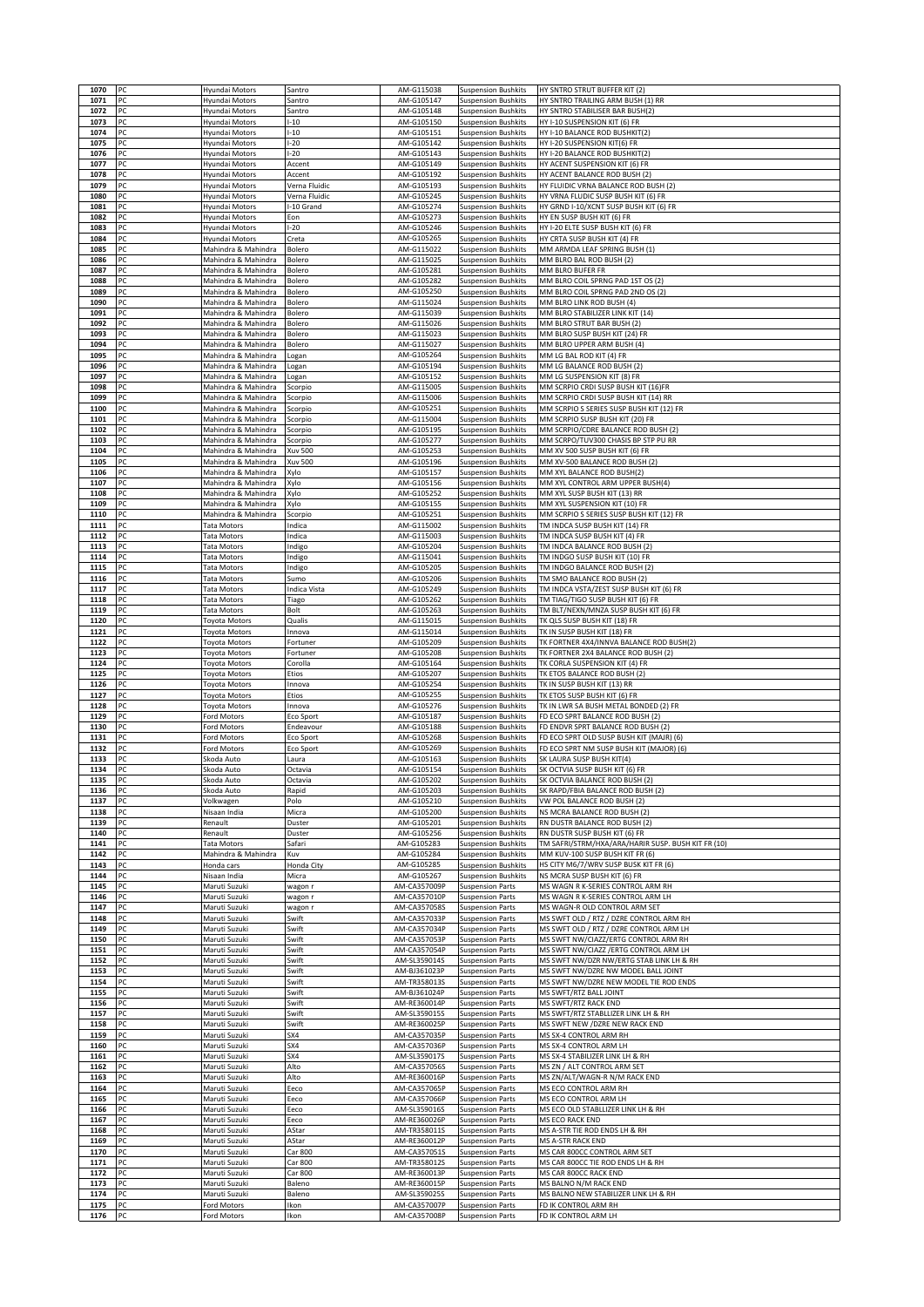| 1070         | PC       | Hyundai Motors                               | Santro              | AM-G115038                   | <b>Suspension Bushkits</b>                               | HY SNTRO STRUT BUFFER KIT (2)                                                   |
|--------------|----------|----------------------------------------------|---------------------|------------------------------|----------------------------------------------------------|---------------------------------------------------------------------------------|
| 1071         | PC       | Hyundai Motors                               | Santro              | AM-G105147                   | <b>Suspension Bushkits</b>                               | HY SNTRO TRAILING ARM BUSH (1) RR                                               |
| 1072         | PC       | Hyundai Motors                               | Santro              | AM-G105148                   | <b>Suspension Bushkits</b>                               | HY SNTRO STABILISER BAR BUSH(2)                                                 |
| 1073         | PC       | Hyundai Motors                               | $-10$               | AM-G105150                   | <b>Suspension Bushkits</b>                               | HY I-10 SUSPENSION KIT (6) FR                                                   |
| 1074         | PC       | Hyundai Motors                               | $-10$               | AM-G105151                   | Suspension Bushkits                                      | HY I-10 BALANCE ROD BUSHKIT(2)                                                  |
| 1075         | PC       | Hyundai Motors                               | $-20$               | AM-G105142                   | Suspension Bushkits                                      | HY I-20 SUSPENSION KIT(6) FR                                                    |
| 1076<br>1077 | PC<br>PC | Hyundai Motors<br>Hyundai Motors             | $-20$<br>Accent     | AM-G105143<br>AM-G105149     | <b>Suspension Bushkits</b><br><b>Suspension Bushkits</b> | HY I-20 BALANCE ROD BUSHKIT(2)<br>HY ACENT SUSPENSION KIT (6) FR                |
| 1078         | PC       | Hyundai Motors                               | Accent              | AM-G105192                   | <b>Suspension Bushkits</b>                               | HY ACENT BALANCE ROD BUSH (2)                                                   |
| 1079         | PC       | Hyundai Motors                               | Verna Fluidic       | AM-G105193                   | <b>Suspension Bushkits</b>                               | HY FLUIDIC VRNA BALANCE ROD BUSH (2)                                            |
| 1080         | PC       | Hyundai Motors                               | Verna Fluidic       | AM-G105245                   | <b>Suspension Bushkits</b>                               | HY VRNA FLUDIC SUSP BUSH KIT (6) FR                                             |
| 1081         | PC       | Hyundai Motors                               | -10 Grand           | AM-G105274                   | <b>Suspension Bushkits</b>                               | HY GRND I-10/XCNT SUSP BUSH KIT (6) FR                                          |
| 1082         | PC       | Hyundai Motors                               | Eon                 | AM-G105273                   | <b>Suspension Bushkits</b>                               | HY EN SUSP BUSH KIT (6) FR                                                      |
| 1083         | PC       | Hyundai Motors                               | $-20$               | AM-G105246                   | <b>Suspension Bushkits</b>                               | HY I-20 ELTE SUSP BUSH KIT (6) FR                                               |
| 1084<br>1085 | PC<br>PC | Hyundai Motors<br>Mahindra & Mahindra        | Creta<br>Bolero     | AM-G105265<br>AM-G115022     | <b>Suspension Bushkits</b><br>Suspension Bushkits        | HY CRTA SUSP BUSH KIT (4) FR<br>MM ARMDA LEAF SPRING BUSH (1)                   |
| 1086         | PC       | Mahindra & Mahindra                          | Bolero              | AM-G115025                   | <b>Suspension Bushkits</b>                               | MM BLRO BAL ROD BUSH (2)                                                        |
| 1087         | PC       | Mahindra & Mahindra                          | Bolero              | AM-G105281                   | <b>Suspension Bushkits</b>                               | MM BLRO BUFER FR                                                                |
| 1088         | PC       | Mahindra & Mahindra                          | Bolero              | AM-G105282                   | Suspension Bushkits                                      | MM BLRO COIL SPRNG PAD 1ST OS (2)                                               |
| 1089         | PC       | Mahindra & Mahindra                          | Bolero              | AM-G105250                   | <b>Suspension Bushkits</b>                               | MM BLRO COIL SPRNG PAD 2ND OS (2)                                               |
| 1090         | PC       | Mahindra & Mahindra                          | Bolero              | AM-G115024                   | <b>Suspension Bushkits</b>                               | MM BLRO LINK ROD BUSH (4)                                                       |
| 1091         | PC       | Mahindra & Mahindra                          | Bolero              | AM-G115039                   | <b>Suspension Bushkits</b>                               | MM BLRO STABILIZER LINK KIT (14)                                                |
| 1092         | PC<br>PC | Mahindra & Mahindra<br>Mahindra & Mahindra   | Bolero              | AM-G115026                   | <b>Suspension Bushkits</b>                               | MM BLRO STRUT BAR BUSH (2)                                                      |
| 1093<br>1094 | PC       | Mahindra & Mahindra                          | Bolero<br>Bolero    | AM-G115023<br>AM-G115027     | Suspension Bushkits<br><b>Suspension Bushkits</b>        | MM BLRO SUSP BUSH KIT (24) FR<br>MM BLRO UPPER ARM BUSH (4)                     |
| 1095         | PC       | Mahindra & Mahindra                          | ogan                | AM-G105264                   | <b>Suspension Bushkits</b>                               | MM LG BAL ROD KIT (4) FR                                                        |
| 1096         | PC       | Mahindra & Mahindra                          | Logan               | AM-G105194                   | <b>Suspension Bushkits</b>                               | MM LG BALANCE ROD BUSH (2)                                                      |
| 1097         | PC       | Mahindra & Mahindra                          | Logan               | AM-G105152                   | <b>Suspension Bushkits</b>                               | MM LG SUSPENSION KIT (8) FR                                                     |
| 1098         | PC       | Mahindra & Mahindra                          | Scorpio             | AM-G115005                   | <b>Suspension Bushkits</b>                               | MM SCRPIO CRDI SUSP BUSH KIT (16)FR                                             |
| 1099         | PC       | Mahindra & Mahindra                          | Scorpio             | AM-G115006                   | <b>Suspension Bushkits</b>                               | MM SCRPIO CRDI SUSP BUSH KIT (14) RR                                            |
| 1100         | PC       | Mahindra & Mahindra                          | Scorpio             | AM-G105251                   | <b>Suspension Bushkits</b>                               | MM SCRPIO S SERIES SUSP BUSH KIT (12) FR                                        |
| 1101<br>1102 | PC<br>PC | Mahindra & Mahindra<br>Mahindra & Mahindra   | Scorpio<br>Scorpio  | AM-G115004<br>AM-G105195     | <b>Suspension Bushkits</b><br><b>Suspension Bushkits</b> | MM SCRPIO SUSP BUSH KIT (20) FR<br>MM SCRPIO/CDRE BALANCE ROD BUSH (2)          |
| 1103         | PC       | Mahindra & Mahindra                          | Scorpio             | AM-G105277                   | <b>Suspension Bushkits</b>                               | MM SCRPO/TUV300 CHASIS BP STP PU RR                                             |
| 1104         | PC       | Mahindra & Mahindra                          | <b>Xuv 500</b>      | AM-G105253                   | <b>Suspension Bushkits</b>                               | MM XV 500 SUSP BUSH KIT (6) FR                                                  |
| 1105         | PC       | Mahindra & Mahindra                          | <b>Xuv 500</b>      | AM-G105196                   | <b>Suspension Bushkits</b>                               | MM XV-500 BALANCE ROD BUSH (2)                                                  |
| 1106         | PC       | Mahindra & Mahindra                          | Xylo                | AM-G105157                   | Suspension Bushkits                                      | MM XYL BALANCE ROD BUSH(2)                                                      |
| 1107         | PC       | Mahindra & Mahindra                          | Xylo                | AM-G105156                   | Suspension Bushkits                                      | MM XYL CONTROL ARM UPPER BUSH(4)                                                |
| 1108         | PC<br>PC | Mahindra & Mahindra                          | Xylo                | AM-G105252<br>AM-G105155     | <b>Suspension Bushkits</b>                               | MM XYL SUSP BUSH KIT (13) RR                                                    |
| 1109<br>1110 | PC       | Mahindra & Mahindra<br>Mahindra & Mahindra   | Xylo<br>Scorpio     | AM-G105251                   | Suspension Bushkits<br><b>Suspension Bushkits</b>        | MM XYL SUSPENSION KIT (10) FR<br>MM SCRPIO S SERIES SUSP BUSH KIT (12) FR       |
| 1111         | PC       | <b>Tata Motors</b>                           | Indica              | AM-G115002                   | <b>Suspension Bushkits</b>                               | TM INDCA SUSP BUSH KIT (14) FR                                                  |
| 1112         | PC       | Tata Motors                                  | Indica              | AM-G115003                   | <b>Suspension Bushkits</b>                               | TM INDCA SUSP BUSH KIT (4) FR                                                   |
| 1113         | PC       | ata Motors                                   | Indigo              | AM-G105204                   | <b>Suspension Bushkits</b>                               | TM INDCA BALANCE ROD BUSH (2)                                                   |
| 1114         | PC       | <b>Tata Motors</b>                           | ndigo               | AM-G115041                   | <b>Suspension Bushkits</b>                               | TM INDGO SUSP BUSH KIT (10) FR                                                  |
| 1115<br>1116 | PC<br>PC | <b>Tata Motors</b><br>ata Motors             | Indigo<br>Sumo      | AM-G105205<br>AM-G105206     | <b>Suspension Bushkits</b><br><b>Suspension Bushkits</b> | TM INDGO BALANCE ROD BUSH (2)<br>TM SMO BALANCE ROD BUSH (2)                    |
| 1117         | PC       | <b>Tata Motors</b>                           | Indica Vista        | AM-G105249                   | <b>Suspension Bushkits</b>                               | TM INDCA VSTA/ZEST SUSP BUSH KIT (6) FR                                         |
| 1118         | PC       | <b>Tata Motors</b>                           | Tiago               | AM-G105262                   | <b>Suspension Bushkits</b>                               | TM TIAG/TIGO SUSP BUSH KIT (6) FR                                               |
| 1119         | PC       | <b>Tata Motors</b>                           | Bolt                | AM-G105263                   | <b>Suspension Bushkits</b>                               | TM BLT/NEXN/MNZA SUSP BUSH KIT (6) FR                                           |
| 1120         | PC<br>PC | oyota Motors                                 | Qualis              | AM-G115015                   | <b>Suspension Bushkits</b>                               | TK QLS SUSP BUSH KIT (18) FR                                                    |
| 1121<br>1122 | PC       | <b>Toyota Motors</b><br><b>Toyota Motors</b> | Innova<br>Fortuner  | AM-G115014<br>AM-G105209     | <b>Suspension Bushkits</b><br><b>Suspension Bushkits</b> | TK IN SUSP BUSH KIT (18) FR<br>TK FORTNER 4X4/INNVA BALANCE ROD BUSH(2)         |
| 1123         | PC       | <b>Toyota Motors</b>                         | Fortuner            |                              |                                                          |                                                                                 |
|              |          |                                              |                     |                              | <b>Suspension Bushkits</b>                               | TK FORTNER 2X4 BALANCE ROD BUSH (2)                                             |
| 1124         | PC       | Toyota Motors                                | Corolla             | AM-G105208<br>AM-G105164     | <b>Suspension Bushkits</b>                               | TK CORLA SUSPENSION KIT (4) FR                                                  |
| 1125         | PC       | <b>Foyota Motors</b>                         | Etios               | AM-G105207                   | <b>Suspension Bushkits</b>                               | TK ETOS BALANCE ROD BUSH (2)                                                    |
| 1126         | PC       | Toyota Motors                                | Innova              | AM-G105254                   | <b>Suspension Bushkits</b>                               | TK IN SUSP BUSH KIT (13) RR                                                     |
| 1127         | PC       | oyota Motors                                 | Etios               | AM-G105255<br>AM-G105276     | Suspension Bushkits                                      | TK ETOS SUSP BUSH KIT (6) FR                                                    |
| 1128<br>1129 | PC<br>PC | <b>Toyota Motors</b><br>Ford Motors          | Innova<br>Eco Sport | AM-G105187                   | <b>Suspension Bushkits</b><br><b>Suspension Bushkits</b> | TK IN LWR SA BUSH METAL BONDED (2) FR<br>FD ECO SPRT BALANCE ROD BUSH (2)       |
| 1130         | PC       | Ford Motors                                  | Endeavour           | AM-G105188                   | <b>Suspension Bushkits</b>                               | FD ENDVR SPRT BALANCE ROD BUSH (2)                                              |
| 1131         | PC       | ord Motors                                   | Eco Sport           | AM-G105268                   | <b>Suspension Bushkits</b>                               | FD ECO SPRT OLD SUSP BUSH KIT (MAJR) (6)                                        |
| 1132         | PC       | ord Motors                                   | Eco Sport           | AM-G105269                   | <b>Suspension Bushkits</b>                               | FD ECO SPRT NM SUSP BUSH KIT (MAJOR) (6)                                        |
| 1133<br>1134 | PC<br>PC | Skoda Auto<br>Skoda Auto                     | Laura<br>Octavia    | AM-G105163<br>AM-G105154     | <b>Suspension Bushkits</b><br><b>Suspension Bushkits</b> | SK LAURA SUSP BUSH KIT(4)<br>SK OCTVIA SUSP BUSH KIT (6) FR                     |
| 1135         |          | Skoda Auto                                   | Octavia             | AM-G105202                   | Suspension Bushkits                                      | SK OCTVIA BALANCE ROD BUSH (2)                                                  |
| 1136         | PC       | Skoda Auto                                   | Rapid               | AM-G105203                   | <b>Suspension Bushkits</b>                               | SK RAPD/FBIA BALANCE ROD BUSH (2)                                               |
| 1137         | PC       | Volkwagen                                    | Polo                | AM-G105210                   | <b>Suspension Bushkits</b>                               | VW POL BALANCE ROD BUSH (2)                                                     |
| 1138         | PC       | Nisaan India                                 | Micra               | AM-G105200                   | <b>Suspension Bushkits</b>                               | NS MCRA BALANCE ROD BUSH (2)                                                    |
| 1139         | PC       | Renault                                      | Duster              | AM-G105201<br>AM-G105256     | <b>Suspension Bushkits</b>                               | RN DUSTR BALANCE ROD BUSH (2)<br>RN DUSTR SUSP BUSH KIT (6) FR                  |
| 1140<br>1141 | PC<br>PC | Renault<br><b>Tata Motors</b>                | Duster<br>Safari    | AM-G105283                   | <b>Suspension Bushkits</b><br><b>Suspension Bushkits</b> | TM SAFRI/STRM/HXA/ARA/HARIR SUSP. BUSH KIT FR (10)                              |
| 1142         | PC       | Mahindra & Mahindra                          | Kuv                 | AM-G105284                   | <b>Suspension Bushkits</b>                               | MM KUV-100 SUSP BUSH KIT FR (6)                                                 |
| 1143         | PC       | Honda cars                                   | Honda City          | AM-G105285                   | <b>Suspension Bushkits</b>                               | HS CITY M6/7/WRV SUSP BUSK KIT FR (6)                                           |
| 1144         | PC       | Nisaan India                                 | Micra               | AM-G105267                   | <b>Suspension Bushkits</b>                               | NS MCRA SUSP BUSH KIT (6) FR                                                    |
| 1145         | PC       | Maruti Suzuki                                | wagon r             | AM-CA357009P                 | <b>Suspension Parts</b>                                  | MS WAGN R K-SERIES CONTROL ARM RH                                               |
| 1146<br>1147 | PC<br>PC | Maruti Suzuki<br>Maruti Suzuki               | wagon r<br>wagon r  | AM-CA357010P<br>AM-CA357058S | <b>Suspension Parts</b><br><b>Suspension Parts</b>       | MS WAGN R K-SERIES CONTROL ARM LH<br>MS WAGN-R OLD CONTROL ARM SET              |
| 1148         | PC       | Maruti Suzuki                                | Swift               | AM-CA357033P                 | <b>Suspension Parts</b>                                  | MS SWFT OLD / RTZ / DZRE CONTROL ARM RH                                         |
| 1149         | PC       | Maruti Suzuki                                | Swift               | AM-CA357034P                 | <b>Suspension Parts</b>                                  | MS SWFT OLD / RTZ / DZRE CONTROL ARM LH                                         |
| 1150         | PC       | Maruti Suzuki                                | Swift               | AM-CA357053P                 | <b>Suspension Parts</b>                                  | MS SWFT NW/CIAZZ/ERTG CONTROL ARM RH                                            |
| 1151         | PC       | Maruti Suzuki                                | Swift               | AM-CA357054P                 | <b>Suspension Parts</b>                                  | MS SWFT NW/CIAZZ /ERTG CONTROL ARM LH                                           |
| 1152<br>1153 | PC<br>PC | Maruti Suzuki<br>Maruti Suzuki               | Swift<br>Swift      | AM-SL359014S<br>AM-BJ361023P | <b>Suspension Parts</b><br><b>Suspension Parts</b>       | MS SWFT NW/DZR NW/ERTG STAB LINK LH & RH<br>MS SWFT NW/DZRE NW MODEL BALL JOINT |
| 1154         | PC       | Maruti Suzuki                                | Swift               | AM-TR358013S                 | <b>Suspension Parts</b>                                  | MS SWFT NW/DZRE NEW MODEL TIE ROD ENDS                                          |
| 1155         | PC       | Maruti Suzuki                                | Swift               | AM-BJ361024P                 | <b>Suspension Parts</b>                                  | MS SWFT/RTZ BALL JOINT                                                          |
| 1156         | PC       | Maruti Suzuki                                | Swift               | AM-RE360014P                 | <b>Suspension Parts</b>                                  | MS SWFT/RTZ RACK END                                                            |
| 1157         | PC       | Maruti Suzuki                                | Swift               | AM-SL359015S                 | <b>Suspension Parts</b>                                  | MS SWFT/RTZ STABLLIZER LINK LH & RH                                             |
| 1158<br>1159 | PC<br>PC | Maruti Suzuki<br>Maruti Suzuki               | Swift<br>SX4        | AM-RE360025P<br>AM-CA357035P | <b>Suspension Parts</b><br><b>Suspension Parts</b>       | MS SWFT NEW /DZRE NEW RACK END<br>MS SX-4 CONTROL ARM RH                        |
| 1160         | PC       | Maruti Suzuki                                | SX4                 | AM-CA357036P                 | <b>Suspension Parts</b>                                  | MS SX-4 CONTROL ARM LH                                                          |
| 1161         | PC       | Maruti Suzuki                                | SX4                 | AM-SL359017S                 | <b>Suspension Parts</b>                                  | MS SX-4 STABILIZER LINK LH & RH                                                 |
| 1162         | PC       | Maruti Suzuki                                | Alto                | AM-CA357056S                 | <b>Suspension Parts</b>                                  | MS ZN / ALT CONTROL ARM SET                                                     |
| 1163         | PC       | Maruti Suzuki                                | Alto                | AM-RE360016P                 | Suspension Parts                                         | MS ZN/ALT/WAGN-R N/M RACK END                                                   |
| 1164<br>1165 | PC<br>PC | Maruti Suzuki<br>Maruti Suzuki               | Eeco<br>Eeco        | AM-CA357065P<br>AM-CA357066P | <b>Suspension Parts</b><br><b>Suspension Parts</b>       | MS ECO CONTROL ARM RH<br>MS ECO CONTROL ARM LH                                  |
| 1166         | PC       | Maruti Suzuki                                | Eeco                | AM-SL359016S                 | <b>Suspension Parts</b>                                  | MS ECO OLD STABLLIZER LINK LH & RH                                              |
| 1167         | PC       | Maruti Suzuki                                | Eeco                | AM-RE360026P                 | <b>Suspension Parts</b>                                  | MS ECO RACK END                                                                 |
| 1168         | PC       | Maruti Suzuki                                | AStar               | AM-TR358011S                 | <b>Suspension Parts</b>                                  | MS A-STR TIE ROD ENDS LH & RH                                                   |
| 1169<br>1170 | PC<br>PC | Maruti Suzuki<br>Maruti Suzuki               | AStar<br>Car 800    | AM-RE360012P<br>AM-CA357051S | <b>Suspension Parts</b><br>Suspension Parts              | MS A-STR RACK END<br>MS CAR 800CC CONTROL ARM SET                               |
| 1171         | PC       | Maruti Suzuki                                | Car 800             | AM-TR358012S                 | <b>Suspension Parts</b>                                  | MS CAR 800CC TIE ROD ENDS LH & RH                                               |
| 1172         | PC       | Maruti Suzuki                                | Car 800             | AM-RE360013P                 | <b>Suspension Parts</b>                                  | MS CAR 800CC RACK END                                                           |
| 1173         | PC       | Maruti Suzuki                                | Baleno              | AM-RE360015P                 | Suspension Parts                                         | MS BALNO N/M RACK END                                                           |
| 1174         | PC       | Maruti Suzuki                                | Baleno              | AM-SL359025S                 | <b>Suspension Parts</b>                                  | MS BALNO NEW STABILIZER LINK LH & RH                                            |
| 1175<br>1176 | PC<br>PC | Ford Motors<br>Ford Motors                   | Ikon<br>Ikon        | AM-CA357007P<br>AM-CA357008P | <b>Suspension Parts</b><br><b>Suspension Parts</b>       | FD IK CONTROL ARM RH<br>FD IK CONTROL ARM LH                                    |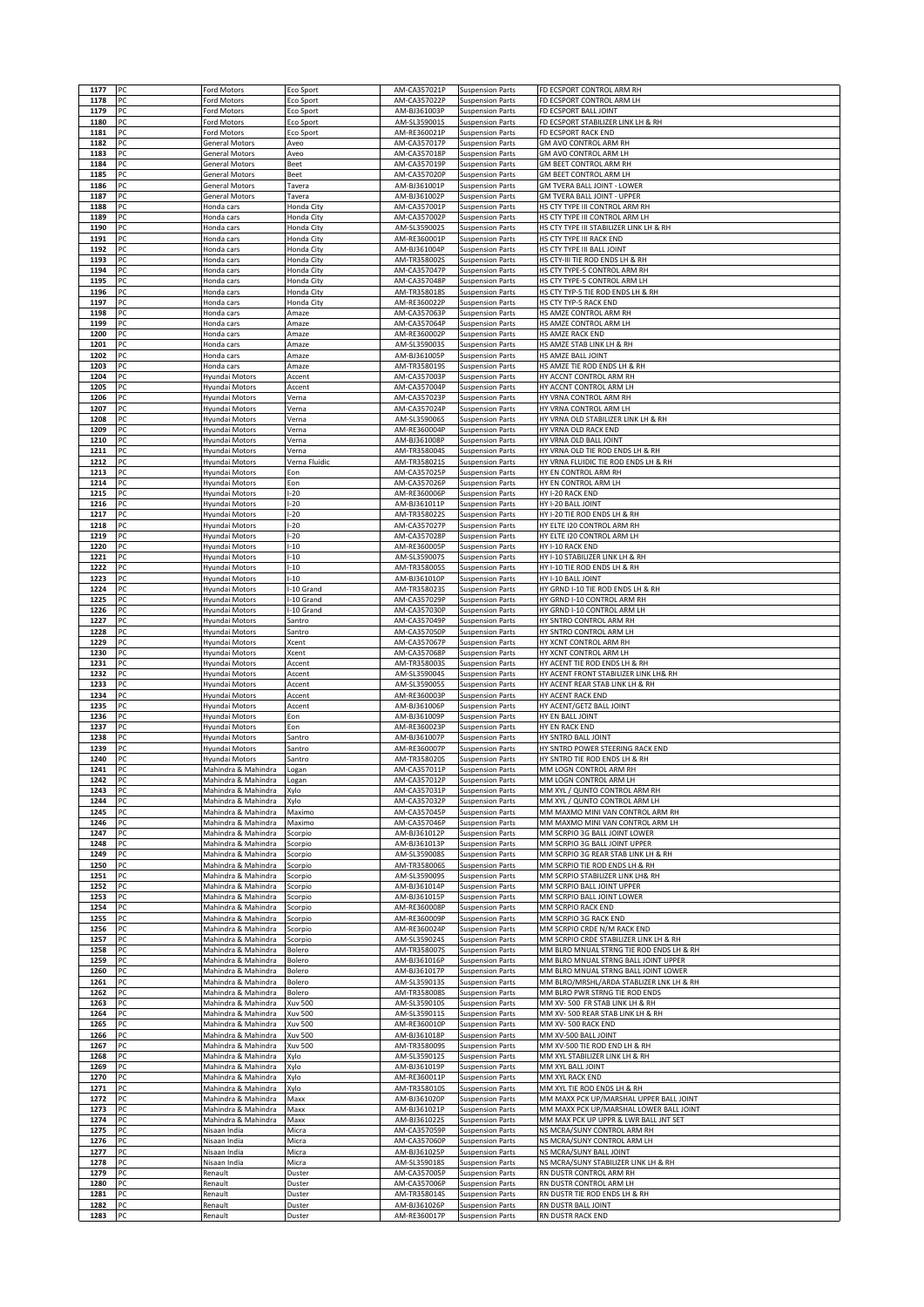|              | PC       | Ford Motors                                | Eco Sport                        | AM-CA357021P                 | <b>Suspension Parts</b>                            | FD ECSPORT CONTROL ARM RH                                                          |
|--------------|----------|--------------------------------------------|----------------------------------|------------------------------|----------------------------------------------------|------------------------------------------------------------------------------------|
| 1178         | PC       | ord Motors                                 | Eco Sport                        | AM-CA357022P                 | <b>Suspension Parts</b>                            | FD ECSPORT CONTROL ARM LH                                                          |
| 1179<br>1180 | PC<br>PC | Ford Motors<br>ord Motors <sup>-</sup>     | Eco Sport<br>Eco Sport           | AM-BJ361003P<br>AM-SL359001S | <b>Suspension Parts</b><br><b>Suspension Parts</b> | FD ECSPORT BALL JOINT<br>FD ECSPORT STABILIZER LINK LH & RH                        |
| 1181         | PC       | Ford Motors                                | Eco Sport                        | AM-RE360021P                 | <b>Suspension Parts</b>                            | FD ECSPORT RACK END                                                                |
| 1182         | PC       | General Motors                             | Aveo                             | AM-CA357017P                 | <b>Suspension Parts</b>                            | GM AVO CONTROL ARM RH                                                              |
| 1183<br>1184 | PC<br>PC | General Motors<br>General Motors           | Aveo<br><b>Beet</b>              | AM-CA357018P<br>AM-CA357019P | <b>Suspension Parts</b><br>Suspension Parts        | GM AVO CONTROL ARM LH<br>GM BEET CONTROL ARM RH                                    |
| 1185         | PC       | General Motors                             | Beet                             | AM-CA357020P                 | <b>Suspension Parts</b>                            | GM BEET CONTROL ARM LH                                                             |
| 1186         | PC       | General Motors                             | Tavera                           | AM-BJ361001P                 | <b>Suspension Parts</b>                            | <b>GM TVERA BALL JOINT - LOWER</b>                                                 |
| 1187<br>1188 | PC<br>PC | General Motors<br>Honda cars               | Tavera<br>Honda City             | AM-BJ361002P<br>AM-CA357001P | <b>Suspension Parts</b><br><b>Suspension Parts</b> | GM TVERA BALL JOINT - UPPER<br>HS CTY TYPE III CONTROL ARM RH                      |
| 1189         | PC       | Honda cars                                 | Honda City                       | AM-CA357002P                 | <b>Suspension Parts</b>                            | HS CTY TYPE III CONTROL ARM LH                                                     |
| 1190         | PC       | Honda cars                                 | Honda City                       | AM-SL359002S                 | <b>Suspension Parts</b>                            | HS CTY TYPE III STABILIZER LINK LH & RH                                            |
| 1191<br>1192 | PC<br>PC | Honda cars<br>Honda cars                   | Honda City<br>Honda City         | AM-RE360001F<br>AM-BJ361004P | <b>Suspension Parts</b><br><b>Suspension Parts</b> | HS CTY TYPE III RACK END<br>HS CTY TYPE III BALL JOINT                             |
| 1193         | PC       | Honda cars                                 | Honda City                       | AM-TR358002S                 | <b>Suspension Parts</b>                            | HS CTY-III TIE ROD ENDS LH & RH                                                    |
| 1194<br>1195 | PC<br>PC | <del>l</del> onda cars                     | Honda City<br>Honda City         | AM-CA357047P<br>AM-CA357048P | Suspension Parts                                   | HS CTY TYPE-5 CONTROL ARM RH<br>HS CTY TYPE-5 CONTROL ARM LH                       |
| 1196         | PC       | Honda cars<br>Honda cars                   | Honda City                       | AM-TR358018S                 | <b>Suspension Parts</b><br><b>Suspension Parts</b> | HS CTY TYP-5 TIE ROD ENDS LH & RH                                                  |
| 1197         | PC       | Honda cars                                 | Honda City                       | AM-RE360022P                 | <b>Suspension Parts</b>                            | HS CTY TYP-5 RACK END                                                              |
| 1198<br>1199 | PC<br>PC | Honda cars<br>Honda cars                   | Amaze<br>Amaze                   | AM-CA357063P<br>AM-CA357064P | Suspension Parts<br><b>Suspension Parts</b>        | HS AMZE CONTROL ARM RH<br>HS AMZE CONTROL ARM LH                                   |
| 1200         | PC       | Honda cars                                 | Amaze                            | AM-RE360002P                 | <b>Suspension Parts</b>                            | HS AMZE RACK END                                                                   |
| 1201         | PC       | Honda cars                                 | Amaze                            | AM-SL359003S                 | <b>Suspension Parts</b>                            | HS AMZE STAB LINK LH & RH                                                          |
| 1202<br>1203 | PC<br>PC | Honda cars<br>Honda cars                   | Amaze<br>Amaze                   | AM-BJ361005P<br>AM-TR358019S | <b>Suspension Parts</b><br><b>Suspension Parts</b> | HS AMZE BALL JOINT<br>HS AMZE TIE ROD ENDS LH & RH                                 |
| 1204         | PC       | Hyundai Motors                             | Accent                           | AM-CA357003P                 | <b>Suspension Parts</b>                            | HY ACCNT CONTROL ARM RH                                                            |
| 1205         | PC       | Hyundai Motors                             | Accent                           | AM-CA357004P                 | <b>Suspension Parts</b>                            | HY ACCNT CONTROL ARM LH<br>HY VRNA CONTROL ARM RH                                  |
| 1206<br>1207 | PC<br>PC | Hyundai Motors<br>Hyundai Motors           | Verna<br>Verna                   | AM-CA357023P<br>AM-CA357024P | <b>Suspension Parts</b><br><b>Suspension Parts</b> | HY VRNA CONTROL ARM LH                                                             |
| 1208         | PC       | Hyundai Motors                             | Verna                            | AM-SL359006S                 | <b>Suspension Parts</b>                            | HY VRNA OLD STABILIZER LINK LH & RH                                                |
| 1209<br>1210 | PC<br>PC | Hyundai Motors                             | Verna                            | AM-RE360004P<br>AM-BJ361008P | <b>Suspension Parts</b>                            | HY VRNA OLD RACK END<br>HY VRNA OLD BALL JOINT                                     |
| 1211         | PC       | Hyundai Motors<br>Hyundai Motors           | Verna<br>Verna                   | AM-TR358004S                 | <b>Suspension Parts</b><br><b>Suspension Parts</b> | HY VRNA OLD TIE ROD ENDS LH & RH                                                   |
| 1212         | PC       | Hyundai Motors                             | Verna Fluidic                    | AM-TR358021S                 | <b>Suspension Parts</b>                            | HY VRNA FLUIDIC TIE ROD ENDS LH & RH                                               |
| 1213<br>1214 | PC<br>PC | Hyundai Motors<br>Hyundai Motors           | Eon<br>Eon                       | AM-CA357025P<br>AM-CA357026P | <b>Suspension Parts</b><br><b>Suspension Parts</b> | HY EN CONTROL ARM RH<br>HY EN CONTROL ARM LH                                       |
| 1215         | PC       | Hyundai Motors                             | $-20$                            | AM-RE360006P                 | <b>Suspension Parts</b>                            | HY I-20 RACK END                                                                   |
| 1216<br>1217 | PC<br>PC | Hyundai Motors<br>Hyundai Motors           | $-20$<br>$-20$                   | AM-BJ361011P<br>AM-TR358022S | <b>Suspension Parts</b><br><b>Suspension Parts</b> | HY I-20 BALL JOINT<br>HY I-20 TIE ROD ENDS LH & RH                                 |
| 1218         | PC       | Hyundai Motors                             | $-20$                            | AM-CA357027P                 | <b>Suspension Parts</b>                            | HY ELTE I20 CONTROL ARM RH                                                         |
| 1219         | PC       | Hyundai Motors                             | $-20$                            | AM-CA357028P                 | <b>Suspension Parts</b>                            | HY ELTE I20 CONTROL ARM LH                                                         |
| 1220<br>1221 | PC<br>PC | Hyundai Motors<br>Hyundai Motors           | $-10$<br>$-10$                   | AM-RE360005P<br>AM-SL359007S | <b>Suspension Parts</b><br><b>Suspension Parts</b> | HY I-10 RACK END<br>HY I-10 STABILIZER LINK LH & RH                                |
| 1222         | PC       | Hyundai Motors                             | $-10$                            | AM-TR3580059                 | <b>Suspension Parts</b>                            | HY I-10 TIE ROD ENDS LH & RH                                                       |
| 1223<br>1224 | PC<br>PC | Hyundai Motors                             | $-10$<br>-10 Grand               | AM-BJ361010P<br>AM-TR358023S | <b>Suspension Parts</b>                            | HY I-10 BALL JOINT<br>HY GRND I-10 TIE ROD ENDS LH & RH                            |
| 1225         | PC       | Hyundai Motors<br>Hyundai Motors           | -10 Grand                        | AM-CA357029P                 | <b>Suspension Parts</b><br><b>Suspension Parts</b> | HY GRND I-10 CONTROL ARM RH                                                        |
| 1226         | PC       | Hyundai Motors                             | -10 Grand                        | AM-CA357030P                 | <b>Suspension Parts</b>                            | HY GRND I-10 CONTROL ARM LH                                                        |
| 1227<br>1228 | PC<br>PC | Hyundai Motors<br>Hyundai Motors           | Santro<br>Santro                 | AM-CA357049P<br>AM-CA357050P | Suspension Parts<br><b>Suspension Parts</b>        | HY SNTRO CONTROL ARM RH<br>HY SNTRO CONTROL ARM LH                                 |
| 1229         | PC       | Hyundai Motors                             | Xcent                            | AM-CA357067P                 | <b>Suspension Parts</b>                            | HY XCNT CONTROL ARM RH                                                             |
| 1230<br>1231 | PC<br>PC | Hyundai Motors<br>Hyundai Motors           | Xcent<br>Accent                  | AM-CA357068P<br>AM-TR358003S | <b>Suspension Parts</b><br><b>Suspension Parts</b> | HY XCNT CONTROL ARM LH<br>HY ACENT TIE ROD ENDS LH & RH                            |
| 1232         | PC       | Hyundai Motors                             | Accent                           | AM-SL359004S                 | <b>Suspension Parts</b>                            | HY ACENT FRONT STABILIZER LINK LH& RH                                              |
| 1233         | PC       | Hyundai Motors                             | Accent                           | AM-SL359005S                 | <b>Suspension Parts</b>                            | HY ACENT REAR STAB LINK LH & RH                                                    |
| 1234<br>1235 | PC<br>PC | Hyundai Motors<br>Hyundai Motors           | Accent<br>Accent                 | AM-RE360003P<br>AM-BJ361006P | Suspension Parts<br><b>Suspension Parts</b>        | HY ACENT RACK END<br>HY ACENT/GETZ BALL JOINT                                      |
| 1236         | PC       | Hyundai Motors                             | Eon                              | AM-BJ361009P                 | <b>Suspension Parts</b>                            | HY EN BALL JOINT                                                                   |
| 1237<br>1238 | PC<br>PC | Hyundai Motors<br>Hyundai Motors           | Eon<br>Santro                    | AM-RE360023P<br>AM-BJ361007P | Suspension Parts<br><b>Suspension Parts</b>        | HY EN RACK END<br>HY SNTRO BALL JOINT                                              |
| 1239         | PC       | Hyundai Motors                             | Santro                           | AM-RE360007P                 | <b>Suspension Parts</b>                            | HY SNTRO POWER STEERING RACK END                                                   |
| 1240<br>1241 | PC<br>PC | Hyundai Motors                             | Santro                           | AM-TR358020S                 | <b>Suspension Parts</b><br><b>Suspension Parts</b> | HY SNTRO TIE ROD ENDS LH & RH                                                      |
| 1242         |          |                                            |                                  |                              |                                                    |                                                                                    |
| 1243         |          | Mahindra & Mahindra<br>Mahindra & Mahindra | Logan<br>Logan                   | AM-CA357011P<br>AM-CA357012P | <b>Suspension Parts</b>                            | MM LOGN CONTROL ARM RH<br>MM LOGN CONTROL ARM LH                                   |
| 1244         | PC       | Mahindra & Mahindra                        | Xylo                             | AM-CA357031P                 | <b>Suspension Parts</b>                            | MM XYL / QUNTO CONTROL ARM RH                                                      |
|              | PC       | Mahindra & Mahindra<br>Mahindra & Mahindra | Xylo                             | AM-CA357032P<br>AM-CA357045P | <b>Suspension Parts</b>                            | MM XYL / QUNTO CONTROL ARM LH                                                      |
| 1245<br>1246 | PC<br>PC | Mahindra & Mahindra                        | Maximo<br>Maximo                 | AM-CA357046P                 | <b>Suspension Parts</b><br><b>Suspension Parts</b> | MM MAXMO MINI VAN CONTROL ARM RH<br>MM MAXMO MINI VAN CONTROL ARM LH               |
| 1247         | PC       | Mahindra & Mahindra                        | Scorpio                          | AM-BJ361012P                 | <b>Suspension Parts</b>                            | MM SCRPIO 3G BALL JOINT LOWER                                                      |
| 1248<br>1249 | PC<br>PC | Mahindra & Mahindra<br>Mahindra & Mahindra | Scorpio<br>Scorpio               | AM-BJ361013P<br>AM-SL359008S | <b>Suspension Parts</b><br><b>Suspension Parts</b> | MM SCRPIO 3G BALL JOINT UPPER<br>MM SCRPIO 3G REAR STAB LINK LH & RH               |
| 1250         | PC       | Mahindra & Mahindra                        | Scorpio                          | AM-TR358006S                 | <b>Suspension Parts</b>                            | MM SCRPIO TIE ROD ENDS LH & RH                                                     |
| 1251<br>1252 | PC<br>PC | Mahindra & Mahindra<br>Mahindra & Mahindra | Scorpio<br>Scorpio               | AM-SL359009S<br>AM-BJ361014P | <b>Suspension Parts</b><br><b>Suspension Parts</b> | MM SCRPIO STABILIZER LINK LH& RH<br>MM SCRPIO BALL JOINT UPPER                     |
| 1253         | PC       | Mahindra & Mahindra                        | Scorpio                          | AM-BJ361015P                 | <b>Suspension Parts</b>                            | MM SCRPIO BALL JOINT LOWER                                                         |
| 1254         | PC       | Mahindra & Mahindra                        | Scorpio                          | AM-RE360008P                 | <b>Suspension Parts</b>                            | MM SCRPIO RACK END                                                                 |
| 1255<br>1256 | PC<br>PC | Mahindra & Mahindra<br>Mahindra & Mahindra | Scorpio<br>Scorpio               | AM-RE360009P<br>AM-RE360024P | <b>Suspension Parts</b><br><b>Suspension Parts</b> | MM SCRPIO 3G RACK END<br>MM SCRPIO CRDE N/M RACK END                               |
| 1257         | PC       | Mahindra & Mahindra                        | Scorpio                          | AM-SL359024S                 | <b>Suspension Parts</b>                            | MM SCRPIO CRDE STABILIZER LINK LH & RH                                             |
| 1258<br>1259 | PC<br>PC | Mahindra & Mahindra<br>Mahindra & Mahindra | Bolero<br>Bolero                 | AM-TR358007S<br>AM-BJ361016P | <b>Suspension Parts</b><br><b>Suspension Parts</b> | MM BLRO MNUAL STRNG TIE ROD ENDS LH & RH<br>MM BLRO MNUAL STRNG BALL JOINT UPPER   |
| 1260         | PC       | Mahindra & Mahindra                        | Bolero                           | AM-BJ361017P                 | <b>Suspension Parts</b>                            | MM BLRO MNUAL STRNG BALL JOINT LOWER                                               |
| 1261         | PC       | Mahindra & Mahindra                        | Bolero                           | AM-SL359013S                 | <b>Suspension Parts</b>                            | MM BLRO/MRSHL/ARDA STABLIZER LNK LH & RH                                           |
| 1262<br>1263 | PC<br>PC | Mahindra & Mahindra<br>Mahindra & Mahindra | Bolero<br>Xuv 500                | AM-TR358008S<br>AM-SL359010S | <b>Suspension Parts</b><br><b>Suspension Parts</b> | MM BLRO PWR STRNG TIE ROD ENDS<br>MM XV- 500 FR STAB LINK LH & RH                  |
| 1264         | PC       | Mahindra & Mahindra                        | <b>Xuv 500</b>                   | AM-SL359011S                 | <b>Suspension Parts</b>                            | MM XV- 500 REAR STAB LINK LH & RH                                                  |
| 1265<br>1266 | PC<br>PC | Mahindra & Mahindra<br>Mahindra & Mahindra | <b>Xuv 500</b><br><b>Xuv 500</b> | AM-RE360010P<br>AM-BJ361018P | <b>Suspension Parts</b><br><b>Suspension Parts</b> | MM XV- 500 RACK END<br>MM XV-500 BALL JOINT                                        |
| 1267         | PC       | Mahindra & Mahindra                        | Xuv 500                          | AM-TR358009S                 | <b>Suspension Parts</b>                            | MM XV-500 TIE ROD END LH & RH                                                      |
| 1268<br>1269 | PC<br>PC | Mahindra & Mahindra<br>Mahindra & Mahindra | Xylo<br>Xylo                     | AM-SL359012S<br>AM-BJ361019P | <b>Suspension Parts</b><br><b>Suspension Parts</b> | MM XYL STABILIZER LINK LH & RH<br>MM XYL BALL JOINT                                |
| 1270         | PC       | Mahindra & Mahindra                        | Xylo                             | AM-RE360011P                 | <b>Suspension Parts</b>                            | MM XYL RACK END                                                                    |
| 1271         | PC       | Mahindra & Mahindra                        | Xylo                             | AM-TR358010S                 | <b>Suspension Parts</b>                            | MM XYL TIE ROD ENDS LH & RH                                                        |
| 1272<br>1273 | PC<br>PC | Mahindra & Mahindra<br>Mahindra & Mahindra | Maxx<br>Maxx                     | AM-BJ361020P<br>AM-BJ361021P | <b>Suspension Parts</b><br><b>Suspension Parts</b> | MM MAXX PCK UP/MARSHAL UPPER BALL JOINT<br>MM MAXX PCK UP/MARSHAL LOWER BALL JOINT |
| 1274         | PC       | Mahindra & Mahindra                        | Maxx                             | AM-BJ361022S                 | <b>Suspension Parts</b>                            | MM MAX PCK UP UPPR & LWR BALL JNT SET                                              |
| 1275<br>1276 | PC<br>PC | Nisaan India<br>Nisaan India               | Micra<br>Micra                   | AM-CA357059P<br>AM-CA357060P | <b>Suspension Parts</b><br><b>Suspension Parts</b> | NS MCRA/SUNY CONTROL ARM RH<br>NS MCRA/SUNY CONTROL ARM LH                         |
| 1277         | PC       | Nisaan India                               | Micra                            | AM-BJ361025P                 | <b>Suspension Parts</b>                            | NS MCRA/SUNY BALL JOINT                                                            |
| 1278         | PC       | Nisaan India                               | Micra                            | AM-SL359018S                 | <b>Suspension Parts</b>                            | NS MCRA/SUNY STABILIZER LINK LH & RH                                               |
| 1279<br>1280 | PC<br>PC | Renault<br>Renault                         | Duster<br>Duster                 | AM-CA357005P<br>AM-CA357006P | <b>Suspension Parts</b><br><b>Suspension Parts</b> | RN DUSTR CONTROL ARM RH<br>RN DUSTR CONTROL ARM LH                                 |
| 1281<br>1282 | PC<br>PC | Renault<br>Renault                         | Duster<br>Duster                 | AM-TR358014S<br>AM-BJ361026P | <b>Suspension Parts</b><br><b>Suspension Parts</b> | RN DUSTR TIE ROD ENDS LH & RH<br>RN DUSTR BALL JOINT                               |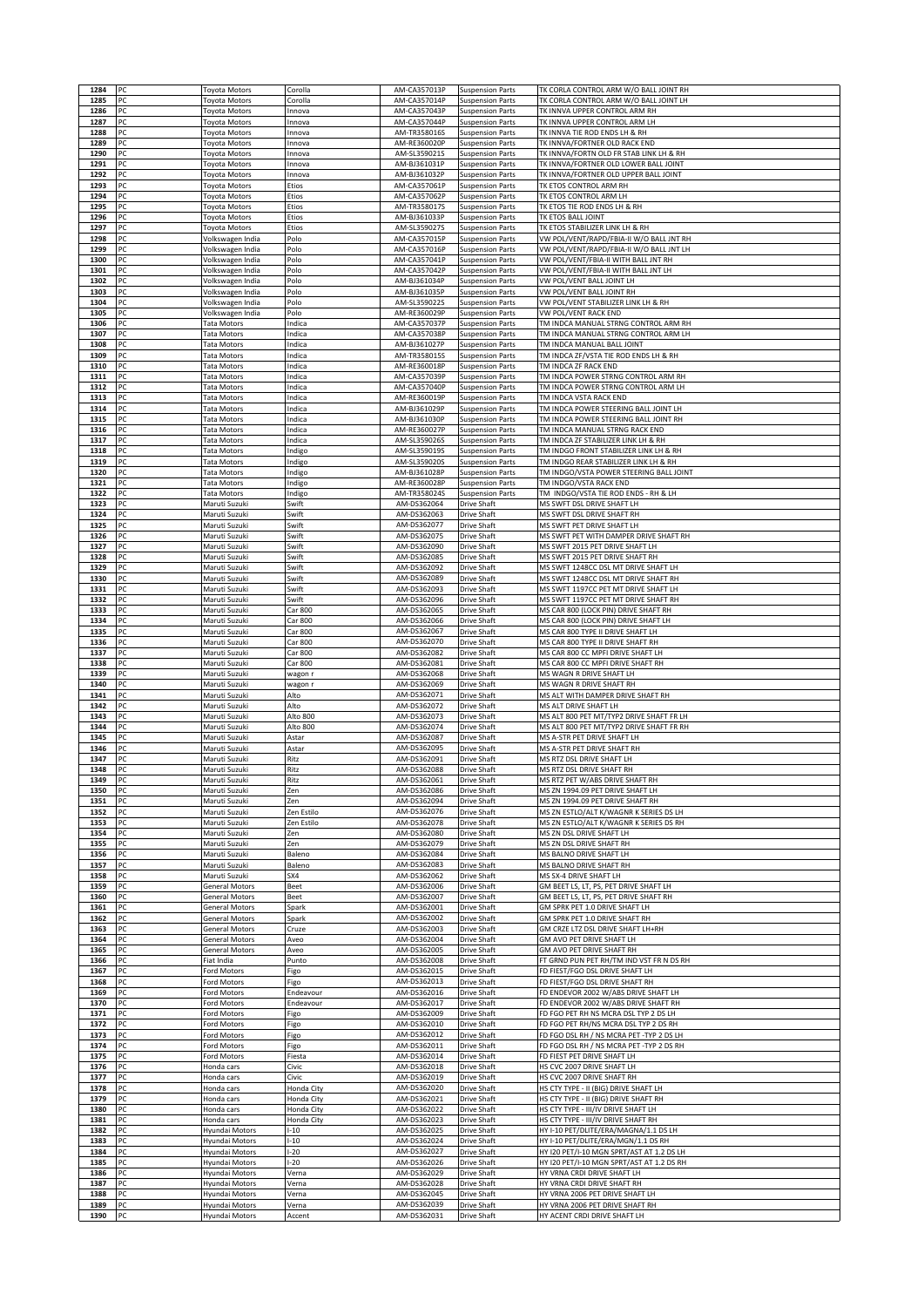| 1285         | PC         | Toyota Motors                            | Corolla                  | AM-CA357013P                 | <b>Suspension Parts</b>                            | TK CORLA CONTROL ARM W/O BALL JOINT RH                                                 |
|--------------|------------|------------------------------------------|--------------------------|------------------------------|----------------------------------------------------|----------------------------------------------------------------------------------------|
|              | PC         | Toyota Motors                            | Corolla                  | AM-CA357014P                 | <b>Suspension Parts</b>                            | TK CORLA CONTROL ARM W/O BALL JOINT LH                                                 |
| 1286         | PC         | <b>Toyota Motors</b>                     | Innova                   | AM-CA357043P                 | <b>Suspension Parts</b>                            | TK INNVA UPPER CONTROL ARM RH                                                          |
| 1287         | PC         | Toyota Motors                            | Innova                   | AM-CA357044P                 | <b>Suspension Parts</b>                            | TK INNVA UPPER CONTROL ARM LH                                                          |
| 1288         | PC         | Toyota Motors                            | nnova                    | AM-TR358016S                 | <b>Suspension Parts</b>                            | TK INNVA TIE ROD ENDS LH & RH                                                          |
| 1289<br>1290 | PC<br>PC   | <b>Toyota Motors</b>                     | nnova                    | AM-RE360020P<br>AM-SL359021S | <b>Suspension Parts</b><br><b>Suspension Parts</b> | TK INNVA/FORTNER OLD RACK END<br>TK INNVA/FORTN OLD FR STAB LINK LH & RH               |
| 1291         | PC         | Toyota Motors<br>Toyota Motors           | nnova<br>nnova           | AM-BJ361031P                 | <b>Suspension Parts</b>                            | TK INNVA/FORTNER OLD LOWER BALL JOINT                                                  |
| 1292         | PC         | Toyota Motors                            | Innova                   | AM-BJ361032P                 | <b>Suspension Parts</b>                            | TK INNVA/FORTNER OLD UPPER BALL JOINT                                                  |
| 1293         | PC         | Toyota Motors                            | Etios                    | AM-CA357061P                 | <b>Suspension Parts</b>                            | TK ETOS CONTROL ARM RH                                                                 |
| 1294         | PC         | Toyota Motors                            | Etios                    | AM-CA357062P                 | <b>Suspension Parts</b>                            | TK ETOS CONTROL ARM LH                                                                 |
| 1295         | PC         | Toyota Motors                            | Etios                    | AM-TR358017S                 | <b>Suspension Parts</b>                            | TK ETOS TIE ROD ENDS LH & RH                                                           |
| 1296         | PC         | Toyota Motors                            | Etios                    | AM-BJ361033P                 | <b>Suspension Parts</b>                            | TK ETOS BALL JOINT                                                                     |
| 1297<br>1298 | PC<br>PC   | Toyota Motors<br>Volkswagen India        | Etios<br>Polo            | AM-SL359027S<br>AM-CA357015P | <b>Suspension Parts</b><br><b>Suspension Parts</b> | TK ETOS STABILIZER LINK LH & RH<br>VW POL/VENT/RAPD/FBIA-II W/O BALL JNT RH            |
| 1299         | PC         | Volkswagen India                         | Polo                     | AM-CA357016P                 | <b>Suspension Parts</b>                            | VW POL/VENT/RAPD/FBIA-II W/O BALL JNT LH                                               |
| 1300         | PC         | Volkswagen India                         | Polo                     | AM-CA357041P                 | <b>Suspension Parts</b>                            | VW POL/VENT/FBIA-II WITH BALL JNT RH                                                   |
| 1301         | PC         | Volkswagen India                         | Polo                     | AM-CA357042P                 | <b>Suspension Parts</b>                            | VW POL/VENT/FBIA-II WITH BALL JNT LH                                                   |
| 1302         | PC         | Volkswagen India                         | Polo                     | AM-BJ361034P                 | <b>Suspension Parts</b>                            | VW POL/VENT BALL JOINT LH                                                              |
| 1303         | PC         | Volkswagen India                         | Polo                     | AM-BJ361035P                 | <b>Suspension Parts</b>                            | VW POL/VENT BALL JOINT RH                                                              |
| 1304<br>1305 | PC<br>PC   | Volkswagen India<br>Volkswagen India     | Polo<br>Polo             | AM-SL359022S<br>AM-RE360029P | <b>Suspension Parts</b><br><b>Suspension Parts</b> | VW POL/VENT STABILIZER LINK LH & RH<br>VW POL/VENT RACK END                            |
| 1306         | PC         | Tata Motors                              | ndica                    | AM-CA357037P                 | <b>Suspension Parts</b>                            | TM INDCA MANUAL STRNG CONTROL ARM RH                                                   |
| 1307         | PC         | <b>Tata Motors</b>                       | ndica                    | AM-CA357038P                 | <b>Suspension Parts</b>                            | TM INDCA MANUAL STRNG CONTROL ARM LH                                                   |
| 1308         | PC         | <b>Tata Motors</b>                       | Indica                   | AM-BJ361027P                 | <b>Suspension Parts</b>                            | TM INDCA MANUAL BALL JOINT                                                             |
| 1309         | PC         | Tata Motors                              | ndica                    | AM-TR358015S                 | <b>Suspension Parts</b>                            | TM INDCA ZF/VSTA TIE ROD ENDS LH & RH                                                  |
| 1310         | PC         | Tata Motors                              | ndica                    | AM-RE360018P                 | <b>Suspension Parts</b>                            | TM INDCA ZF RACK END                                                                   |
| 1311<br>1312 | PC<br>PC   | Tata Motors                              | Indica<br>ndica          | AM-CA357039P<br>AM-CA357040P | <b>Suspension Parts</b><br><b>Suspension Parts</b> | TM INDCA POWER STRNG CONTROL ARM RH<br>TM INDCA POWER STRNG CONTROL ARM LH             |
| 1313         | PC         | Tata Motors<br>Tata Motors               | ndica                    | AM-RE360019P                 | <b>Suspension Parts</b>                            | TM INDCA VSTA RACK END                                                                 |
| 1314         | PC         | <b>Tata Motors</b>                       | ndica                    | AM-BJ361029P                 | <b>Suspension Parts</b>                            | TM INDCA POWER STEERING BALL JOINT LH                                                  |
| 1315         | PC         | Tata Motors                              | ndica                    | AM-BJ361030P                 | <b>Suspension Parts</b>                            | TM INDCA POWER STEERING BALL JOINT RH                                                  |
| 1316         | PC         | Tata Motors                              | Indica                   | AM-RE360027P                 | <b>Suspension Parts</b>                            | TM INDCA MANUAL STRNG RACK END                                                         |
| 1317<br>1318 | PC<br>PC   | <b>Tata Motors</b><br><b>Tata Motors</b> | ndica<br>ndigo           | AM-SL359026S<br>AM-SL359019S | <b>Suspension Parts</b><br><b>Suspension Parts</b> | TM INDCA ZF STABILIZER LINK LH & RH<br>TM INDGO FRONT STABILIZER LINK LH & RH          |
| 1319         | PC         | <b>Tata Motors</b>                       | ndigo                    | AM-SL359020S                 | <b>Suspension Parts</b>                            | TM INDGO REAR STABILIZER LINK LH & RH                                                  |
| 1320         | PC         | Tata Motors                              | ndigo                    | AM-BJ361028P                 | <b>Suspension Parts</b>                            | TM INDGO/VSTA POWER STEERING BALL JOINT                                                |
| 1321         | PC         | Tata Motors                              | ndigo                    | AM-RE360028P                 | <b>Suspension Parts</b>                            | TM INDGO/VSTA RACK END                                                                 |
| 1322<br>1323 | PC<br>PC   | Tata Motors<br>Maruti Suzuki             | ndigo<br>Swift           | AM-TR358024S<br>AM-DS362064  | <b>Suspension Parts</b><br>Drive Shaft             | TM INDGO/VSTA TIE ROD ENDS - RH & LH<br>MS SWFT DSL DRIVE SHAFT LH                     |
| 1324         | PC         | Maruti Suzuki                            | Swift                    | AM-DS362063                  | Drive Shaft                                        | MS SWFT DSL DRIVE SHAFT RH                                                             |
| 1325         | PC         | Maruti Suzuki                            | Swift                    | AM-DS362077                  | <b>Drive Shaft</b>                                 | MS SWFT PET DRIVE SHAFT LH                                                             |
| 1326         | PC         | Maruti Suzuki                            | Swift                    | AM-DS362075                  | Drive Shaft                                        | MS SWFT PET WITH DAMPER DRIVE SHAFT RH                                                 |
| 1327         | PC         | Maruti Suzuki                            | Swift                    | AM-DS362090                  | <b>Drive Shaft</b>                                 | MS SWFT 2015 PET DRIVE SHAFT LH                                                        |
| 1328         | PC         | Maruti Suzuki                            | Swift                    | AM-DS362085                  | Drive Shaft                                        | MS SWFT 2015 PET DRIVE SHAFT RH                                                        |
| 1329<br>1330 | PC<br>PC   | Maruti Suzuki<br>Maruti Suzuki           | Swift<br>Swift           | AM-DS362092<br>AM-DS362089   | Drive Shaft<br>Drive Shaft                         | MS SWFT 1248CC DSL MT DRIVE SHAFT LH<br>MS SWFT 1248CC DSL MT DRIVE SHAFT RH           |
| 1331         | PC         | Maruti Suzuki                            | swift                    | AM-DS362093                  | Drive Shaft                                        | MS SWFT 1197CC PET MT DRIVE SHAFT LH                                                   |
| 1332         | PC         | Maruti Suzuki                            | Swift                    | AM-DS362096                  | <b>Drive Shaft</b>                                 | MS SWFT 1197CC PET MT DRIVE SHAFT RH                                                   |
| 1333         | PC         | Maruti Suzuki                            | Car 800                  | AM-DS362065                  | Drive Shaft                                        | MS CAR 800 (LOCK PIN) DRIVE SHAFT RH                                                   |
| 1334         | PC<br>PC   | Maruti Suzuki                            | Car 800                  | AM-DS362066                  | Drive Shaft                                        | MS CAR 800 (LOCK PIN) DRIVE SHAFT LH                                                   |
| 1335<br>1336 | PC         | Maruti Suzuki<br>Maruti Suzuki           | Car 800<br>Car 800       | AM-DS362067<br>AM-DS362070   | <b>Drive Shaft</b><br>Drive Shaft                  | MS CAR 800 TYPE II DRIVE SHAFT LH<br>MS CAR 800 TYPE II DRIVE SHAFT RH                 |
| 1337         | PC         | Maruti Suzuki                            | Car 800                  | AM-DS362082                  | Drive Shaft                                        | MS CAR 800 CC MPFI DRIVE SHAFT LH                                                      |
| 1338         | PC         | Maruti Suzuki                            | Car 800                  | AM-DS362081                  | Drive Shaft                                        | MS CAR 800 CC MPFI DRIVE SHAFT RH                                                      |
| 1339         | PC         | Maruti Suzuki                            | wagon i                  | AM-DS362068                  | Drive Shaft                                        | MS WAGN R DRIVE SHAFT LH                                                               |
| 1340<br>1341 | PC<br>PC   | Maruti Suzuki<br>Maruti Suzuki           | wagon r<br>Alto          | AM-DS362069<br>AM-DS362071   | <b>Drive Shaft</b><br><b>Drive Shaft</b>           | MS WAGN R DRIVE SHAFT RH<br>MS ALT WITH DAMPER DRIVE SHAFT RH                          |
| 1342         | PC         | Maruti Suzuki                            | Alto                     | AM-DS362072                  | Drive Shaft                                        | MS ALT DRIVE SHAFT LH                                                                  |
| 1343         | PC         | Maruti Suzuki                            | Alto 800                 | AM-DS362073                  | Drive Shaft                                        | MS ALT 800 PET MT/TYP2 DRIVE SHAFT FR LH                                               |
| 1344         | PC         | Maruti Suzuki                            | Alto 800                 | AM-DS362074                  | Drive Shaft                                        | MS ALT 800 PET MT/TYP2 DRIVE SHAFT FR RH                                               |
| 1345<br>1346 | PC<br>PC   | Maruti Suzuki<br>Maruti Suzuki           | Astar<br>Astar           | AM-DS362087<br>AM-DS362095   | Drive Shaft<br>Drive Shaft                         | MS A-STR PET DRIVE SHAFT LH<br>MS A-STR PET DRIVE SHAFT RH                             |
| 1347         | PC         | Maruti Suzuki                            | Ritz                     | AM-DS362091                  | Drive Shaft                                        | MS RTZ DSL DRIVE SHAFT LH                                                              |
| 1348         | PC         |                                          |                          |                              | <b>Drive Shaft</b>                                 |                                                                                        |
| 1349         |            | Maruti Suzuki                            | Ritz                     | AM-DS362088                  |                                                    | MS RTZ DSL DRIVE SHAFT RH                                                              |
|              | <b>IPC</b> | Maruti Suzuki                            | Ritz                     | AM-DS362061                  | <b>Drive Shaft</b>                                 | MS RTZ PET W/ABS DRIVE SHAFT RH                                                        |
| 1350         | PC         | Maruti Suzuki                            | Zen                      | AM-DS362086                  | <b>Drive Shaft</b>                                 | MS ZN 1994.09 PET DRIVE SHAFT LH                                                       |
| 1351         | PC<br>PC   | Maruti Suzuki                            | Zen                      | AM-DS362094                  | <b>Drive Shaft</b>                                 | MS ZN 1994.09 PET DRIVE SHAFT RH                                                       |
| 1352<br>1353 | PC         | Maruti Suzuki<br>Maruti Suzuki           | Zen Estilo<br>Zen Estilo | AM-DS362076<br>AM-DS362078   | Drive Shaft<br><b>Drive Shaft</b>                  | MS ZN ESTLO/ALT K/WAGNR K SERIES DS LH<br>MS ZN ESTLO/ALT K/WAGNR K SERIES DS RH       |
| 1354         | PC         | Maruti Suzuki                            | Zen                      | AM-DS362080                  | Drive Shaft                                        | MS ZN DSL DRIVE SHAFT LH                                                               |
| 1355         | PC         | Maruti Suzuki                            | Zen                      | AM-DS362079                  | Drive Shaft                                        | MS ZN DSL DRIVE SHAFT RH                                                               |
| 1356         | PC         | Maruti Suzuki                            | Baleno                   | AM-DS362084                  | Drive Shaft                                        | MS BALNO DRIVE SHAFT LH                                                                |
| 1357<br>1358 | PC<br>PC   | Maruti Suzuki<br>Maruti Suzuki           | Baleno<br>SX4            | AM-DS362083<br>AM-DS362062   | Drive Shaft<br>Drive Shaft                         | MS BALNO DRIVE SHAFT RH<br>MS SX-4 DRIVE SHAFT LH                                      |
| 1359         | PC         | General Motors                           | Beet                     | AM-DS362006                  | Drive Shaft                                        | GM BEET LS, LT, PS, PET DRIVE SHAFT LH                                                 |
| 1360         | PC         | <b>General Motors</b>                    | Beet                     | AM-DS362007                  | Drive Shaft                                        | GM BEET LS, LT, PS, PET DRIVE SHAFT RH                                                 |
| 1361         | PC         | <b>General Motors</b>                    | Spark                    | AM-DS362001                  | Drive Shaft                                        | GM SPRK PET 1.0 DRIVE SHAFT LH                                                         |
| 1362<br>1363 | PC<br>PC   | General Motors<br><b>General Motors</b>  | Spark<br>Cruze           | AM-DS362002<br>AM-DS362003   | Drive Shaft<br>Drive Shaft                         | GM SPRK PET 1.0 DRIVE SHAFT RH<br>GM CRZE LTZ DSL DRIVE SHAFT LH+RH                    |
| 1364         | PC         | General Motors                           | Aveo                     | AM-DS362004                  | Drive Shaft                                        | GM AVO PET DRIVE SHAFT LH                                                              |
| 1365         | PC         | General Motors                           | Aveo                     | AM-DS362005                  | Drive Shaft                                        | <b>GM AVO PET DRIVE SHAFT RH</b>                                                       |
| 1366         | PC         | Fiat India                               | Punto                    | AM-DS362008                  | Drive Shaft                                        | FT GRND PUN PET RH/TM IND VST FR N DS RH                                               |
| 1367<br>1368 | PC<br>PC   | Ford Motors<br>Ford Motors               | Figo                     | AM-DS362015<br>AM-DS362013   | Drive Shaft<br><b>Drive Shaft</b>                  | FD FIEST/FGO DSL DRIVE SHAFT LH<br>FD FIEST/FGO DSL DRIVE SHAFT RH                     |
| 1369         | PC         | Ford Motors                              | Figo<br>Endeavour        | AM-DS362016                  | Drive Shaft                                        | FD ENDEVOR 2002 W/ABS DRIVE SHAFT LH                                                   |
| 1370         | PC         | Ford Motors                              | Endeavour                | AM-DS362017                  | Drive Shaft                                        | FD ENDEVOR 2002 W/ABS DRIVE SHAFT RH                                                   |
| 1371         | PC         | Ford Motors                              | Figo                     | AM-DS362009                  | Drive Shaft                                        | FD FGO PET RH NS MCRA DSL TYP 2 DS LH                                                  |
| 1372         | PC         | Ford Motors                              | Figo                     | AM-DS362010                  | Drive Shaft                                        | FD FGO PET RH/NS MCRA DSL TYP 2 DS RH                                                  |
| 1373<br>1374 | PC<br>PC   | Ford Motors<br>Ford Motors               | Figo<br>Figo             | AM-DS362012<br>AM-DS362011   | Drive Shaft<br><b>Drive Shaft</b>                  | FD FGO DSL RH / NS MCRA PET -TYP 2 DS LH<br>FD FGO DSL RH / NS MCRA PET -TYP 2 DS RH   |
| 1375         | PC         | Ford Motors                              | Fiesta                   | AM-DS362014                  | <b>Drive Shaft</b>                                 | FD FIEST PET DRIVE SHAFT LH                                                            |
| 1376         | PC         | Honda cars                               | Civic                    | AM-DS362018                  | Drive Shaft                                        | HS CVC 2007 DRIVE SHAFT LH                                                             |
| 1377         | PC         | Honda cars                               | Civic                    | AM-DS362019                  | Drive Shaft                                        | HS CVC 2007 DRIVE SHAFT RH                                                             |
| 1378<br>1379 | PC<br>PC   | Honda cars                               | Honda City<br>Honda City | AM-DS362020<br>AM-DS362021   | <b>Drive Shaft</b>                                 | HS CTY TYPE - II (BIG) DRIVE SHAFT LH<br>HS CTY TYPE - II (BIG) DRIVE SHAFT RH         |
| 1380         | PC         | Honda cars<br>Honda cars                 | Honda City               | AM-DS362022                  | Drive Shaft<br>Drive Shaft                         | HS CTY TYPE - III/IV DRIVE SHAFT LH                                                    |
| 1381         | PC         | Honda cars                               | Honda City               | AM-DS362023                  | Drive Shaft                                        | HS CTY TYPE - III/IV DRIVE SHAFT RH                                                    |
| 1382         | PC         | Hyundai Motors                           | $-10$                    | AM-DS362025                  | <b>Drive Shaft</b>                                 | HY I-10 PET/DLITE/ERA/MAGNA/1.1 DS LH                                                  |
| 1383         | PC         | Hyundai Motors                           | $-10$                    | AM-DS362024                  | Drive Shaft                                        | HY I-10 PET/DLITE/ERA/MGN/1.1 DS RH                                                    |
| 1384<br>1385 | PC<br>PC   | Hyundai Motors<br>Hyundai Motors         | $-20$<br>$-20$           | AM-DS362027<br>AM-DS362026   | Drive Shaft<br>Drive Shaft                         | HY I20 PET/I-10 MGN SPRT/AST AT 1.2 DS LH<br>HY I20 PET/I-10 MGN SPRT/AST AT 1.2 DS RH |
| 1386         | PC         | Hyundai Motors                           | Verna                    | AM-DS362029                  | Drive Shaft                                        | HY VRNA CRDI DRIVE SHAFT LH                                                            |
| 1387         | PC         | Hyundai Motors                           | Verna                    | AM-DS362028                  | Drive Shaft                                        | HY VRNA CRDI DRIVE SHAFT RH                                                            |
| 1388         | PC         | Hyundai Motors                           | Verna                    | AM-DS362045                  | Drive Shaft                                        | HY VRNA 2006 PET DRIVE SHAFT LH                                                        |
| 1389<br>1390 | PC<br>PC   | Hyundai Motors<br>Hyundai Motors         | Verna<br>Accent          | AM-DS362039<br>AM-DS362031   | Drive Shaft<br><b>Drive Shaft</b>                  | HY VRNA 2006 PET DRIVE SHAFT RH<br>HY ACENT CRDI DRIVE SHAFT LH                        |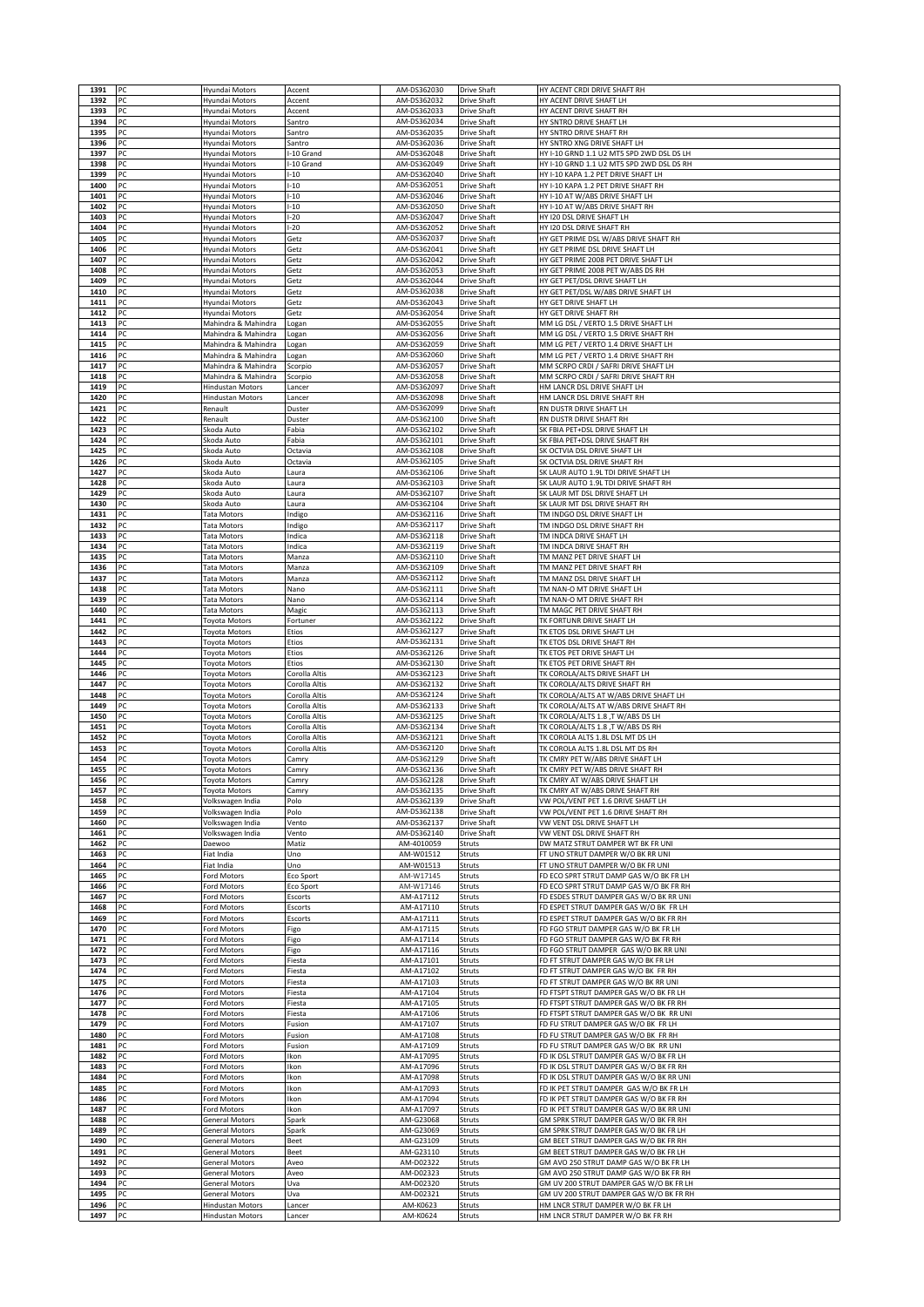| 1391         | PC       | Hyundai Motors                                 | Accent                         | AM-DS362030                | <b>Drive Shaft</b>                       | HY ACENT CRDI DRIVE SHAFT RH                                                        |
|--------------|----------|------------------------------------------------|--------------------------------|----------------------------|------------------------------------------|-------------------------------------------------------------------------------------|
| 1392         | PC       | Hyundai Motors                                 | Accent                         | AM-DS362032                | Drive Shaft                              | HY ACENT DRIVE SHAFT LH                                                             |
| 1393         | PC       | Hyundai Motors                                 | Accent                         | AM-DS362033                | Drive Shaft                              | HY ACENT DRIVE SHAFT RH                                                             |
| 1394<br>1395 | PC<br>PC | Hyundai Motors<br>Hyundai Motors               | Santro<br>Santro               | AM-DS362034<br>AM-DS362035 | Drive Shaft<br>Drive Shaft               | HY SNTRO DRIVE SHAFT LH<br>HY SNTRO DRIVE SHAFT RH                                  |
| 1396         | PC       | Hyundai Motors                                 | Santro                         | AM-DS362036                | Drive Shaft                              | HY SNTRO XNG DRIVE SHAFT LH                                                         |
| 1397         | PC       | Hyundai Motors                                 | -10 Grand                      | AM-DS362048                | Drive Shaft                              | HY I-10 GRND 1.1 U2 MT5 SPD 2WD DSL DS LH                                           |
| 1398         | PC       | Hyundai Motors                                 | -10 Grand                      | AM-DS362049                | Drive Shaft                              | HY I-10 GRND 1.1 U2 MT5 SPD 2WD DSL DS RH                                           |
| 1399<br>1400 | PC<br>PC | Hyundai Motors<br>Hyundai Motors               | $-10$<br>$-10$                 | AM-DS362040<br>AM-DS362051 | <b>Drive Shaft</b><br><b>Drive Shaft</b> | HY I-10 KAPA 1.2 PET DRIVE SHAFT LH<br>HY I-10 KAPA 1.2 PET DRIVE SHAFT RH          |
| 1401         | PC       | Hyundai Motors                                 | $-10$                          | AM-DS362046                | Drive Shaft                              | HY I-10 AT W/ABS DRIVE SHAFT LH                                                     |
| 1402         | PC       | Hyundai Motors                                 | $-10$                          | AM-DS362050                | Drive Shaft                              | HY I-10 AT W/ABS DRIVE SHAFT RH                                                     |
| 1403         | PC       | Hyundai Motors                                 | $-20$                          | AM-DS362047                | Drive Shaft                              | HY 120 DSL DRIVE SHAFT LH                                                           |
| 1404<br>1405 | PC<br>PC | Hyundai Motors<br>Hyundai Motors               | $-20$<br>Getz                  | AM-DS362052<br>AM-DS362037 | Drive Shaft<br>Drive Shaft               | HY 120 DSL DRIVE SHAFT RH<br>HY GET PRIME DSL W/ABS DRIVE SHAFT RH                  |
| 1406         | PC       | Hyundai Motors                                 | Getz                           | AM-DS362041                | Drive Shaft                              | HY GET PRIME DSL DRIVE SHAFT LH                                                     |
| 1407         | PC       | Hyundai Motors                                 | Getz                           | AM-DS362042                | <b>Drive Shaft</b>                       | HY GET PRIME 2008 PET DRIVE SHAFT LH                                                |
| 1408<br>1409 | PC<br>PC | Hyundai Motors<br>Hyundai Motors               | Getz                           | AM-DS362053<br>AM-DS362044 | Drive Shaft                              | HY GET PRIME 2008 PET W/ABS DS RH<br>HY GET PET/DSL DRIVE SHAFT LH                  |
| 1410         | PC       | Hyundai Motors                                 | Getz<br>Getz                   | AM-DS362038                | Drive Shaft<br>Drive Shaft               | HY GET PET/DSL W/ABS DRIVE SHAFT LH                                                 |
| 1411         | PC       | Hyundai Motors                                 | Getz                           | AM-DS362043                | Drive Shaft                              | HY GET DRIVE SHAFT LH                                                               |
| 1412         | PC       | Hyundai Motors                                 | Getz                           | AM-DS362054                | Drive Shaft                              | HY GET DRIVE SHAFT RH                                                               |
| 1413<br>1414 | PC<br>PC | Mahindra & Mahindra<br>Mahindra & Mahindra     | Logan<br>Logan                 | AM-DS362055<br>AM-DS362056 | Drive Shaft<br>Drive Shaft               | MM LG DSL / VERTO 1.5 DRIVE SHAFT LH<br>MM LG DSL / VERTO 1.5 DRIVE SHAFT RH        |
| 1415         | PC       | Mahindra & Mahindra                            | Logan                          | AM-DS362059                | Drive Shaft                              | MM LG PET / VERTO 1.4 DRIVE SHAFT LH                                                |
| 1416         | PC       | Mahindra & Mahindra                            | Logan                          | AM-DS362060                | Drive Shaft                              | MM LG PET / VERTO 1.4 DRIVE SHAFT RH                                                |
| 1417         | PC       | Mahindra & Mahindra                            | Scorpio                        | AM-DS362057                | Drive Shaft                              | MM SCRPO CRDI / SAFRI DRIVE SHAFT LH                                                |
| 1418<br>1419 | PC<br>PC | Mahindra & Mahindra<br><b>Hindustan Motors</b> | Scorpio<br>.ancer              | AM-DS362058<br>AM-DS362097 | Drive Shaft<br><b>Drive Shaft</b>        | MM SCRPO CRDI / SAFRI DRIVE SHAFT RH<br>HM LANCR DSL DRIVE SHAFT LH                 |
| 1420         | PC       | <b>Hindustan Motors</b>                        | Lancer                         | AM-DS362098                | <b>Drive Shaft</b>                       | HM LANCR DSL DRIVE SHAFT RH                                                         |
| 1421         | PC       | Renault                                        | Duster                         | AM-DS362099                | Drive Shaft                              | RN DUSTR DRIVE SHAFT LH                                                             |
| 1422         | PC       | Renault                                        | Duster                         | AM-DS362100                | Drive Shaft                              | RN DUSTR DRIVE SHAFT RH                                                             |
| 1423<br>1424 | PC<br>PC | Skoda Auto<br>Skoda Auto                       | Fabia<br>Fabia                 | AM-DS362102<br>AM-DS362101 | Drive Shaft<br>Drive Shaft               | SK FBIA PET+DSL DRIVE SHAFT LH<br>SK FBIA PET+DSL DRIVE SHAFT RH                    |
| 1425         | PC       | Skoda Auto                                     | Octavia                        | AM-DS362108                | <b>Drive Shaft</b>                       | SK OCTVIA DSL DRIVE SHAFT LH                                                        |
| 1426         | PC       | Skoda Auto                                     | Octavia                        | AM-DS362105                | <b>Drive Shaft</b>                       | SK OCTVIA DSL DRIVE SHAFT RH                                                        |
| 1427         | PC<br>PC | Skoda Auto                                     | Laura                          | AM-DS362106<br>AM-DS362103 | Drive Shaft                              | SK LAUR AUTO 1.9L TDI DRIVE SHAFT LH                                                |
| 1428<br>1429 | PC       | Skoda Auto<br>Skoda Auto                       | Laura<br>Laura                 | AM-DS362107                | Drive Shaft<br>Drive Shaft               | SK LAUR AUTO 1.9L TDI DRIVE SHAFT RH<br>SK LAUR MT DSL DRIVE SHAFT LH               |
| 1430         | PC       | Skoda Auto                                     | Laura                          | AM-DS362104                | Drive Shaft                              | SK LAUR MT DSL DRIVE SHAFT RH                                                       |
| 1431         | PC       | Tata Motors                                    | Indigo                         | AM-DS362116                | Drive Shaft                              | TM INDGO DSL DRIVE SHAFT LH                                                         |
| 1432<br>1433 | PC<br>PC | Tata Motors<br><b>Tata Motors</b>              | Indigo<br>Indica               | AM-DS362117<br>AM-DS362118 | <b>Drive Shaft</b><br>Drive Shaft        | TM INDGO DSL DRIVE SHAFT RH<br>TM INDCA DRIVE SHAFT LH                              |
| 1434         | PC       | <b>Tata Motors</b>                             | Indica                         | AM-DS362119                | Drive Shaft                              | TM INDCA DRIVE SHAFT RH                                                             |
| 1435         | PC       | Tata Motors                                    | Manza                          | AM-DS362110                | Drive Shaft                              | TM MANZ PET DRIVE SHAFT LH                                                          |
| 1436         | PC       | <b>Tata Motors</b>                             | Manza                          | AM-DS362109                | Drive Shaft                              | TM MANZ PET DRIVE SHAFT RH                                                          |
| 1437<br>1438 | PC<br>PC | Tata Motors<br>Tata Motors                     | Manza<br>Nano                  | AM-DS362112<br>AM-DS362111 | Drive Shaft<br>Drive Shaft               | TM MANZ DSL DRIVE SHAFT LH<br>TM NAN-O MT DRIVE SHAFT LH                            |
| 1439         | PC       | Tata Motors                                    | Nano                           | AM-DS362114                | Drive Shaft                              | TM NAN-O MT DRIVE SHAFT RH                                                          |
| 1440         | PC       | Tata Motors                                    | Magic                          | AM-DS362113                | Drive Shaft                              | TM MAGC PET DRIVE SHAFT RH                                                          |
| 1441<br>1442 | PC<br>PC | Toyota Motors<br><b>Toyota Motors</b>          | Fortuner<br>Etios              | AM-DS362122<br>AM-DS362127 | <b>Drive Shaft</b><br>Drive Shaft        | TK FORTUNR DRIVE SHAFT LH<br>TK ETOS DSL DRIVE SHAFT LH                             |
| 1443         | PC       | Toyota Motors                                  | Etios                          | AM-DS362131                | Drive Shaft                              | TK ETOS DSL DRIVE SHAFT RH                                                          |
| 1444         | PC       | <b>Toyota Motors</b>                           | Etios                          | AM-DS362126                |                                          |                                                                                     |
|              |          |                                                |                                |                            | Drive Shaft                              | TK ETOS PET DRIVE SHAFT LH                                                          |
| 1445         | PC       | Toyota Motors                                  | Etios                          | AM-DS362130                | Drive Shaft                              | TK ETOS PET DRIVE SHAFT RH                                                          |
| 1446<br>1447 | PC       | Toyota Motors                                  | Corolla Altis                  | AM-DS362123                | Drive Shaft                              | TK COROLA/ALTS DRIVE SHAFT LH<br>TK COROLA/ALTS DRIVE SHAFT RH                      |
| 1448         | PC<br>PC | Toyota Motors<br>Toyota Motors                 | Corolla Altis<br>Corolla Altis | AM-DS362132<br>AM-DS362124 | Drive Shaft<br>Drive Shaft               | TK COROLA/ALTS AT W/ABS DRIVE SHAFT LH                                              |
| 1449         | PC       | <b>Toyota Motors</b>                           | Corolla Altis                  | AM-DS362133                | Drive Shaft                              | TK COROLA/ALTS AT W/ABS DRIVE SHAFT RH                                              |
| 1450         | PC       | Toyota Motors                                  | Corolla Altis                  | AM-DS362125                | Drive Shaft                              | TK COROLA/ALTS 1.8, T W/ABS DS LH                                                   |
| 1451<br>1452 | PC<br>PC | Toyota Motors<br><b>Toyota Motors</b>          | Corolla Altis<br>Corolla Altis | AM-DS362134<br>AM-DS362121 | Drive Shaft<br>Drive Shaft               | TK COROLA/ALTS 1.8, T W/ABS DS RH<br>TK COROLA ALTS 1.8L DSL MT DS LH               |
| 1453         | PC       | Toyota Motors                                  | Corolla Altis                  | AM-DS362120                | Drive Shaft                              | TK COROLA ALTS 1.8L DSL MT DS RH                                                    |
| 1454         | PC       | Toyota Motors                                  | Camry                          | AM-DS362129                | Drive Shaft                              | TK CMRY PET W/ABS DRIVE SHAFT LH                                                    |
| 1455<br>1456 | PC       | Toyota Motors<br>Toyota Motors                 | Camry<br>Camry                 | AM-DS362136<br>AM-DS362128 | Drive Shaft<br>Drive Shaft               | TK CMRY PET W/ABS DRIVE SHAFT RH<br>TK CMRY AT W/ABS DRIVE SHAFT LH                 |
| 1457         | PC       | Toyota Motors                                  | Camry                          | AM-DS362135                | <b>Drive Shaft</b>                       | TK CMRY AT W/ABS DRIVE SHAFT RH                                                     |
| 1458         | PC       | Volkswagen India                               | Polo                           | AM-DS362139                | Drive Shaft                              | VW POL/VENT PET 1.6 DRIVE SHAFT LH                                                  |
| 1459<br>1460 | PC<br>PC | Volkswagen India<br>Volkswagen India           | Polo<br>Vento                  | AM-DS362138<br>AM-DS362137 | Drive Shaft<br>Drive Shaft               | VW POL/VENT PET 1.6 DRIVE SHAFT RH<br>VW VENT DSL DRIVE SHAFT LH                    |
| 1461         | PC       | Volkswagen India                               | Vento                          | AM-DS362140                | Drive Shaft                              | VW VENT DSL DRIVE SHAFT RH                                                          |
| 1462         | PC       | Daewoo                                         | Matiz                          | AM-4010059                 | Struts                                   | DW MATZ STRUT DAMPER WT BK FR UNI                                                   |
| 1463         | PC       | Fiat India                                     | Uno                            | AM-W01512                  | Struts                                   | FT UNO STRUT DAMPER W/O BK RR UNI                                                   |
| 1464<br>1465 | PC<br>PC | Fiat India<br>Ford Motors                      | Uno<br>Eco Sport               | AM-W01513<br>AM-W17145     | Struts<br>Struts                         | FT UNO STRUT DAMPER W/O BK FR UNI<br>FD ECO SPRT STRUT DAMP GAS W/O BK FR LH        |
| 1466         | PC       | Ford Motors                                    | Eco Sport                      | AM-W17146                  | Struts                                   | FD ECO SPRT STRUT DAMP GAS W/O BK FR RH                                             |
| 1467         | PC       | Ford Motors                                    | Escorts                        | AM-A17112                  | Struts                                   | FD ESDES STRUT DAMPER GAS W/O BK RR UNI                                             |
| 1468<br>1469 | PC<br>PC | Ford Motors<br>Ford Motors                     | Escorts<br>Escorts             | AM-A17110<br>AM-A17111     | Struts<br>Struts                         | FD ESPET STRUT DAMPER GAS W/O BK FR LH<br>FD ESPET STRUT DAMPER GAS W/O BK FR RH    |
| 1470         | PC       | Ford Motors                                    | Figo                           | AM-A17115                  | Struts                                   | FD FGO STRUT DAMPER GAS W/O BK FR LH                                                |
| 1471         | PC       | Ford Motors                                    | Figo                           | AM-A17114                  | Struts                                   | FD FGO STRUT DAMPER GAS W/O BK FR RH                                                |
| 1472<br>1473 | PC<br>PC | Ford Motors<br>Ford Motors                     | Figo<br>Fiesta                 | AM-A17116<br>AM-A17101     | Struts<br>Struts                         | FD FGO STRUT DAMPER GAS W/O BK RR UNI<br>FD FT STRUT DAMPER GAS W/O BK FR LH        |
| 1474         | PC       | Ford Motors                                    | Fiesta                         | AM-A17102                  | Struts                                   | FD FT STRUT DAMPER GAS W/O BK FR RH                                                 |
| 1475         | PC       | Ford Motors                                    | Fiesta                         | AM-A17103                  | Struts                                   | FD FT STRUT DAMPER GAS W/O BK RR UNI                                                |
| 1476         | PC       | Ford Motors                                    | Fiesta                         | AM-A17104                  | Struts                                   | FD FTSPT STRUT DAMPER GAS W/O BK FR LH                                              |
| 1477<br>1478 | PC<br>PC | Ford Motors<br>Ford Motors                     | Fiesta<br>Fiesta               | AM-A17105<br>AM-A17106     | Struts<br>Struts                         | FD FTSPT STRUT DAMPER GAS W/O BK FR RH<br>FD FTSPT STRUT DAMPER GAS W/O BK RR UNI   |
| 1479         | PC       | Ford Motors                                    | Fusion                         | AM-A17107                  | Struts                                   | FD FU STRUT DAMPER GAS W/O BK FR LH                                                 |
| 1480         | PC       | Ford Motors                                    | Fusion                         | AM-A17108                  | Struts                                   | FD FU STRUT DAMPER GAS W/O BK FR RH                                                 |
| 1481<br>1482 | PC<br>PC | Ford Motors<br>Ford Motors                     | Fusion<br>Ikon                 | AM-A17109<br>AM-A17095     | Struts<br>Struts                         | FD FU STRUT DAMPER GAS W/O BK RR UNI<br>FD IK DSL STRUT DAMPER GAS W/O BK FR LH     |
| 1483         | PC       | Ford Motors                                    | Ikon                           | AM-A17096                  | Struts                                   | FD IK DSL STRUT DAMPER GAS W/O BK FR RH                                             |
| 1484         | PC       | Ford Motors                                    | Ikon                           | AM-A17098                  | Struts                                   | FD IK DSL STRUT DAMPER GAS W/O BK RR UNI                                            |
| 1485         | PC       | Ford Motors                                    | Ikon                           | AM-A17093                  | Struts                                   | FD IK PET STRUT DAMPER GAS W/O BK FR LH                                             |
| 1486<br>1487 | PC<br>PC | Ford Motors<br>Ford Motors                     | Ikon<br>Ikon                   | AM-A17094<br>AM-A17097     | Struts<br>Struts                         | FD IK PET STRUT DAMPER GAS W/O BK FR RH<br>FD IK PET STRUT DAMPER GAS W/O BK RR UNI |
| 1488         | PC       | General Motors                                 | Spark                          | AM-G23068                  | Struts                                   | GM SPRK STRUT DAMPER GAS W/O BK FR RH                                               |
| 1489         | PC       | General Motors                                 | Spark                          | AM-G23069                  | Struts                                   | GM SPRK STRUT DAMPER GAS W/O BK FR LH                                               |
| 1490<br>1491 | PC<br>PC | General Motors                                 | Beet                           | AM-G23109                  | Struts                                   | GM BEET STRUT DAMPER GAS W/O BK FR RH                                               |
| 1492         | PC       | General Motors<br>General Motors               | Beet<br>Aveo                   | AM-G23110<br>AM-D02322     | Struts<br>Struts                         | GM BEET STRUT DAMPER GAS W/O BK FR LH<br>GM AVO 250 STRUT DAMP GAS W/O BK FR LH     |
| 1493         | PC       | General Motors                                 | Aveo                           | AM-D02323                  | Struts                                   | GM AVO 250 STRUT DAMP GAS W/O BK FR RH                                              |
| 1494         | PC       | General Motors                                 | Uva                            | AM-D02320                  | Struts                                   | GM UV 200 STRUT DAMPER GAS W/O BK FR LH                                             |
| 1495<br>1496 | PC<br>PC | General Motors<br><b>Hindustan Motors</b>      | Uva<br>Lancer                  | AM-D02321<br>AM-K0623      | Struts<br>Struts                         | GM UV 200 STRUT DAMPER GAS W/O BK FR RH<br>HM LNCR STRUT DAMPER W/O BK FR LH        |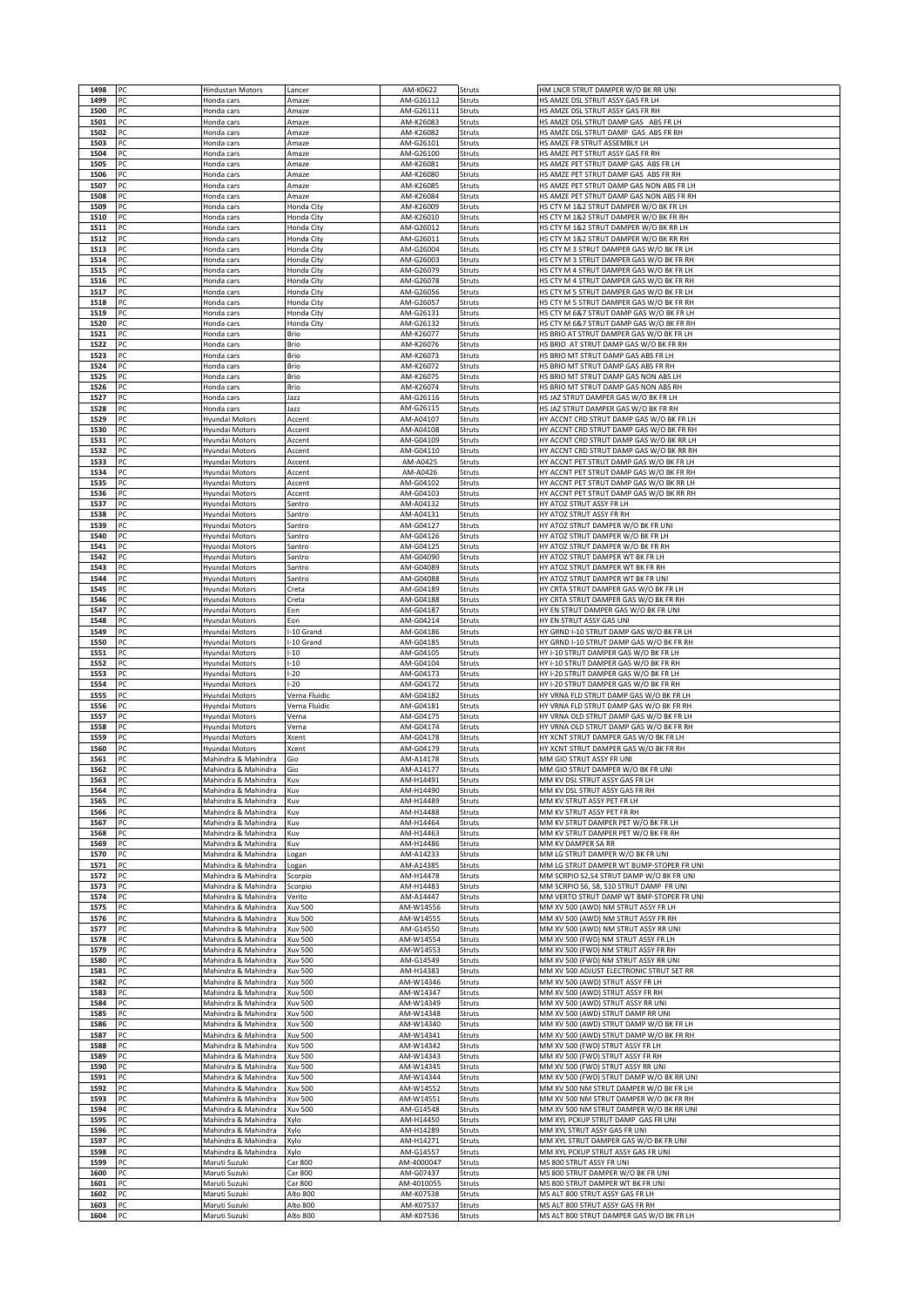| 1499         | PC       | <b>Hindustan Motors</b>                    | Lancer                         | AM-K0622                | Struts           | HM LNCR STRUT DAMPER W/O BK RR UNI                                                   |
|--------------|----------|--------------------------------------------|--------------------------------|-------------------------|------------------|--------------------------------------------------------------------------------------|
|              | PC       | Honda cars                                 | Amaze                          | AM-G26112               | Struts           | HS AMZE DSL STRUT ASSY GAS FR LH                                                     |
| 1500         | PC<br>PC | Honda cars                                 | Amaze                          | AM-G26111               | Struts           | HS AMZE DSL STRUT ASSY GAS FR RH                                                     |
| 1501<br>1502 | PC       | Honda cars<br>Honda cars                   | Amaze<br>Amaze                 | AM-K26083<br>AM-K26082  | Struts<br>Struts | HS AMZE DSL STRUT DAMP GAS ABS FR LH<br>HS AMZE DSL STRUT DAMP GAS ABS FR RH         |
| 1503         | PC       | Honda cars                                 | Amaze                          | AM-G26101               | Struts           | HS AMZE FR STRUT ASSEMBLY LH                                                         |
| 1504         | PC       | Honda cars                                 | Amaze                          | AM-G26100               | Struts           | HS AMZE PET STRUT ASSY GAS FR RH                                                     |
| 1505         | PC       | Honda cars                                 | Amaze                          | AM-K26081               | Struts           | HS AMZE PET STRUT DAMP GAS ABS FR LH                                                 |
| 1506<br>1507 | PC<br>PC | Honda cars<br>Honda cars                   | Amaze<br>Amaze                 | AM-K26080<br>AM-K26085  | Struts<br>Struts | HS AMZE PET STRUT DAMP GAS ABS FR RH<br>HS AMZE PET STRUT DAMP GAS NON ABS FR LH     |
| 1508         | PC       | Honda cars                                 | Amaze                          | AM-K26084               | Struts           | HS AMZE PET STRUT DAMP GAS NON ABS FR RH                                             |
| 1509         | PC       | Honda cars                                 | Honda City                     | AM-K26009               | Struts           | HS CTY M 1&2 STRUT DAMPER W/O BK FR LH                                               |
| 1510<br>1511 | PC<br>PC | Honda cars<br>Honda cars                   | Honda City<br>Honda City       | AM-K26010<br>AM-G26012  | Struts<br>Struts | HS CTY M 1&2 STRUT DAMPER W/O BK FR RH<br>HS CTY M 1&2 STRUT DAMPER W/O BK RR LH     |
| 1512         | PC       | Honda cars                                 | Honda City                     | AM-G26011               | Struts           | HS CTY M 1&2 STRUT DAMPER W/O BK RR RH                                               |
| 1513         | PC       | Honda cars                                 | Honda City                     | AM-G26004               | Struts           | HS CTY M 3 STRUT DAMPER GAS W/O BK FR LH                                             |
| 1514<br>1515 | PC<br>PC | Honda cars                                 | Honda City                     | AM-G26003<br>AM-G26079  | Struts           | HS CTY M 3 STRUT DAMPER GAS W/O BK FR RH<br>HS CTY M 4 STRUT DAMPER GAS W/O BK FR LH |
| 1516         | PC       | Honda cars<br>Honda cars                   | Honda City<br>Honda City       | AM-G26078               | Struts<br>Struts | HS CTY M 4 STRUT DAMPER GAS W/O BK FR RH                                             |
| 1517         | PC       | Honda cars                                 | Honda City                     | AM-G26056               | Struts           | HS CTY M 5 STRUT DAMPER GAS W/O BK FR LH                                             |
| 1518         | PC       | Honda cars                                 | Honda City                     | AM-G26057               | Struts           | HS CTY M 5 STRUT DAMPER GAS W/O BK FR RH                                             |
| 1519<br>1520 | PC<br>PC | Honda cars<br>Honda cars                   | Honda City<br>Honda City       | AM-G26131<br>AM-G26132  | Struts<br>Struts | HS CTY M 6&7 STRUT DAMP GAS W/O BK FR LH<br>HS CTY M 6&7 STRUT DAMP GAS W/O BK FR RH |
| 1521         | PC       | Honda cars                                 | Brio                           | AM-K26077               | Struts           | HS BRIO AT STRUT DAMPER GAS W/O BK FR LH                                             |
| 1522         | PC       | Honda cars                                 | Brio                           | AM-K26076               | Struts           | HS BRIO AT STRUT DAMP GAS W/O BK FR RH                                               |
| 1523<br>1524 | PC<br>PC | Honda cars                                 | Brio<br>Brio                   | AM-K26073<br>AM-K26072  | Struts<br>Struts | HS BRIO MT STRUT DAMP GAS ABS FR LH<br>HS BRIO MT STRUT DAMP GAS ABS FR RH           |
| 1525         | PC       | Honda cars<br>Honda cars                   | Brio                           | AM-K26075               | Struts           | HS BRIO MT STRUT DAMP GAS NON ABS LH                                                 |
| 1526         | PC       | Honda cars                                 | Brio                           | AM-K26074               | Struts           | HS BRIO MT STRUT DAMP GAS NON ABS RH                                                 |
| 1527         | PC       | Honda cars                                 | Jazz                           | AM-G26116               | Struts           | HS JAZ STRUT DAMPER GAS W/O BK FR LH                                                 |
| 1528<br>1529 | PC<br>PC | Honda cars<br>Hyundai Motors               | Jazz<br>Accent                 | AM-G26115<br>AM-A04107  | Struts<br>Struts | HS JAZ STRUT DAMPER GAS W/O BK FR RH<br>HY ACCNT CRD STRUT DAMP GAS W/O BK FR LH     |
| 1530         | PC       | Hyundai Motors                             | Accent                         | AM-A04108               | Struts           | HY ACCNT CRD STRUT DAMP GAS W/O BK FR RH                                             |
| 1531         | PC       | Hyundai Motors                             | Accent                         | AM-G04109               | Struts           | HY ACCNT CRD STRUT DAMP GAS W/O BK RR LH                                             |
| 1532<br>1533 | PC<br>PC | Hyundai Motors                             | Accent                         | AM-G04110<br>AM-A0425   | Struts<br>Struts | HY ACCNT CRD STRUT DAMP GAS W/O BK RR RH<br>HY ACCNT PET STRUT DAMP GAS W/O BK FR LH |
| 1534         | PC       | Hyundai Motors<br>Hyundai Motors           | Accent<br>Accent               | AM-A0426                | Struts           | HY ACCNT PET STRUT DAMP GAS W/O BK FR RH                                             |
| 1535         | PC       | Hyundai Motors                             | Accent                         | AM-G04102               | Struts           | HY ACCNT PET STRUT DAMP GAS W/O BK RR LH                                             |
| 1536         | PC       | Hyundai Motors                             | Accent                         | AM-G04103               | Struts           | HY ACCNT PET STRUT DAMP GAS W/O BK RR RH                                             |
| 1537<br>1538 | PC<br>PC | Hyundai Motors<br>Hyundai Motors           | Santro<br>Santro               | AM-A04132<br>AM-A04131  | Struts<br>Struts | HY ATOZ STRUT ASSY FR LH<br>HY ATOZ STRUT ASSY FR RH                                 |
| 1539         | PC       | Hyundai Motors                             | Santro                         | AM-G04127               | Struts           | HY ATOZ STRUT DAMPER W/O BK FR UNI                                                   |
| 1540         | PC       | Hyundai Motors                             | Santro                         | AM-G04126               | Struts           | HY ATOZ STRUT DAMPER W/O BK FR LH                                                    |
| 1541         | PC       | Hyundai Motors                             | Santro                         | AM-G04125               | Struts           | HY ATOZ STRUT DAMPER W/O BK FR RH                                                    |
| 1542<br>1543 | PC<br>PC | Hyundai Motors<br>Hyundai Motors           | Santro<br>Santro               | AM-G04090<br>AM-G04089  | Struts<br>Struts | HY ATOZ STRUT DAMPER WT BK FR LH<br>HY ATOZ STRUT DAMPER WT BK FR RH                 |
| 1544         | PC       | Hyundai Motors                             | Santro                         | AM-G04088               | Struts           | HY ATOZ STRUT DAMPER WT BK FR UN                                                     |
| 1545         | PC       | Hyundai Motors                             | Creta                          | AM-G04189               | Struts           | HY CRTA STRUT DAMPER GAS W/O BK FR LH                                                |
| 1546<br>1547 | PC<br>PC | Hyundai Motors<br>Hyundai Motors           | Creta<br>Eon                   | AM-G04188<br>AM-G04187  | Struts<br>Struts | HY CRTA STRUT DAMPER GAS W/O BK FR RH<br>HY EN STRUT DAMPER GAS W/O BK FR UNI        |
| 1548         | PC       | Hyundai Motors                             | Eon                            | AM-G04214               | Struts           | HY EN STRUT ASSY GAS UNI                                                             |
| 1549         | PC       | Hyundai Motors                             | -10 Grand                      | AM-G04186               | Struts           | HY GRND I-10 STRUT DAMP GAS W/O BK FR LH                                             |
| 1550         | PC       | Hyundai Motors                             | -10 Grand                      | AM-G04185               | Struts           | HY GRND I-10 STRUT DAMP GAS W/O BK FR RH                                             |
| 1551<br>1552 | PC<br>PC | Hyundai Motors<br>Hyundai Motors           | $-10$<br>$-10$                 | AM-G04105<br>AM-G04104  | Struts<br>Struts | HY I-10 STRUT DAMPER GAS W/O BK FR LH<br>HY I-10 STRUT DAMPER GAS W/O BK FR RH       |
| 1553         | PC       | Hyundai Motors                             | $-20$                          | AM-G04173               | Struts           | HY I-20 STRUT DAMPER GAS W/O BK FR LH                                                |
| 1554         | PC       | Hyundai Motors                             | $-20$                          | AM-G04172               | Struts           | HY I-20 STRUT DAMPER GAS W/O BK FR RH                                                |
| 1555<br>1556 | PC<br>PC | Hyundai Motors<br>Hyundai Motors           | Verna Fluidic<br>Verna Fluidic | AM-G04182<br>AM-G04181  | Struts<br>Struts | HY VRNA FLD STRUT DAMP GAS W/O BK FR LH<br>HY VRNA FLD STRUT DAMP GAS W/O BK FR RH   |
| 1557         | PC       | Hyundai Motors                             | Verna                          | AM-G04175               | Struts           | HY VRNA OLD STRUT DAMP GAS W/O BK FR LH                                              |
|              |          |                                            |                                |                         | Struts           |                                                                                      |
| 1558         | PC       | Hyundai Motors                             | Verna                          | AM-G04174               |                  | HY VRNA OLD STRUT DAMP GAS W/O BK FR RH                                              |
| 1559         | PC       | Hyundai Motors                             | Xcent                          | AM-G04178               | Struts           | HY XCNT STRUT DAMPER GAS W/O BK FR LH                                                |
| 1560<br>1561 | PC<br>PC | Hyundai Motors<br>Mahindra & Mahindra      | Xcent<br>Gio                   | AM-G04179<br>AM-A14178  | Struts<br>Struts | HY XCNT STRUT DAMPER GAS W/O BK FR RH<br>MM GIO STRUT ASSY FR UNI                    |
| 1562         | PC       | Mahindra & Mahindra                        | Gio                            | AM-A14177               | Struts           | MM GIO STRUT DAMPER W/O BK FR UNI                                                    |
| 1563         |          | Mahindra & Mahindra                        | Kuv                            | AM-H14491               | Struts           | MM KV DSL STRUT ASSY GAS FR LH                                                       |
| 1564<br>1565 | PC<br>PC | Mahindra & Mahindra<br>Mahindra & Mahindra | Kuv<br>Kuv                     | AM-H14490<br>AM-H14489  | Struts<br>Struts | MM KV DSL STRUT ASSY GAS FR RH<br>MM KV STRUT ASSY PET FR LH                         |
| 1566         | PC       | Mahindra & Mahindra                        | Kuv                            | AM-H14488               | Struts           | MM KV STRUT ASSY PET FR RH                                                           |
| 1567         | PC       | Mahindra & Mahindra                        | Kuv                            | AM-H14464               | Struts           | MM KV STRUT DAMPER PET W/O BK FR LH                                                  |
| 1568<br>1569 | PC<br>PC | Mahindra & Mahindra<br>Mahindra & Mahindra | Kuv<br>Kuv                     | AM-H14463<br>AM-H14486  | Struts<br>Struts | MM KV STRUT DAMPER PET W/O BK FR RH<br>MM KV DAMPER SA RR                            |
| 1570         | PC       | Mahindra & Mahindra                        | Logan                          | AM-A14233               | Struts           | MM LG STRUT DAMPER W/O BK FR UNI                                                     |
| 1571         | PC       | Mahindra & Mahindra                        | Logan                          | AM-A14385               | Struts           | MM LG STRUT DAMPER WT BUMP-STOPER FR UNI                                             |
| 1572<br>1573 | PC<br>PC | Mahindra & Mahindra<br>Mahindra & Mahindra | Scorpio<br>Scorpio             | AM-H14478<br>AM-H14483  | Struts<br>Struts | MM SCRPIO S2,S4 STRUT DAMP W/O BK FR UNI<br>MM SCRPIO S6, S8, S10 STRUT DAMP FR UNI  |
| 1574         | PC       | Mahindra & Mahindra                        | Verito                         | AM-A14447               | Struts           | MM VERTO STRUT DAMP WT BMP-STOPER FR UNI                                             |
| 1575         | PC       | Mahindra & Mahindra                        | Xuv 500                        | AM-W14556               | Struts           | MM XV 500 (AWD) NM STRUT ASSY FR LH                                                  |
| 1576<br>1577 | PC<br>PC | Mahindra & Mahindra<br>Mahindra & Mahindra | Xuv 500<br>Xuv 500             | AM-W14555<br>AM-G14550  | Struts<br>Struts | MM XV 500 (AWD) NM STRUT ASSY FR RH<br>MM XV 500 (AWD) NM STRUT ASSY RR UNI          |
| 1578         | PC       | Mahindra & Mahindra                        | <b>Xuv 500</b>                 | AM-W14554               | Struts           | MM XV 500 (FWD) NM STRUT ASSY FR LH                                                  |
| 1579         | PC       | Mahindra & Mahindra                        | Xuv 500                        | AM-W14553               | Struts           | MM XV 500 (FWD) NM STRUT ASSY FR RH                                                  |
| 1580         | PC       | Mahindra & Mahindra                        | Xuv 500                        | AM-G14549               | Struts           | MM XV 500 (FWD) NM STRUT ASSY RR UNI                                                 |
| 1581<br>1582 | PC<br>PC | Mahindra & Mahindra<br>Mahindra & Mahindra | Xuv 500<br>Xuv 500             | AM-H14383<br>AM-W14346  | Struts<br>Struts | MM XV 500 ADJUST ELECTRONIC STRUT SET RR<br>MM XV 500 (AWD) STRUT ASSY FR LH         |
| 1583         | PC       | Mahindra & Mahindra                        | Xuv 500                        | AM-W14347               | Struts           | MM XV 500 (AWD) STRUT ASSY FR RH                                                     |
| 1584         | PC       | Mahindra & Mahindra                        | <b>Xuv 500</b>                 | AM-W14349               | Struts           | MM XV 500 (AWD) STRUT ASSY RR UNI                                                    |
| 1585<br>1586 | PC<br>PC | Mahindra & Mahindra<br>Mahindra & Mahindra | <b>Xuv 500</b><br>Xuv 500      | AM-W14348<br>AM-W14340  | Struts<br>Struts | MM XV 500 (AWD) STRUT DAMP RR UNI<br>MM XV 500 (AWD) STRUT DAMP W/O BK FR LH         |
| 1587         | PC       | Mahindra & Mahindra                        | Xuv 500                        | AM-W14341               | Struts           | MM XV 500 (AWD) STRUT DAMP W/O BK FR RH                                              |
| 1588         | PC       | Mahindra & Mahindra                        | <b>Xuv 500</b>                 | AM-W14342               | Struts           | MM XV 500 (FWD) STRUT ASSY FR LH                                                     |
| 1589         | PC       | Mahindra & Mahindra                        | Xuv 500                        | AM-W14343               | Struts           | MM XV 500 (FWD) STRUT ASSY FR RH                                                     |
| 1590<br>1591 | PC<br>PC | Mahindra & Mahindra<br>Mahindra & Mahindra | Xuv 500<br>Xuv 500             | AM-W14345<br>AM-W14344  | Struts<br>Struts | MM XV 500 (FWD) STRUT ASSY RR UNI<br>MM XV 500 (FWD) STRUT DAMP W/O BK RR UNI        |
| 1592         | PC       | Mahindra & Mahindra                        | <b>Xuv 500</b>                 | AM-W14552               | Struts           | MM XV 500 NM STRUT DAMPER W/O BK FR LH                                               |
| 1593         | PC       | Mahindra & Mahindra                        | Xuv 500                        | AM-W14551               | Struts           | MM XV 500 NM STRUT DAMPER W/O BK FR RH                                               |
| 1594<br>1595 | PC<br>PC | Mahindra & Mahindra<br>Mahindra & Mahindra | <b>Xuv 500</b><br>Xylo         | AM-G14548<br>AM-H14450  | Struts<br>Struts | MM XV 500 NM STRUT DAMPER W/O BK RR UNI<br>MM XYL PCKUP STRUT DAMP GAS FR UNI        |
| 1596         | PC       | Mahindra & Mahindra                        | Xylo                           | AM-H14289               | Struts           | MM XYL STRUT ASSY GAS FR UNI                                                         |
| 1597         | PC       | Mahindra & Mahindra                        | Xylo                           | AM-H14271               | Struts           | MM XYL STRUT DAMPER GAS W/O BK FR UNI                                                |
| 1598         | PC       | Mahindra & Mahindra                        | Xylo                           | AM-G14557               | Struts           | MM XYL PCKUP STRUT ASSY GAS FR UNI                                                   |
| 1599<br>1600 | PC<br>PC | Maruti Suzuki<br>Maruti Suzuki             | Car 800<br>Car 800             | AM-4000047<br>AM-G07437 | Struts<br>Struts | MS 800 STRUT ASSY FR UNI<br>MS 800 STRUT DAMPER W/O BK FR UNI                        |
| 1601         | PC       | Maruti Suzuki                              | Car 800                        | AM-4010055              | Struts           | MS 800 STRUT DAMPER WT BK FR UNI                                                     |
| 1602<br>1603 | PC<br>PC | Maruti Suzuki<br>Maruti Suzuki             | Alto 800<br>Alto 800           | AM-K07538<br>AM-K07537  | Struts<br>Struts | MS ALT 800 STRUT ASSY GAS FR LH<br>MS ALT 800 STRUT ASSY GAS FR RH                   |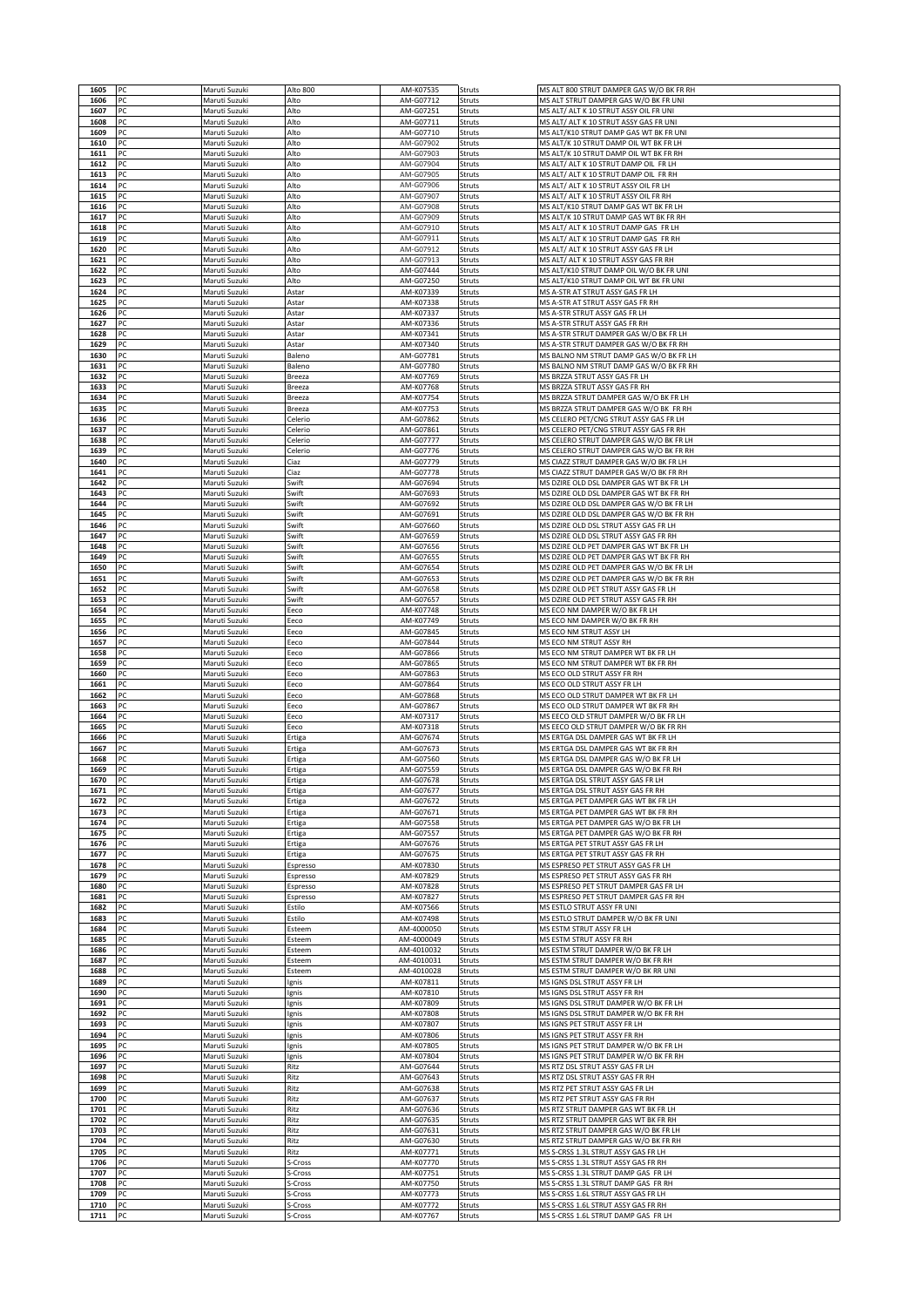| 1606         | PC       | Maruti Suzuki                  | Alto 800             | AM-K07535                | Struts           | MS ALT 800 STRUT DAMPER GAS W/O BK FR RH                                            |
|--------------|----------|--------------------------------|----------------------|--------------------------|------------------|-------------------------------------------------------------------------------------|
|              | PC       | Maruti Suzuki                  | Alto                 | AM-G07712                | Struts           | MS ALT STRUT DAMPER GAS W/O BK FR UNI                                               |
| 1607<br>1608 | PC<br>PC | Maruti Suzuki<br>Maruti Suzuki | Alto<br>Alto         | AM-G07251<br>AM-G07711   | Struts<br>Struts | MS ALT/ ALT K 10 STRUT ASSY OIL FR UNI<br>MS ALT/ ALT K 10 STRUT ASSY GAS FR UNI    |
| 1609         | PC       | Maruti Suzuki                  | Alto                 | AM-G07710                | Struts           | MS ALT/K10 STRUT DAMP GAS WT BK FR UNI                                              |
| 1610         | PC       | Maruti Suzuki                  | Alto                 | AM-G07902                | Struts           | MS ALT/K 10 STRUT DAMP OIL WT BK FR LH                                              |
| 1611<br>1612 | PC<br>PC | Maruti Suzuki                  | Alto<br>Alto         | AM-G07903<br>AM-G07904   | Struts           | MS ALT/K 10 STRUT DAMP OIL WT BK FR RH<br>MS ALT/ ALT K 10 STRUT DAMP OIL FR LH     |
| 1613         | PC       | Maruti Suzuki<br>Maruti Suzuki | Alto                 | AM-G07905                | Struts<br>Struts | MS ALT/ ALT K 10 STRUT DAMP OIL FR RH                                               |
| 1614         | PC       | Maruti Suzuki                  | Alto                 | AM-G07906                | Struts           | MS ALT/ ALT K 10 STRUT ASSY OIL FR LH                                               |
| 1615         | PC       | Maruti Suzuki                  | Alto                 | AM-G07907                | Struts           | MS ALT/ ALT K 10 STRUT ASSY OIL FR RH                                               |
| 1616<br>1617 | PC<br>PC | Maruti Suzuki<br>Maruti Suzuki | Alto<br>Alto         | AM-G07908<br>AM-G07909   | Struts<br>Struts | MS ALT/K10 STRUT DAMP GAS WT BK FR LH<br>MS ALT/K 10 STRUT DAMP GAS WT BK FR RH     |
| 1618         | PC       | Maruti Suzuki                  | Alto                 | AM-G07910                | Struts           | MS ALT/ ALT K 10 STRUT DAMP GAS FR LH                                               |
| 1619         | PC       | Maruti Suzuki                  | Alto                 | AM-G07911                | Struts           | MS ALT/ ALT K 10 STRUT DAMP GAS FR RH                                               |
| 1620         | PC<br>PC | Maruti Suzuki                  | Alto                 | AM-G07912                | Struts           | MS ALT/ ALT K 10 STRUT ASSY GAS FR LH                                               |
| 1621<br>1622 | PC       | Maruti Suzuki<br>Maruti Suzuki | Alto<br>Alto         | AM-G07913<br>AM-G07444   | Struts<br>Struts | MS ALT/ ALT K 10 STRUT ASSY GAS FR RH<br>MS ALT/K10 STRUT DAMP OIL W/O BK FR UNI    |
| 1623         | PC       | Maruti Suzuki                  | Alto                 | AM-G07250                | Struts           | MS ALT/K10 STRUT DAMP OIL WT BK FR UNI                                              |
| 1624         | PC       | Maruti Suzuki                  | Astar                | AM-K07339                | Struts           | MS A-STR AT STRUT ASSY GAS FR LH                                                    |
| 1625<br>1626 | PC<br>PC | Maruti Suzuki<br>Maruti Suzuki | Astar<br>Astar       | AM-K07338<br>AM-K07337   | Struts<br>Struts | MS A-STR AT STRUT ASSY GAS FR RH<br>MS A-STR STRUT ASSY GAS FR LH                   |
| 1627         | PC       | Maruti Suzuki                  | Astar                | AM-K07336                | Struts           | MS A-STR STRUT ASSY GAS FR RH                                                       |
| 1628         | PC       | Maruti Suzuki                  | Astar                | AM-K07341                | Struts           | MS A-STR STRUT DAMPER GAS W/O BK FR LH                                              |
| 1629         | PC       | Maruti Suzuki                  | Astar                | AM-K07340                | Struts           | MS A-STR STRUT DAMPER GAS W/O BK FR RH                                              |
| 1630<br>1631 | PC<br>PC | Maruti Suzuki<br>Maruti Suzuki | Baleno<br>Baleno     | AM-G07781<br>AM-G07780   | Struts<br>Struts | MS BALNO NM STRUT DAMP GAS W/O BK FR LH<br>MS BALNO NM STRUT DAMP GAS W/O BK FR RH  |
| 1632         | PC       | Maruti Suzuki                  | Breeza               | AM-K07769                | Struts           | MS BRZZA STRUT ASSY GAS FR LH                                                       |
| 1633         | PC       | Maruti Suzuki                  | Breeza               | AM-K07768                | Struts           | MS BRZZA STRUT ASSY GAS FR RH                                                       |
| 1634<br>1635 | PC<br>PC | Maruti Suzuki<br>Maruti Suzuki | Breeza<br>Breeza     | AM-K07754<br>AM-K07753   | Struts<br>Struts | MS BRZZA STRUT DAMPER GAS W/O BK FR LH<br>MS BRZZA STRUT DAMPER GAS W/O BK FR RH    |
| 1636         | PC       | Maruti Suzuki                  | Celerio              | AM-G07862                | Struts           | MS CELERO PET/CNG STRUT ASSY GAS FR LH                                              |
| 1637         | PC       | Maruti Suzuki                  | Celerio              | AM-G07861                | Struts           | MS CELERO PET/CNG STRUT ASSY GAS FR RH                                              |
| 1638         | PC       | Maruti Suzuki                  | Celerio              | AM-G07777                | Struts           | MS CELERO STRUT DAMPER GAS W/O BK FR LH                                             |
| 1639<br>1640 | PC<br>PC | Maruti Suzuki<br>Maruti Suzuki | Celerio<br>Ciaz      | AM-G07776<br>AM-G07779   | Struts<br>Struts | MS CELERO STRUT DAMPER GAS W/O BK FR RH<br>MS CIAZZ STRUT DAMPER GAS W/O BK FR LH   |
| 1641         | PC       | Maruti Suzuki                  | Ciaz                 | AM-G07778                | Struts           | MS CIAZZ STRUT DAMPER GAS W/O BK FR RH                                              |
| 1642         | PC       | Maruti Suzuki                  | Swift                | AM-G07694                | Struts           | MS DZIRE OLD DSL DAMPER GAS WT BK FR LH                                             |
| 1643<br>1644 | PC<br>PC | Maruti Suzuki<br>Maruti Suzuki | Swift<br>Swift       | AM-G07693<br>AM-G07692   | Struts<br>Struts | MS DZIRE OLD DSL DAMPER GAS WT BK FR RH<br>MS DZIRE OLD DSL DAMPER GAS W/O BK FR LH |
| 1645         | PC       | Maruti Suzuki                  | Swift                | AM-G07691                | Struts           | MS DZIRE OLD DSL DAMPER GAS W/O BK FR RH                                            |
| 1646         | PC       | Maruti Suzuki                  | Swift                | AM-G07660                | Struts           | MS DZIRE OLD DSL STRUT ASSY GAS FR LH                                               |
| 1647         | PC       | Maruti Suzuki                  | Swift                | AM-G07659                | Struts           | MS DZIRE OLD DSL STRUT ASSY GAS FR RH                                               |
| 1648<br>1649 | PC<br>PC | Maruti Suzuki<br>Maruti Suzuki | Swift<br>Swift       | AM-G07656<br>AM-G07655   | Struts<br>Struts | MS DZIRE OLD PET DAMPER GAS WT BK FR LH<br>MS DZIRE OLD PET DAMPER GAS WT BK FR RH  |
| 1650         | PC       | Maruti Suzuki                  | Swift                | AM-G07654                | Struts           | MS DZIRE OLD PET DAMPER GAS W/O BK FR LH                                            |
| 1651         | PC       | Maruti Suzuki                  | Swift                | AM-G07653                | Struts           | MS DZIRE OLD PET DAMPER GAS W/O BK FR RH                                            |
| 1652         | PC       | Maruti Suzuki                  | Swift                | AM-G07658                | Struts           | MS DZIRE OLD PET STRUT ASSY GAS FR LH                                               |
| 1653<br>1654 | PC<br>PC | Maruti Suzuki<br>Maruti Suzuki | Swift<br>Eeco        | AM-G07657<br>AM-K07748   | Struts<br>Struts | MS DZIRE OLD PET STRUT ASSY GAS FR RH<br>MS ECO NM DAMPER W/O BK FR LH              |
| 1655         | PC       | Maruti Suzuki                  | Eeco                 | AM-K07749                | Struts           | MS ECO NM DAMPER W/O BK FR RH                                                       |
| 1656         | PC       | Maruti Suzuki                  | Eeco                 | AM-G07845                | Struts           | MS ECO NM STRUT ASSY LH                                                             |
| 1657<br>1658 | PC<br>PC | Maruti Suzuki<br>Maruti Suzuki | Eeco<br>Eeco         | AM-G07844<br>AM-G07866   | Struts<br>Struts | MS ECO NM STRUT ASSY RH<br>MS ECO NM STRUT DAMPER WT BK FR LH                       |
| 1659         | PC       | Maruti Suzuki                  | Eeco                 | AM-G07865                | Struts           | MS ECO NM STRUT DAMPER WT BK FR RH                                                  |
| 1660         | PC       | Maruti Suzuki                  | Eeco                 | AM-G07863                | Struts           | MS ECO OLD STRUT ASSY FR RH                                                         |
| 1661<br>1662 | PC<br>PC | Maruti Suzuki<br>Maruti Suzuki | Eeco<br>Eeco         | AM-G07864<br>AM-G07868   | Struts<br>Struts | MS ECO OLD STRUT ASSY FR LH<br>MS ECO OLD STRUT DAMPER WT BK FR LH                  |
| 1663         | PC       | Maruti Suzuki                  | Eeco                 | AM-G07867                | Struts           | MS ECO OLD STRUT DAMPER WT BK FR RH                                                 |
| 1664         | PC       | Maruti Suzuki                  | Eeco                 | AM-K07317                | Struts           | MS EECO OLD STRUT DAMPER W/O BK FR LH                                               |
| 1665         | PC       | Maruti Suzuki                  | Eeco                 | AM-K07318                | Struts           | MS EECO OLD STRUT DAMPER W/O BK FR RH                                               |
| 1666<br>1667 | PC<br>PC | Maruti Suzuki<br>Maruti Suzuki | Ertiga<br>Ertiga     | AM-G07674<br>AM-G07673   | Struts<br>Struts | MS ERTGA DSL DAMPER GAS WT BK FR LH<br>MS ERTGA DSL DAMPER GAS WT BK FR RH          |
| 1668         | PC       | Maruti Suzuki                  | Ertiga               | AM-G07560                | Struts           |                                                                                     |
| 1669         | PC       |                                |                      |                          |                  | MS ERTGA DSL DAMPER GAS W/O BK FR LH                                                |
| 1670<br>1671 |          | Maruti Suzuki                  | Ertiga               | AM-G07559                | Struts           | MS ERTGA DSL DAMPER GAS W/O BK FR RH                                                |
|              |          | Maruti Suzuki                  | Ertiga               | AM-G07678                | Struts           | MS ERTGA DSL STRUT ASSY GAS FR LH                                                   |
| 1672         | PC<br>PC | Maruti Suzuki<br>Maruti Suzuki | Ertiga<br>Ertiga     | AM-G07677<br>AM-G07672   | Struts<br>Struts | MS ERTGA DSL STRUT ASSY GAS FR RH<br>MS ERTGA PET DAMPER GAS WT BK FR LH            |
| 1673         | PC       | Maruti Suzuki                  | Ertiga               | AM-G07671                | Struts           | MS ERTGA PET DAMPER GAS WT BK FR RH                                                 |
| 1674         | PC       | Maruti Suzuki                  | Ertiga               | AM-G07558                | Struts           | MS ERTGA PET DAMPER GAS W/O BK FR LH                                                |
| 1675<br>1676 | PC<br>PC | Maruti Suzuki<br>Maruti Suzuki | Ertiga<br>Ertiga     | AM-G07557<br>AM-G07676   | Struts<br>Struts | MS ERTGA PET DAMPER GAS W/O BK FR RH<br>MS ERTGA PET STRUT ASSY GAS FR LH           |
| 1677         | PC       | Maruti Suzuki                  | Ertiga               | AM-G07675                | Struts           | MS ERTGA PET STRUT ASSY GAS FR RH                                                   |
| 1678         | PC       | Maruti Suzuki                  | Espresso             | AM-K07830                | Struts           | MS ESPRESO PET STRUT ASSY GAS FR LH                                                 |
| 1679<br>1680 | PC<br>PC | Maruti Suzuki<br>Maruti Suzuki | Espresso<br>Espresso | AM-K07829<br>AM-K07828   | Struts<br>Struts | MS ESPRESO PET STRUT ASSY GAS FR RH<br>MS ESPRESO PET STRUT DAMPER GAS FR LH        |
| 1681         | PC       | Maruti Suzuki                  | Espresso             | AM-K07827                | Struts           | MS ESPRESO PET STRUT DAMPER GAS FR RH                                               |
| 1682         | PC       | Maruti Suzuki                  | Estilo               | AM-K07566                | Struts           | MS ESTLO STRUT ASSY FR UNI                                                          |
| 1683         | PC       | Maruti Suzuki                  | Estilo               | AM-K07498                | Struts           | MS ESTLO STRUT DAMPER W/O BK FR UNI                                                 |
| 1684<br>1685 | PC<br>PC | Maruti Suzuki<br>Maruti Suzuki | Esteem<br>Esteem     | AM-4000050<br>AM-4000049 | Struts<br>Struts | MS ESTM STRUT ASSY FR LH<br>MS ESTM STRUT ASSY FR RH                                |
| 1686         | PC       | Maruti Suzuki                  | Esteem               | AM-4010032               | Struts           | MS ESTM STRUT DAMPER W/O BK FR LH                                                   |
| 1687         | PC       | Maruti Suzuki                  | Esteem               | AM-4010031               | Struts           | MS ESTM STRUT DAMPER W/O BK FR RH                                                   |
| 1688<br>1689 | PC<br>PC | Maruti Suzuki<br>Maruti Suzuki | Esteem<br>Ignis      | AM-4010028<br>AM-K07811  | Struts<br>Struts | MS ESTM STRUT DAMPER W/O BK RR UNI<br>MS IGNS DSL STRUT ASSY FR LH                  |
| 1690         | PC       | Maruti Suzuki                  | Ignis                | AM-K07810                | Struts           | MS IGNS DSL STRUT ASSY FR RH                                                        |
| 1691         | PC       | Maruti Suzuki                  | Ignis                | AM-K07809                | Struts           | MS IGNS DSL STRUT DAMPER W/O BK FR LH                                               |
| 1692<br>1693 | PC<br>PC | Maruti Suzuki                  | Ignis                | AM-K07808                | Struts<br>Struts | MS IGNS DSL STRUT DAMPER W/O BK FR RH                                               |
| 1694         | PC       | Maruti Suzuki<br>Maruti Suzuki | Ignis<br>Ignis       | AM-K07807<br>AM-K07806   | Struts           | MS IGNS PET STRUT ASSY FR LH<br>MS IGNS PET STRUT ASSY FR RH                        |
| 1695         | PC       | Maruti Suzuki                  | gnis                 | AM-K07805                | Struts           | MS IGNS PET STRUT DAMPER W/O BK FR LH                                               |
| 1696         | PC       | Maruti Suzuki                  | Ignis                | AM-K07804                | Struts           | MS IGNS PET STRUT DAMPER W/O BK FR RH                                               |
| 1697<br>1698 | PC<br>PC | Maruti Suzuki<br>Maruti Suzuki | Ritz<br>Ritz         | AM-G07644<br>AM-G07643   | Struts<br>Struts | MS RTZ DSL STRUT ASSY GAS FR LH<br>MS RTZ DSL STRUT ASSY GAS FR RH                  |
| 1699         | PC       | Maruti Suzuki                  | Ritz                 | AM-G07638                | Struts           | MS RTZ PET STRUT ASSY GAS FR LH                                                     |
| 1700         | PC       | Maruti Suzuki                  | Ritz                 | AM-G07637                | Struts           | MS RTZ PET STRUT ASSY GAS FR RH                                                     |
| 1701         | PC       | Maruti Suzuki                  | Ritz                 | AM-G07636                | Struts           | MS RTZ STRUT DAMPER GAS WT BK FR LH                                                 |
| 1702<br>1703 | PC<br>PC | Maruti Suzuki<br>Maruti Suzuki | Ritz<br>Ritz         | AM-G07635<br>AM-G07631   | Struts<br>Struts | MS RTZ STRUT DAMPER GAS WT BK FR RH<br>MS RTZ STRUT DAMPER GAS W/O BK FR LH         |
| 1704         | PC       | Maruti Suzuki                  | Ritz                 | AM-G07630                | Struts           | MS RTZ STRUT DAMPER GAS W/O BK FR RH                                                |
| 1705         | PC       | Maruti Suzuki                  | Ritz                 | AM-K07771                | Struts           | MS S-CRSS 1.3L STRUT ASSY GAS FR LH                                                 |
| 1706         | PC       | Maruti Suzuki                  | S-Cross              | AM-K07770                | Struts           | MS S-CRSS 1.3L STRUT ASSY GAS FR RH                                                 |
| 1707<br>1708 | PC<br>PC | Maruti Suzuki<br>Maruti Suzuki | S-Cross<br>S-Cross   | AM-K07751<br>AM-K07750   | Struts<br>Struts | MS S-CRSS 1.3L STRUT DAMP GAS FR LH<br>MS S-CRSS 1.3L STRUT DAMP GAS FR RH          |
| 1709         | PC       | Maruti Suzuki                  | S-Cross              | AM-K07773                | Struts           | MS S-CRSS 1.6L STRUT ASSY GAS FR LH                                                 |
| 1710<br>1711 | PC<br>PC | Maruti Suzuki<br>Maruti Suzuki | S-Cross<br>S-Cross   | AM-K07772<br>AM-K07767   | Struts<br>Struts | MS S-CRSS 1.6L STRUT ASSY GAS FR RH<br>MS S-CRSS 1.6L STRUT DAMP GAS FR LH          |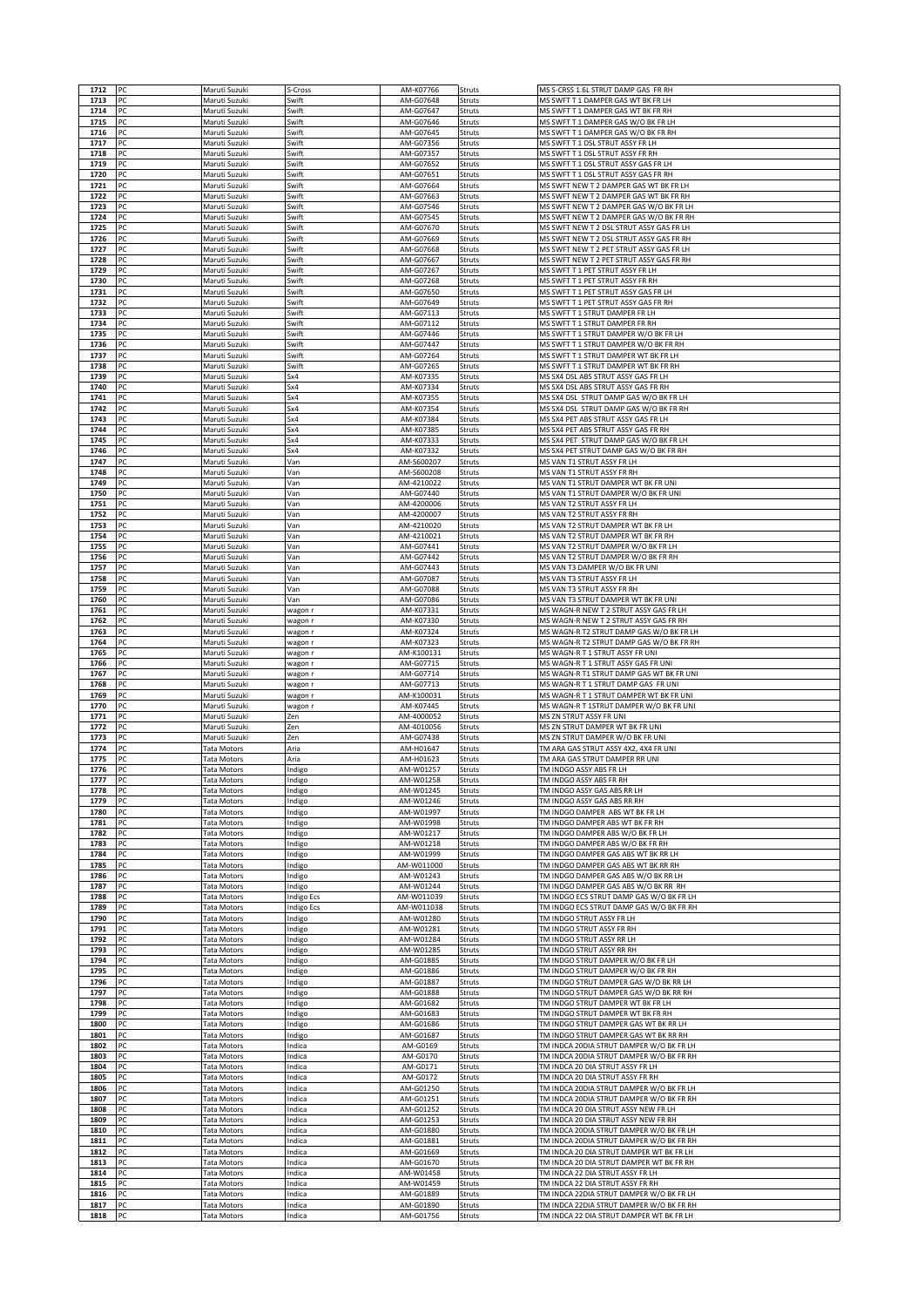| 1712         | PC       | Maruti Suzuki                            | S-Cross              | AM-K07766               | Struts           | MS S-CRSS 1.6L STRUT DAMP GAS FR RH                                                  |
|--------------|----------|------------------------------------------|----------------------|-------------------------|------------------|--------------------------------------------------------------------------------------|
| 1713         | PC       | Maruti Suzuki                            | Swift                | AM-G07648               | Struts           | MS SWFT T 1 DAMPER GAS WT BK FR LH                                                   |
| 1714         | PC<br>PC | Maruti Suzuki                            | Swift                | AM-G07647               | Struts           | MS SWFT T 1 DAMPER GAS WT BK FR RH                                                   |
| 1715<br>1716 | PC       | Maruti Suzuki<br>Maruti Suzuki           | Swift<br>Swift       | AM-G07646<br>AM-G07645  | Struts<br>Struts | MS SWFT T 1 DAMPER GAS W/O BK FR LH<br>MS SWFT T 1 DAMPER GAS W/O BK FR RH           |
| 1717         | PC       | Maruti Suzuki                            | Swift                | AM-G07356               | Struts           | MS SWFT T 1 DSL STRUT ASSY FR LH                                                     |
| 1718         | PC       | Maruti Suzuki                            | Swift                | AM-G07357               | Struts           | MS SWFT T 1 DSL STRUT ASSY FR RH                                                     |
| 1719         | PC       | Maruti Suzuki<br>Maruti Suzuki           | Swift                | AM-G07652<br>AM-G07651  | Struts           | MS SWFT T 1 DSL STRUT ASSY GAS FR LH                                                 |
| 1720<br>1721 | PC<br>PC | Maruti Suzuki                            | Swift<br>Swift       | AM-G07664               | Struts<br>Struts | MS SWFT T 1 DSL STRUT ASSY GAS FR RH<br>MS SWFT NEW T 2 DAMPER GAS WT BK FR LH       |
| 1722         | PC       | Maruti Suzuki                            | Swift                | AM-G07663               | Struts           | MS SWFT NEW T 2 DAMPER GAS WT BK FR RH                                               |
| 1723         | PC       | Maruti Suzuki                            | Swift                | AM-G07546               | Struts           | MS SWFT NEW T 2 DAMPER GAS W/O BK FR LH                                              |
| 1724<br>1725 | PC<br>PC | Maruti Suzuki<br>Maruti Suzuki           | Swift<br>Swift       | AM-G07545<br>AM-G07670  | Struts<br>Struts | MS SWFT NEW T 2 DAMPER GAS W/O BK FR RH<br>MS SWFT NEW T 2 DSL STRUT ASSY GAS FR LH  |
| 1726         | PC       | Maruti Suzuki                            | Swift                | AM-G07669               | Struts           | MS SWFT NEW T 2 DSL STRUT ASSY GAS FR RH                                             |
| 1727         | PC       | Maruti Suzuki                            | Swift                | AM-G07668               | Struts           | MS SWFT NEW T 2 PET STRUT ASSY GAS FR LH                                             |
| 1728         | PC       | Maruti Suzuki                            | Swift                | AM-G07667               | Struts           | MS SWFT NEW T 2 PET STRUT ASSY GAS FR RH                                             |
| 1729<br>1730 | PC<br>PC | Maruti Suzuki<br>Maruti Suzuki           | Swift<br>Swift       | AM-G07267<br>AM-G07268  | Struts<br>Struts | MS SWFT T 1 PET STRUT ASSY FR LH<br>MS SWFT T 1 PET STRUT ASSY FR RH                 |
| 1731         | PC       | Maruti Suzuki                            | Swift                | AM-G07650               | Struts           | MS SWFT T 1 PET STRUT ASSY GAS FR LH                                                 |
| 1732         | PC       | Maruti Suzuki                            | Swift                | AM-G07649               | Struts           | MS SWFT T 1 PET STRUT ASSY GAS FR RH                                                 |
| 1733         | PC       | Maruti Suzuki                            | Swift                | AM-G07113               | Struts           | MS SWFT T 1 STRUT DAMPER FR LH                                                       |
| 1734<br>1735 | PC<br>PC | Maruti Suzuki                            | Swift<br>Swift       | AM-G07112<br>AM-G07446  | Struts           | MS SWFT T 1 STRUT DAMPER FR RH<br>MS SWFT T 1 STRUT DAMPER W/O BK FR LH              |
| 1736         | PC       | Maruti Suzuki<br>Maruti Suzuki           | Swift                | AM-G07447               | Struts<br>Struts | MS SWFT T 1 STRUT DAMPER W/O BK FR RH                                                |
| 1737         | PC       | Maruti Suzuki                            | Swift                | AM-G07264               | Struts           | MS SWFT T 1 STRUT DAMPER WT BK FR LH                                                 |
| 1738         | PC       | Maruti Suzuki                            | Swift                | AM-G07265               | Struts           | MS SWFT T 1 STRUT DAMPER WT BK FR RH                                                 |
| 1739<br>1740 | PC<br>PC | Maruti Suzuki                            | Sx4<br>Sx4           | AM-K07335<br>AM-K07334  | Struts           | MS SX4 DSL ABS STRUT ASSY GAS FR LH<br>MS SX4 DSL ABS STRUT ASSY GAS FR RH           |
| 1741         | PC       | Maruti Suzuki<br>Maruti Suzuki           | Sx4                  | AM-K07355               | Struts<br>Struts | MS SX4 DSL STRUT DAMP GAS W/O BK FR LH                                               |
| 1742         | PC       | Maruti Suzuki                            | Sx4                  | AM-K07354               | Struts           | MS SX4 DSL STRUT DAMP GAS W/O BK FR RH                                               |
| 1743         | PC       | Maruti Suzuki                            | Sx4                  | AM-K07384               | Struts           | MS SX4 PET ABS STRUT ASSY GAS FR LH                                                  |
| 1744         | PC       | Maruti Suzuki                            | Sx4                  | AM-K07385               | Struts           | MS SX4 PET ABS STRUT ASSY GAS FR RH                                                  |
| 1745<br>1746 | PC<br>PC | Maruti Suzuki<br>Maruti Suzuki           | Sx4<br>Sx4           | AM-K07333<br>AM-K07332  | Struts<br>Struts | MS SX4 PET STRUT DAMP GAS W/O BK FR LH<br>MS SX4 PET STRUT DAMP GAS W/O BK FR RH     |
| 1747         | PC       | Maruti Suzuki                            | Van                  | AM-S600207              | Struts           | MS VAN T1 STRUT ASSY FR LH                                                           |
| 1748         | PC       | Maruti Suzuki                            | Van                  | AM-S600208              | Struts           | MS VAN T1 STRUT ASSY FR RH                                                           |
| 1749         | PC       | Maruti Suzuki                            | Van                  | AM-4210022              | Struts           | MS VAN T1 STRUT DAMPER WT BK FR UNI                                                  |
| 1750<br>1751 | PC<br>PC | Maruti Suzuki<br>Maruti Suzuki           | Van<br>Van           | AM-G07440<br>AM-4200006 | Struts<br>Struts | MS VAN T1 STRUT DAMPER W/O BK FR UN<br>MS VAN T2 STRUT ASSY FR LH                    |
| 1752         | PC       | Maruti Suzuki                            | Van                  | AM-4200007              | Struts           | MS VAN T2 STRUT ASSY FR RH                                                           |
| 1753         | PC       | Maruti Suzuki                            | Van                  | AM-4210020              | Struts           | MS VAN T2 STRUT DAMPER WT BK FR LH                                                   |
| 1754<br>1755 | PC<br>PC | Maruti Suzuki<br>Maruti Suzuki           | Van                  | AM-4210021<br>AM-G07441 | Struts           | MS VAN T2 STRUT DAMPER WT BK FR RH<br>MS VAN T2 STRUT DAMPER W/O BK FR LH            |
| 1756         | PC       | Maruti Suzuki                            | Van<br>Van           | AM-G07442               | Struts<br>Struts | MS VAN T2 STRUT DAMPER W/O BK FR RH                                                  |
| 1757         | PC       | Maruti Suzuki                            | Van                  | AM-G07443               | Struts           | MS VAN T3 DAMPER W/O BK FR UNI                                                       |
| 1758         | PC       | Maruti Suzuki                            | Van                  | AM-G07087               | Struts           | MS VAN T3 STRUT ASSY FR LH                                                           |
| 1759<br>1760 | PC<br>PC | Maruti Suzuki<br>Maruti Suzuki           | Van<br>Van           | AM-G07088<br>AM-G07086  | Struts<br>Struts | MS VAN T3 STRUT ASSY FR RH<br>MS VAN T3 STRUT DAMPER WT BK FR UNI                    |
| 1761         | PC       | Maruti Suzuki                            | wagon r              | AM-K07331               | Struts           | MS WAGN-R NEW T 2 STRUT ASSY GAS FR LH                                               |
| 1762         | PC       | Maruti Suzuki                            | wagon r              | AM-K07330               | Struts           | MS WAGN-R NEW T 2 STRUT ASSY GAS FR RH                                               |
| 1763         | PC       | Maruti Suzuki                            | wagon r              | AM-K07324               | Struts           | MS WAGN-R T2 STRUT DAMP GAS W/O BK FR LH                                             |
| 1764<br>1765 | PC<br>PC | Maruti Suzuki<br>Maruti Suzuki           | wagon r<br>wagon r   | AM-K07323<br>AM-K100131 | Struts<br>Struts | MS WAGN-R T2 STRUT DAMP GAS W/O BK FR RH<br>MS WAGN-R T 1 STRUT ASSY FR UNI          |
| 1766         | PC       | Maruti Suzuki                            | wagon r              | AM-G07715               | Struts           | MS WAGN-R T 1 STRUT ASSY GAS FR UNI                                                  |
| 1767         | PC       | Maruti Suzuki                            |                      |                         |                  |                                                                                      |
|              |          |                                          | wagon r              | AM-G07714               | Struts           | MS WAGN-R T1 STRUT DAMP GAS WT BK FR UNI                                             |
| 1768         | PC       | Maruti Suzuki                            | wagon r              | AM-G07713               | Struts           | MS WAGN-R T 1 STRUT DAMP GAS FR UNI                                                  |
| 1769<br>1770 | PC<br>PC | Maruti Suzuki<br>Maruti Suzuki           | wagon r<br>wagon r   | AM-K100031<br>AM-K07445 | Struts<br>Struts | MS WAGN-R T 1 STRUT DAMPER WT BK FR UNI<br>MS WAGN-R T 1STRUT DAMPER W/O BK FR UNI   |
| 1771         | PC       | Maruti Suzuki                            | Zen                  | AM-4000052              | Struts           | MS ZN STRUT ASSY FR UNI                                                              |
| 1772         | PC       | Maruti Suzuki                            | Zen                  | AM-4010056              | Struts           | MS ZN STRUT DAMPER WT BK FR UN                                                       |
| 1773         | PC       | Maruti Suzuki<br><b>Tata Motors</b>      | Zen                  | AM-G07438<br>AM-H01647  | Struts           | MS ZN STRUT DAMPER W/O BK FR UNI                                                     |
| 1774<br>1775 | PC<br>PC | Tata Motors                              | Aria<br>Aria         | AM-H01623               | Struts<br>Struts | TM ARA GAS STRUT ASSY 4X2, 4X4 FR UNI<br>TM ARA GAS STRUT DAMPER RR UNI              |
| 1776         | PC       | <b>Tata Motors</b>                       | Indigo               | AM-W01257               | Struts           | TM INDGO ASSY ABS FR LH                                                              |
| 1777         |          | Fata Motors                              | Indigo               | AM-W01258               | Struts           | TM INDGO ASSY ABS FR RH                                                              |
| 1778<br>1779 | PC<br>PC | Tata Motors<br><b>Tata Motors</b>        | Indigo<br>Indigo     | AM-W01245<br>AM-W01246  | Struts<br>Struts | TM INDGO ASSY GAS ABS RR LH<br>TM INDGO ASSY GAS ABS RR RH                           |
| 1780         | PC       | Tata Motors                              | Indigo               | AM-W01997               | Struts           | TM INDGO DAMPER ABS WT BK FR LH                                                      |
| 1781         | PC       | Tata Motors                              | Indigo               | AM-W01998               | Struts           | TM INDGO DAMPER ABS WT BK FR RH                                                      |
| 1782         | PC       | Tata Motors<br><b>Tata Motors</b>        | Indigo               | AM-W01217<br>AM-W01218  | Struts           | TM INDGO DAMPER ABS W/O BK FR LH                                                     |
| 1783<br>1784 | PC<br>PC | Tata Motors                              | Indigo<br>Indigo     | AM-W01999               | Struts<br>Struts | TM INDGO DAMPER ABS W/O BK FR RH<br>TM INDGO DAMPER GAS ABS WT BK RR LH              |
| 1785         | PC       | <b>Tata Motors</b>                       | ndigo                | AM-W011000              | Struts           | TM INDGO DAMPER GAS ABS WT BK RR RH                                                  |
| 1786         | PC       | <b>Tata Motors</b>                       | Indigo               | AM-W01243               | Struts           | TM INDGO DAMPER GAS ABS W/O BK RR LH                                                 |
| 1787<br>1788 | PC<br>PC | <b>Tata Motors</b><br>Tata Motors        | Indigo<br>Indigo Ecs | AM-W01244<br>AM-W011039 | Struts<br>Struts | TM INDGO DAMPER GAS ABS W/O BK RR RH<br>TM INDGO ECS STRUT DAMP GAS W/O BK FR LH     |
| 1789         | PC       | Tata Motors                              | Indigo Ecs           | AM-W011038              | Struts           | TM INDGO ECS STRUT DAMP GAS W/O BK FR RH                                             |
| 1790         | PC       | <b>Tata Motors</b>                       | Indigo               | AM-W01280               | Struts           | TM INDGO STRUT ASSY FR LH                                                            |
| 1791         | PC       | Tata Motors                              | Indigo               | AM-W01281               | Struts           | TM INDGO STRUT ASSY FR RH                                                            |
| 1792<br>1793 | PC<br>PC | Tata Motors<br>Tata Motors               | Indigo<br>Indigo     | AM-W01284<br>AM-W01285  | Struts<br>Struts | TM INDGO STRUT ASSY RR LH<br>TM INDGO STRUT ASSY RR RH                               |
| 1794         | PC       | <b>Tata Motors</b>                       | Indigo               | AM-G01885               | Struts           | TM INDGO STRUT DAMPER W/O BK FR LH                                                   |
| 1795         | PC       | Tata Motors                              | Indigo               | AM-G01886               | Struts           | TM INDGO STRUT DAMPER W/O BK FR RH                                                   |
| 1796<br>1797 | PC<br>PC | Tata Motors                              | Indigo               | AM-G01887<br>AM-G01888  | Struts<br>Struts | TM INDGO STRUT DAMPER GAS W/O BK RR LH<br>TM INDGO STRUT DAMPER GAS W/O BK RR RH     |
| 1798         | PC       | Tata Motors<br>Tata Motors               | Indigo<br>Indigo     | AM-G01682               | Struts           | TM INDGO STRUT DAMPER WT BK FR LH                                                    |
| 1799         | PC       | <b>Tata Motors</b>                       | Indigo               | AM-G01683               | Struts           | TM INDGO STRUT DAMPER WT BK FR RH                                                    |
| 1800         | PC       | Tata Motors                              | Indigo               | AM-G01686               | Struts           | TM INDGO STRUT DAMPER GAS WT BK RR LH                                                |
| 1801         | PC<br>PC | <b>Tata Motors</b><br><b>Tata Motors</b> | Indigo               | AM-G01687               | Struts<br>Struts | TM INDGO STRUT DAMPER GAS WT BK RR RH<br>TM INDCA 20DIA STRUT DAMPER W/O BK FR LH    |
| 1802<br>1803 | PC       | Tata Motors                              | ndica<br>Indica      | AM-G0169<br>AM-G0170    | Struts           | TM INDCA 20DIA STRUT DAMPER W/O BK FR RH                                             |
| 1804         | PC       | Tata Motors                              | Indica               | AM-G0171                | Struts           | TM INDCA 20 DIA STRUT ASSY FR LH                                                     |
| 1805         | PC       | Tata Motors                              | Indica               | AM-G0172                | Struts           | TM INDCA 20 DIA STRUT ASSY FR RH                                                     |
| 1806<br>1807 | PC<br>PC | <b>Tata Motors</b><br>Tata Motors        | Indica<br>Indica     | AM-G01250<br>AM-G01251  | Struts<br>Struts | TM INDCA 20DIA STRUT DAMPER W/O BK FR LH<br>TM INDCA 20DIA STRUT DAMPER W/O BK FR RH |
| 1808         | PC       | <b>Tata Motors</b>                       | Indica               | AM-G01252               | Struts           | TM INDCA 20 DIA STRUT ASSY NEW FR LH                                                 |
| 1809         | PC       | Tata Motors                              | Indica               | AM-G01253               | Struts           | TM INDCA 20 DIA STRUT ASSY NEW FR RH                                                 |
| 1810         | PC       | Tata Motors                              | Indica               | AM-G01880               | Struts           | TM INDCA 20DIA STRUT DAMPER W/O BK FR LH                                             |
| 1811<br>1812 | PC<br>PC | Tata Motors<br>Tata Motors               | Indica<br>Indica     | AM-G01881<br>AM-G01669  | Struts<br>Struts | TM INDCA 20DIA STRUT DAMPER W/O BK FR RH<br>TM INDCA 20 DIA STRUT DAMPER WT BK FR LH |
| 1813         | PC       | Tata Motors                              | Indica               | AM-G01670               | Struts           | TM INDCA 20 DIA STRUT DAMPER WT BK FR RH                                             |
| 1814         | PC       | <b>Tata Motors</b>                       | Indica               | AM-W01458               | Struts           | TM INDCA 22 DIA STRUT ASSY FR LH                                                     |
| 1815<br>1816 | PC<br>PC | <b>Tata Motors</b><br>Tata Motors        | Indica               | AM-W01459<br>AM-G01889  | Struts<br>Struts | TM INDCA 22 DIA STRUT ASSY FR RH<br>TM INDCA 22DIA STRUT DAMPER W/O BK FR LH         |
| 1817         | PC       | Tata Motors                              | Indica<br>Indica     | AM-G01890               | Struts           | TM INDCA 22DIA STRUT DAMPER W/O BK FR RH                                             |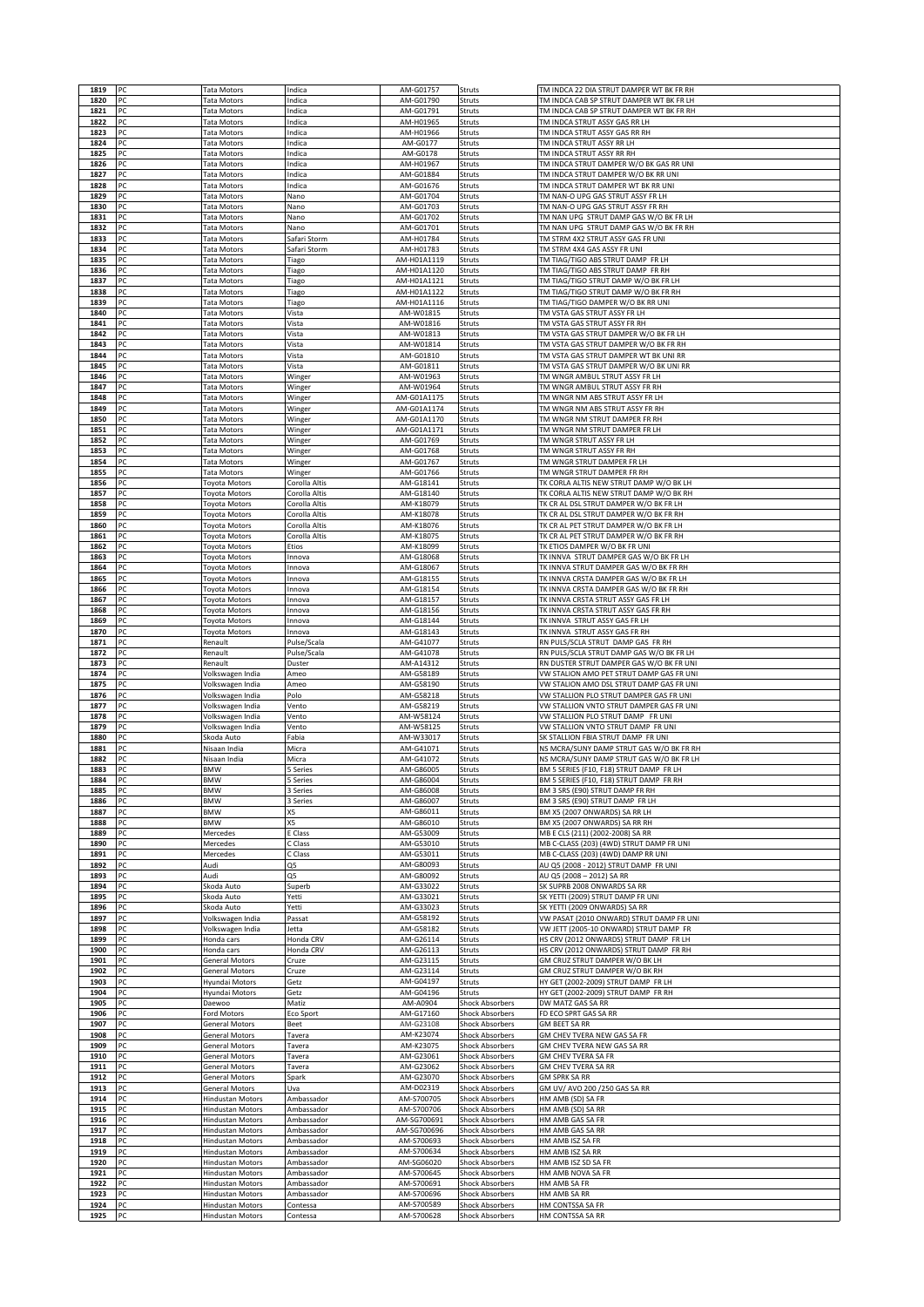|              | PC       | <b>Tata Motors</b>                                 | Indica                         | AM-G01757                  | Struts                                           | TM INDCA 22 DIA STRUT DAMPER WT BK FR RH                                             |
|--------------|----------|----------------------------------------------------|--------------------------------|----------------------------|--------------------------------------------------|--------------------------------------------------------------------------------------|
| 1820         | PC       | <b>Tata Motors</b>                                 | ndica                          | AM-G01790                  | Struts                                           | TM INDCA CAB SP STRUT DAMPER WT BK FR LH                                             |
| 1821         | PC       | Tata Motors                                        | ndica                          | AM-G01791                  | Struts                                           | TM INDCA CAB SP STRUT DAMPER WT BK FR RH                                             |
| 1822         | PC       | Tata Motors                                        | ndica                          | AM-H01965                  | Struts                                           | TM INDCA STRUT ASSY GAS RR LH                                                        |
| 1823         | PC       | Tata Motors                                        | ndica                          | AM-H01966                  | Struts                                           | TM INDCA STRUT ASSY GAS RR RH                                                        |
| 1824         | PC       | <b>Tata Motors</b>                                 | ndica                          | AM-G0177                   | Struts                                           | TM INDCA STRUT ASSY RR LH                                                            |
| 1825<br>1826 | PC<br>PC | <b>Tata Motors</b><br><b>Tata Motors</b>           | ndica<br>ndica                 | AM-G0178<br>AM-H01967      | Struts<br>Struts                                 | TM INDCA STRUT ASSY RR RH<br>TM INDCA STRUT DAMPER W/O BK GAS RR UNI                 |
| 1827         | PC       | <b>Tata Motors</b>                                 | ndica                          | AM-G01884                  | Struts                                           | TM INDCA STRUT DAMPER W/O BK RR UNI                                                  |
| 1828         | PC       | Tata Motors                                        | ndica                          | AM-G01676                  | Struts                                           | TM INDCA STRUT DAMPER WT BK RR UNI                                                   |
| 1829         | PC       | <b>Tata Motors</b>                                 | Nano                           | AM-G01704                  | Struts                                           | TM NAN-O UPG GAS STRUT ASSY FR LH                                                    |
| 1830         | PC       | Tata Motors                                        | Nano                           | AM-G01703                  | Struts                                           | TM NAN-O UPG GAS STRUT ASSY FR RH                                                    |
| 1831         | PC       | <b>Tata Motors</b>                                 | Nano                           | AM-G01702                  | Struts                                           | TM NAN UPG STRUT DAMP GAS W/O BK FR LH                                               |
| 1832         | PC       | <b>Tata Motors</b>                                 | Nano                           | AM-G01701                  | Struts                                           | TM NAN UPG STRUT DAMP GAS W/O BK FR RH                                               |
| 1833         | PC       | Tata Motors                                        | Safari Storm                   | AM-H01784                  | Struts                                           | TM STRM 4X2 STRUT ASSY GAS FR UNI                                                    |
| 1834<br>1835 | PC<br>PC | <b>Tata Motors</b><br>Tata Motors                  | Safari Storm                   | AM-H01783<br>AM-H01A1119   | Struts<br>Struts                                 | TM STRM 4X4 GAS ASSY FR UNI<br>TM TIAG/TIGO ABS STRUT DAMP FR LH                     |
| 1836         | PC       | <b>Tata Motors</b>                                 | Tiago<br>Tiago                 | AM-H01A1120                | Struts                                           | TM TIAG/TIGO ABS STRUT DAMP FR RH                                                    |
| 1837         | PC       | Tata Motors                                        | Tiago                          | AM-H01A1121                | Struts                                           | TM TIAG/TIGO STRUT DAMP W/O BK FR LH                                                 |
| 1838         | PC       | <b>Tata Motors</b>                                 | Tiago                          | AM-H01A1122                | Struts                                           | TM TIAG/TIGO STRUT DAMP W/O BK FR RH                                                 |
| 1839         | PC       | <b>Tata Motors</b>                                 | Tiago                          | AM-H01A1116                | Struts                                           | TM TIAG/TIGO DAMPER W/O BK RR UNI                                                    |
| 1840         | PC       | Tata Motors                                        | Vista                          | AM-W01815                  | Struts                                           | TM VSTA GAS STRUT ASSY FR LH                                                         |
| 1841         | PC       | Tata Motors                                        | Vista                          | AM-W01816                  | Struts                                           | TM VSTA GAS STRUT ASSY FR RH                                                         |
| 1842<br>1843 | PC<br>PC | Tata Motors<br><b>Tata Motors</b>                  | Vista<br>Vista                 | AM-W01813<br>AM-W01814     | Struts<br>Struts                                 | TM VSTA GAS STRUT DAMPER W/O BK FR LH<br>TM VSTA GAS STRUT DAMPER W/O BK FR RH       |
| 1844         | PC       | Tata Motors                                        | Vista                          | AM-G01810                  | Struts                                           | TM VSTA GAS STRUT DAMPER WT BK UNI RR                                                |
| 1845         | PC       | <b>Tata Motors</b>                                 | Vista                          | AM-G01811                  | Struts                                           | TM VSTA GAS STRUT DAMPER W/O BK UNI RR                                               |
| 1846         | PC       | Tata Motors                                        | Winger                         | AM-W01963                  | Struts                                           | TM WNGR AMBUL STRUT ASSY FR LH                                                       |
| 1847         | PC       | <b>Tata Motors</b>                                 | Winger                         | AM-W01964                  | Struts                                           | TM WNGR AMBUL STRUT ASSY FR RH                                                       |
| 1848         | PC       | Tata Motors                                        | Winger                         | AM-G01A1175                | Struts                                           | TM WNGR NM ABS STRUT ASSY FR LH                                                      |
| 1849         | PC       | Tata Motors                                        | Winger                         | AM-G01A1174                | Struts                                           | TM WNGR NM ABS STRUT ASSY FR RH                                                      |
| 1850         | PC<br>PC | Tata Motors                                        | Winger                         | AM-G01A1170<br>AM-G01A1171 | Struts                                           | TM WNGR NM STRUT DAMPER FR RH<br>TM WNGR NM STRUT DAMPER FR LH                       |
| 1851<br>1852 | PC       | <b>Tata Motors</b><br>Tata Motors                  | Winger<br>Winger               | AM-G01769                  | Struts<br>Struts                                 | TM WNGR STRUT ASSY FR LH                                                             |
| 1853         | PC       | Tata Motors                                        | Winger                         | AM-G01768                  | Struts                                           | TM WNGR STRUT ASSY FR RH                                                             |
| 1854         | PC       | <b>Tata Motors</b>                                 | Winger                         | AM-G01767                  | Struts                                           | TM WNGR STRUT DAMPER FR LH                                                           |
| 1855         | PC       | Tata Motors                                        | Winger                         | AM-G01766                  | Struts                                           | TM WNGR STRUT DAMPER FR RH                                                           |
| 1856         | PC       | Toyota Motors                                      | Corolla Altis                  | AM-G18141                  | Struts                                           | TK CORLA ALTIS NEW STRUT DAMP W/O BK LH                                              |
| 1857         | PC       | Toyota Motors                                      | Corolla Altis                  | AM-G18140                  | Struts                                           | TK CORLA ALTIS NEW STRUT DAMP W/O BK RH                                              |
| 1858         | PC       | Toyota Motors                                      | Corolla Altis                  | AM-K18079                  | Struts                                           | TK CR AL DSL STRUT DAMPER W/O BK FR LH                                               |
| 1859<br>1860 | PC<br>PC | Toyota Motors<br>Toyota Motors                     | Corolla Altis<br>Corolla Altis | AM-K18078<br>AM-K18076     | Struts<br>Struts                                 | TK CR AL DSL STRUT DAMPER W/O BK FR RH<br>TK CR AL PET STRUT DAMPER W/O BK FR LH     |
| 1861         | PC       | <b>Toyota Motors</b>                               | Corolla Altis                  | AM-K18075                  | Struts                                           | TK CR AL PET STRUT DAMPER W/O BK FR RH                                               |
| 1862         | PC       | Toyota Motors                                      | Etios                          | AM-K18099                  | Struts                                           | TK ETIOS DAMPER W/O BK FR UN                                                         |
| 1863         | PC       | Toyota Motors                                      | Innova                         | AM-G18068                  | Struts                                           | TK INNVA STRUT DAMPER GAS W/O BK FR LH                                               |
| 1864         | PC       | Toyota Motors                                      | Innova                         | AM-G18067                  | Struts                                           | TK INNVA STRUT DAMPER GAS W/O BK FR RH                                               |
| 1865         | PC       | Toyota Motors                                      | nnova                          | AM-G18155                  | Struts                                           | TK INNVA CRSTA DAMPER GAS W/O BK FR LH                                               |
| 1866         | PC       | Toyota Motors                                      | Innova                         | AM-G18154                  | Struts                                           | TK INNVA CRSTA DAMPER GAS W/O BK FR RH                                               |
| 1867<br>1868 | PC<br>PC | <b>Toyota Motors</b><br><b>Toyota Motors</b>       | nnova<br>nnova                 | AM-G18157<br>AM-G18156     | Struts<br>Struts                                 | TK INNVA CRSTA STRUT ASSY GAS FR LH<br>TK INNVA CRSTA STRUT ASSY GAS FR RH           |
| 1869         | PC       | Toyota Motors                                      | Innova                         | AM-G18144                  | Struts                                           | TK INNVA STRUT ASSY GAS FR LH                                                        |
| 1870         | PC       | Toyota Motors                                      | Innova                         | AM-G18143                  | Struts                                           | TK INNVA STRUT ASSY GAS FR RH                                                        |
| 1871         | PC       | Renault                                            | Pulse/Scala                    | AM-G41077                  | Struts                                           | RN PULS/SCLA STRUT DAMP GAS FR RH                                                    |
| 1872         | PC       | Renault                                            | Pulse/Scala                    | AM-G41078                  | Struts                                           | RN PULS/SCLA STRUT DAMP GAS W/O BK FR LH                                             |
| 1873         | PC       | Renault                                            | Duster                         | AM-A14312                  | Struts                                           | RN DUSTER STRUT DAMPER GAS W/O BK FR UN                                              |
| 1874         | PC       | Volkswagen India                                   | Ameo                           | AM-G58189                  | Struts                                           | VW STALION AMO PET STRUT DAMP GAS FR UNI                                             |
|              |          |                                                    |                                |                            |                                                  |                                                                                      |
| 1875         | PC       | Volkswagen India                                   | Ameo                           | AM-G58190                  | Struts                                           | VW STALION AMO DSL STRUT DAMP GAS FR UNI                                             |
| 1876<br>1877 | PC<br>PC | Volkswagen India<br>Volkswagen India               | Polo<br>Vento                  | AM-G58218<br>AM-G58219     | Struts<br>Struts                                 | VW STALLION PLO STRUT DAMPER GAS FR UNI<br>VW STALLION VNTO STRUT DAMPER GAS FR UNI  |
| 1878         | PC       | Volkswagen India                                   | Vento                          | AM-W58124                  | Struts                                           | VW STALLION PLO STRUT DAMP FR UNI                                                    |
| 1879         | PC       | Volkswagen India                                   | Vento                          | AM-W58125                  | Struts                                           | VW STALLION VNTO STRUT DAMP FR UNI                                                   |
| 1880         | PC       | Skoda Auto                                         | Fabia                          | AM-W33017                  | Struts                                           | SK STALLION FBIA STRUT DAMP FR UNI                                                   |
| 1881         | PC       | Nisaan India<br>Nisaan India                       | Micra                          | AM-G41071                  | Struts                                           | NS MCRA/SUNY DAMP STRUT GAS W/O BK FR RH<br>NS MCRA/SUNY DAMP STRUT GAS W/O BK FR LH |
| 1882<br>1883 | PC<br>PC | <b>BMW</b>                                         | Micra<br>Series                | AM-G41072<br>AM-G86005     | Struts<br>Struts                                 | BM 5 SERIES (F10, F18) STRUT DAMP FR LH                                              |
| 1884         | PC.      | <b>BMW</b>                                         | b Series                       | AM-G86004                  | Struts                                           | BM 5 SERIES (F10, F18) STRUT DAMP FR RH                                              |
| 1885         | PC       | <b>BMW</b>                                         | 3 Series                       | AM-G86008                  | Struts                                           | BM 3 SRS (E90) STRUT DAMP FR RH                                                      |
| 1886         | PC       | <b>BMW</b>                                         | 3 Series                       | AM-G86007                  | Struts                                           | BM 3 SRS (E90) STRUT DAMP FR LH                                                      |
| 1887         | PC       | <b>BMW</b>                                         | Х5                             | AM-G86011                  | Struts                                           | BM X5 (2007 ONWARDS) SA RR LH                                                        |
| 1888<br>1889 | PC<br>PC | <b>BMW</b><br>Mercedes                             | X5<br>E Class                  | AM-G86010<br>AM-G53009     | Struts<br>Struts                                 | BM X5 (2007 ONWARDS) SA RR RH<br>MB E CLS (211) (2002-2008) SA RR                    |
| 1890         | PC       | Mercedes                                           | C Class                        | AM-G53010                  | Struts                                           | MB C-CLASS (203) (4WD) STRUT DAMP FR UNI                                             |
| 1891         | PC       | Mercedes                                           | C Class                        | AM-G53011                  | Struts                                           | MB C-CLASS (203) (4WD) DAMP RR UNI                                                   |
| 1892         | PC       | Audi                                               | Q5                             | AM-G80093                  | Struts                                           | AU Q5 (2008 - 2012) STRUT DAMP FR UNI                                                |
| 1893         | PC       | Audi                                               | Q5                             | AM-G80092                  | Struts                                           | AU Q5 (2008 - 2012) SA RR                                                            |
| 1894         | PC       | Skoda Auto                                         | Superb                         | AM-G33022                  | Struts                                           | SK SUPRB 2008 ONWARDS SA RR                                                          |
| 1895<br>1896 | PC<br>PC | Skoda Auto<br>Skoda Auto                           | Yetti<br>Yetti                 | AM-G33021<br>AM-G33023     | Struts<br>Struts                                 | SK YETTI (2009) STRUT DAMP FR UNI<br>SK YETTI (2009 ONWARDS) SA RR                   |
| 1897         | PC       | Volkswagen India                                   | Passat                         | AM-G58192                  | Struts                                           | VW PASAT (2010 ONWARD) STRUT DAMP FR UNI                                             |
| 1898         | PC       | Volkswagen India                                   | Jetta                          | AM-G58182                  | Struts                                           | VW JETT (2005-10 ONWARD) STRUT DAMP FR                                               |
| 1899         | PC       | Honda cars                                         | Honda CRV                      | AM-G26114                  | Struts                                           | HS CRV (2012 ONWARDS) STRUT DAMP FR LH                                               |
| 1900         | PC       | Honda cars                                         | Honda CRV                      | AM-G26113                  | Struts                                           | HS CRV (2012 ONWARDS) STRUT DAMP FR RH                                               |
| 1901         | PC       | General Motors                                     | Cruze                          | AM-G23115                  | Struts                                           | GM CRUZ STRUT DAMPER W/O BK LH                                                       |
| 1902         | PC       | General Motors                                     | Cruze                          | AM-G23114                  | Struts                                           | GM CRUZ STRUT DAMPER W/O BK RH                                                       |
| 1903<br>1904 | PC<br>PC | Hyundai Motors<br>Hyundai Motors                   | Getz<br>Getz                   | AM-G04197<br>AM-G04196     | Struts<br>Struts                                 | HY GET (2002-2009) STRUT DAMP FR LH<br>HY GET (2002-2009) STRUT DAMP FR RH           |
| 1905         | PC       | Daewoo                                             | Matiz                          | AM-A0904                   | <b>Shock Absorbers</b>                           | DW MATZ GAS SA RR                                                                    |
| 1906         | PC       | Ford Motors                                        | Eco Sport                      | AM-G17160                  | <b>Shock Absorbers</b>                           | FD ECO SPRT GAS SA RR                                                                |
| 1907         | PC       | General Motors                                     | Beet                           | AM-G23108                  | <b>Shock Absorbers</b>                           | GM BEET SA RR                                                                        |
| 1908         | PC       | <b>General Motors</b>                              | Tavera                         | AM-K23074                  | Shock Absorbers                                  | GM CHEV TVERA NEW GAS SA FR                                                          |
| 1909         | PC       | General Motors                                     | Tavera                         | AM-K23075                  | <b>Shock Absorbers</b>                           | GM CHEV TVERA NEW GAS SA RR                                                          |
| 1910         | PC       | <b>General Motors</b>                              | Tavera                         | AM-G23061                  | <b>Shock Absorbers</b>                           | GM CHEV TVERA SA FR                                                                  |
| 1911<br>1912 | PC<br>PC | <b>General Motors</b><br>General Motors            | Tavera<br>Spark                | AM-G23062<br>AM-G23070     | <b>Shock Absorbers</b><br><b>Shock Absorbers</b> | GM CHEV TVERA SA RR<br>GM SPRK SA RR                                                 |
| 1913         | PC       | General Motors                                     | Uva                            | AM-D02319                  | <b>Shock Absorbers</b>                           | GM UV/ AVO 200 /250 GAS SA RR                                                        |
| 1914         | PC       | Hindustan Motors                                   | Ambassador                     | AM-S700705                 | <b>Shock Absorbers</b>                           | HM AMB (SD) SA FR                                                                    |
| 1915         | PC       | <b>Hindustan Motors</b>                            | Ambassador                     | AM-S700706                 | <b>Shock Absorbers</b>                           | HM AMB (SD) SA RR                                                                    |
| 1916         | PC       | <b>Hindustan Motors</b>                            | Ambassador                     | AM-SG700691                | <b>Shock Absorbers</b>                           | HM AMB GAS SA FR                                                                     |
| 1917         | PC       | <b>Hindustan Motors</b>                            | Ambassador                     | AM-SG700696                | <b>Shock Absorbers</b>                           | HM AMB GAS SA RR                                                                     |
| 1918<br>1919 | PC<br>PC | <b>Hindustan Motors</b><br><b>Hindustan Motors</b> | Ambassador<br>Ambassador       | AM-S700693<br>AM-S700634   | <b>Shock Absorbers</b><br>Shock Absorbers        | HM AMB ISZ SA FR<br>HM AMB ISZ SA RR                                                 |
| 1920         | PC       | <b>Hindustan Motors</b>                            | Ambassador                     | AM-SG06020                 | <b>Shock Absorbers</b>                           | HM AMB ISZ SD SA FR                                                                  |
| 1921         | PC       | <b>Hindustan Motors</b>                            | Ambassador                     | AM-S700645                 | <b>Shock Absorbers</b>                           | HM AMB NOVA SA FR                                                                    |
| 1922         | PC       | <b>Hindustan Motors</b>                            | Ambassador                     | AM-S700691                 | <b>Shock Absorbers</b>                           | HM AMB SA FR                                                                         |
| 1923         | PC       | <b>Hindustan Motors</b>                            | Ambassador                     | AM-S700696                 | <b>Shock Absorbers</b>                           | HM AMB SA RR                                                                         |
| 1924<br>1925 | PC<br>PC | <b>Hindustan Motors</b><br><b>Hindustan Motors</b> | Contessa<br>Contessa           | AM-S700589<br>AM-S700628   | <b>Shock Absorbers</b><br><b>Shock Absorbers</b> | HM CONTSSA SA FR<br>HM CONTSSA SA RR                                                 |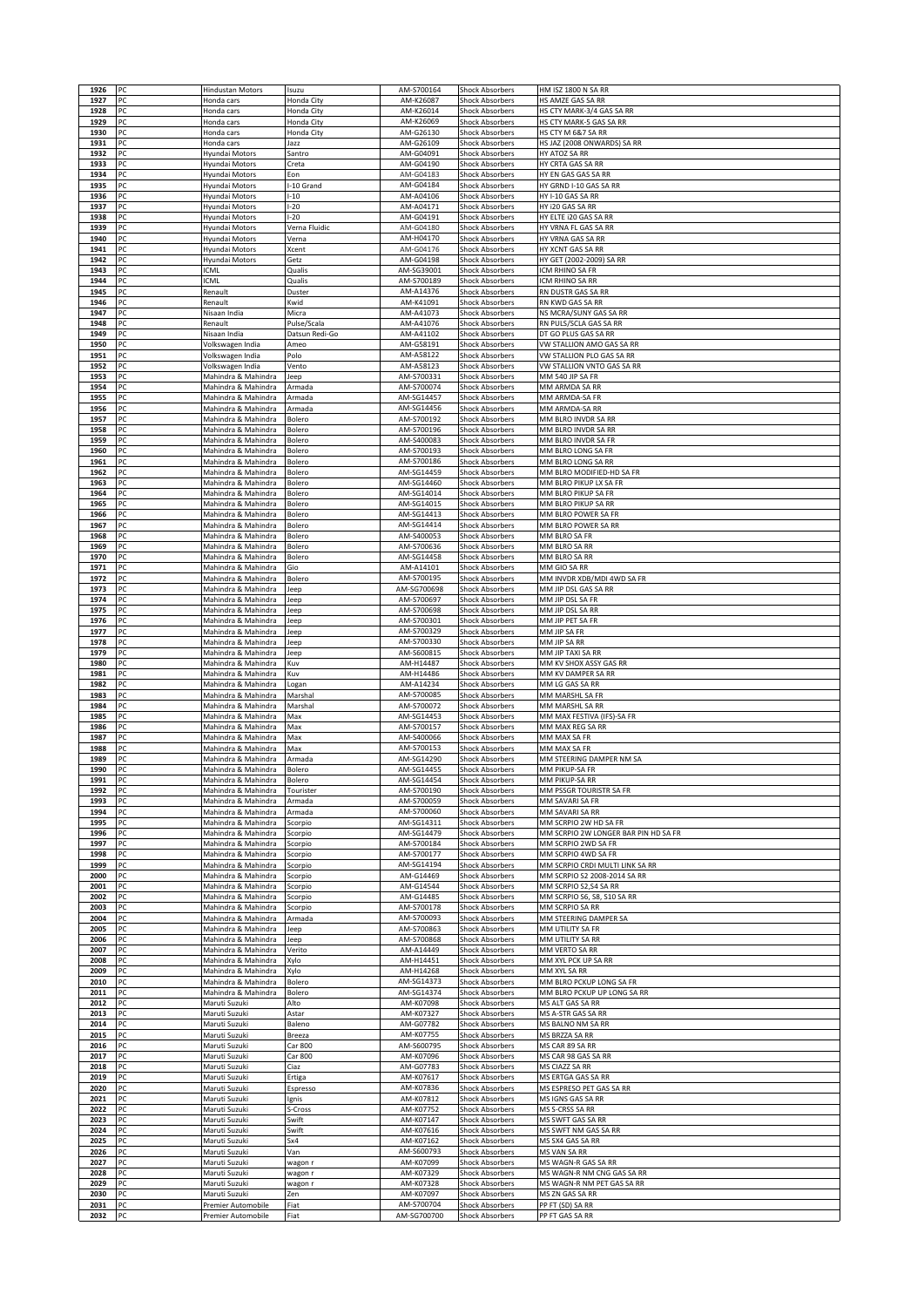| 1927         | PC       | <b>Hindustan Motors</b>                    | Isuzu            | AM-S700164                | <b>Shock Absorbers</b>                           | HM ISZ 1800 N SA RR                                     |
|--------------|----------|--------------------------------------------|------------------|---------------------------|--------------------------------------------------|---------------------------------------------------------|
|              | PC       | Honda cars                                 | Honda City       | AM-K26087                 | <b>Shock Absorbers</b>                           | HS AMZE GAS SA RR                                       |
| 1928         | PC       | Honda cars                                 | Honda City       | AM-K26014                 | <b>Shock Absorbers</b>                           | HS CTY MARK-3/4 GAS SA RR                               |
| 1929         | PC       | Honda cars                                 | Honda City       | AM-K26069                 | <b>Shock Absorbers</b>                           | HS CTY MARK-5 GAS SA RR                                 |
| 1930         | PC       | Honda cars                                 | Honda City       | AM-G26130                 | <b>Shock Absorbers</b>                           | HS CTY M 6&7 SA RR                                      |
| 1931         | PC       | Honda cars                                 | Jazz             | AM-G26109                 | <b>Shock Absorbers</b>                           | HS JAZ (2008 ONWARDS) SA RR                             |
| 1932         | PC       | Hyundai Motors                             | Santro           | AM-G04091                 | <b>Shock Absorbers</b>                           | HY ATOZ SA RR                                           |
| 1933         | PC       | Hyundai Motors                             | Creta            | AM-G04190                 | Shock Absorbers                                  | HY CRTA GAS SA RR                                       |
| 1934         | PC       | <b>Hyundai Motors</b>                      | Eon              | AM-G04183                 | <b>Shock Absorbers</b>                           | HY EN GAS GAS SA RR                                     |
| 1935         | PC       | Hyundai Motors                             | -10 Grand        | AM-G04184                 | <b>Shock Absorbers</b>                           | HY GRND I-10 GAS SA RR                                  |
| 1936         | PC       | Hyundai Motors                             | $-10$            | AM-A04106                 | <b>Shock Absorbers</b>                           | HY I-10 GAS SA RR                                       |
| 1937         | PC       | Hyundai Motors                             | $-20$            | AM-A04171                 | <b>Shock Absorbers</b>                           | HY i20 GAS SA RR                                        |
| 1938         | PC       | Hyundai Motors                             | $-20$            | AM-G04191                 | <b>Shock Absorbers</b>                           | HY ELTE i20 GAS SA RR                                   |
| 1939         | PC       | Hyundai Motors                             | Verna Fluidic    | AM-G04180                 | <b>Shock Absorbers</b>                           | HY VRNA FL GAS SA RR                                    |
| 1940         | PC       | Hyundai Motors                             | Verna            | AM-H04170                 | Shock Absorbers                                  | HY VRNA GAS SA RR                                       |
| 1941         | PC       | Hyundai Motors                             | Xcent            | AM-G04176                 | Shock Absorbers                                  | HY XCNT GAS SA RR                                       |
| 1942         | PC       | Hyundai Motors                             | Getz             | AM-G04198                 | <b>Shock Absorbers</b>                           | HY GET (2002-2009) SA RR                                |
| 1943         | PC       | ICML                                       | Qualis           | AM-SG39001                | <b>Shock Absorbers</b>                           | ICM RHINO SA FR                                         |
| 1944         | PC       | <b>ICML</b>                                | Qualis           | AM-S700189                | <b>Shock Absorbers</b>                           | ICM RHINO SA RR                                         |
| 1945         | PC       | Renault                                    | Duster           | AM-A14376                 | <b>Shock Absorbers</b>                           | RN DUSTR GAS SA RR                                      |
| 1946         | PC       | Renault                                    | Kwid             | AM-K41091                 | <b>Shock Absorbers</b>                           | RN KWD GAS SA RR                                        |
| 1947         | PC       | Nisaan India                               | Micra            | AM-A41073                 | Shock Absorbers                                  | NS MCRA/SUNY GAS SA RR                                  |
| 1948         | PC       | Renault                                    | Pulse/Scala      | AM-A41076                 | Shock Absorbers                                  | RN PULS/SCLA GAS SA RR                                  |
| 1949         | PC       | Nisaan India                               | Datsun Redi-Go   | AM-A41102                 | <b>Shock Absorbers</b>                           | DT GO PLUS GAS SA RR                                    |
| 1950         | PC       | Volkswagen India                           | Ameo             | AM-G58191                 | <b>Shock Absorbers</b>                           | VW STALLION AMO GAS SA RR                               |
| 1951         | PC       | Volkswagen India                           | Polo             | AM-A58122                 | <b>Shock Absorbers</b>                           | VW STALLION PLO GAS SA RR                               |
| 1952         | PC       | Volkswagen India                           | Vento            | AM-A58123                 | <b>Shock Absorbers</b>                           | VW STALLION VNTO GAS SA RR                              |
| 1953<br>1954 | PC<br>PC | Mahindra & Mahindra<br>Mahindra & Mahindra | Jeep<br>Armada   | AM-S700331<br>AM-S700074  | <b>Shock Absorbers</b>                           | MM 540 JIP SA FR<br>MM ARMDA SA RR                      |
|              |          |                                            |                  | AM-SG14457                | Shock Absorbers                                  |                                                         |
| 1955         | PC<br>PC | Mahindra & Mahindra                        | Armada           |                           | <b>Shock Absorbers</b>                           | MM ARMDA-SA FR                                          |
| 1956<br>1957 | PC       | Mahindra & Mahindra<br>Mahindra & Mahindra | Armada           | AM-SG14456<br>AM-S700192  | <b>Shock Absorbers</b>                           | MM ARMDA-SA RR<br>MM BLRO INVDR SA RR                   |
| 1958         | PC       | Mahindra & Mahindra                        | Bolero<br>Bolero | AM-S700196                | <b>Shock Absorbers</b><br><b>Shock Absorbers</b> | MM BLRO INVDR SA RR                                     |
| 1959         | PC       | Mahindra & Mahindra                        |                  | AM-S400083                | <b>Shock Absorbers</b>                           | MM BLRO INVDR SA FR                                     |
| 1960         | PC       | Mahindra & Mahindra                        | Bolero<br>Bolero | AM-S700193                | <b>Shock Absorbers</b>                           | MM BLRO LONG SA FR                                      |
| 1961         | PC       | Mahindra & Mahindra                        | Bolero           | AM-S700186                | Shock Absorbers                                  | MM BLRO LONG SA RR                                      |
| 1962         | PC       | Mahindra & Mahindra                        | Bolero           | AM-SG14459                | <b>Shock Absorbers</b>                           | MM BLRO MODIFIED-HD SA FR                               |
| 1963         | PC       | Mahindra & Mahindra                        | Bolero           | AM-SG14460                | <b>Shock Absorbers</b>                           | MM BLRO PIKUP LX SA FR                                  |
| 1964         | PC       | Mahindra & Mahindra                        | Bolero           | AM-SG14014                | <b>Shock Absorbers</b>                           | MM BLRO PIKUP SA FR                                     |
| 1965         | PC       | Mahindra & Mahindra                        | Bolero           | AM-SG14015                | <b>Shock Absorbers</b>                           | MM BLRO PIKUP SA RR                                     |
| 1966         | PC       | Mahindra & Mahindra                        | Bolero           | AM-SG14413                | <b>Shock Absorbers</b>                           | MM BLRO POWER SA FR                                     |
| 1967         | PC       | Mahindra & Mahindra                        | Bolero           | AM-SG14414                | <b>Shock Absorbers</b>                           | MM BLRO POWER SA RR                                     |
| 1968         | PC       | Mahindra & Mahindra                        | Bolero           | AM-S400053                | Shock Absorbers                                  | MM BLRO SA FR                                           |
| 1969         | PC       | Mahindra & Mahindra                        | Bolero           | AM-S700636                | <b>Shock Absorbers</b>                           | MM BLRO SA RR                                           |
| 1970         | PC       | Mahindra & Mahindra                        | Bolero           | AM-SG14458                | <b>Shock Absorbers</b>                           | MM BLRO SA RR                                           |
| 1971         | PC       | Mahindra & Mahindra                        | Gio              | AM-A14101                 | <b>Shock Absorbers</b>                           | MM GIO SA RR                                            |
| 1972         | PC       | Mahindra & Mahindra                        | Bolero           | AM-S700195                | <b>Shock Absorbers</b>                           | MM INVDR XDB/MDI 4WD SA FR                              |
| 1973         | PC       | Mahindra & Mahindra                        | Jeep             | AM-SG700698               | <b>Shock Absorbers</b>                           | MM JIP DSL GAS SA RR                                    |
| 1974         | PC       | Mahindra & Mahindra                        | Jeep             | AM-S700697                | <b>Shock Absorbers</b>                           | MM JIP DSL SA FR                                        |
| 1975         | PC       | Mahindra & Mahindra                        | Jeep             | AM-S700698                | <b>Shock Absorbers</b>                           | MM JIP DSL SA RR                                        |
| 1976         | PC       | Mahindra & Mahindra                        | Jeep             | AM-S700301                | <b>Shock Absorbers</b>                           | MM JIP PET SA FR                                        |
| 1977         | PC       | Mahindra & Mahindra                        | Jeep             | AM-S700329                | <b>Shock Absorbers</b>                           | MM JIP SA FR                                            |
| 1978         | PC       | Mahindra & Mahindra                        | Jeep             | AM-S700330                | <b>Shock Absorbers</b>                           | MM JIP SA RR                                            |
| 1979         | PC       | Mahindra & Mahindra                        | Jeep             | AM-S600815                | Shock Absorbers                                  | MM JIP TAXI SA RR                                       |
| 1980         | PC       | Mahindra & Mahindra                        | Kuv              | AM-H14487                 | <b>Shock Absorbers</b>                           | MM KV SHOX ASSY GAS RR                                  |
| 1981         | PC       | Mahindra & Mahindra                        | Kuv              | AM-H14486                 | <b>Shock Absorbers</b>                           | MM KV DAMPER SA RR                                      |
| 1982         | PC       | Mahindra & Mahindra                        | Logan            | AM-A14234                 | <b>Shock Absorbers</b>                           | MM LG GAS SA RR                                         |
| 1983         | PC       | Mahindra & Mahindra                        | Marshal          | AM-S700085                | <b>Shock Absorbers</b>                           | MM MARSHL SA FR                                         |
|              |          |                                            |                  |                           |                                                  |                                                         |
|              |          |                                            |                  |                           |                                                  |                                                         |
| 1984<br>1985 | PC<br>PC | Mahindra & Mahindra<br>Mahindra & Mahindra | Marshal<br>Max   | AM-S700072<br>AM-SG14453  | <b>Shock Absorbers</b><br><b>Shock Absorbers</b> | MM MARSHL SA RR<br>MM MAX FESTIVA (IFS)-SA FR           |
| 1986         | PC       | Mahindra & Mahindra                        | Max              | AM-S700157                | <b>Shock Absorbers</b>                           | MM MAX REG SA RR                                        |
| 1987         | PC       |                                            |                  | AM-S400066                |                                                  | MM MAX SA FR                                            |
| 1988         | PC       | Mahindra & Mahindra<br>Mahindra & Mahindra | Max<br>Max       | AM-S700153                | Shock Absorbers<br><b>Shock Absorbers</b>        | MM MAX SA FR                                            |
| 1989         | PC       | Mahindra & Mahindra                        | Armada           | AM-SG14290                | Shock Absorbers                                  | MM STEERING DAMPER NM SA                                |
| 1990         | PC       | Mahindra & Mahindra                        | Bolero           | AM-SG14455                | <b>Shock Absorbers</b>                           | MM PIKUP-SA FR                                          |
| 1991         |          | Mahindra & Mahindra                        | Bolero           | AM-SG14454                | <b>Shock Absorbers</b>                           | MM PIKUP-SA RR                                          |
| 1992         | PC       | Mahindra & Mahindra                        | Tourister        | AM-S700190                | <b>Shock Absorbers</b>                           | MM PSSGR TOURISTR SA FR                                 |
| 1993         | PC       | Mahindra & Mahindra                        | Armada           | AM-S700059                | <b>Shock Absorbers</b>                           | MM SAVARI SA FR                                         |
| 1994         | PC       | Mahindra & Mahindra                        | Armada           | AM-S700060                | <b>Shock Absorbers</b>                           | MM SAVARI SA RR                                         |
| 1995         | PC       | Mahindra & Mahindra                        | Scorpio          | AM-SG14311                | <b>Shock Absorbers</b>                           | MM SCRPIO 2W HD SA FR                                   |
| 1996         | PC       | Mahindra & Mahindra                        | Scorpio          | AM-SG14479                | <b>Shock Absorbers</b>                           | MM SCRPIO 2W LONGER BAR PIN HD SA FR                    |
| 1997         | PC       | Mahindra & Mahindra                        | Scorpio          | AM-S700184                | Shock Absorbers                                  | MM SCRPIO 2WD SA FR                                     |
| 1998         | PC       | Mahindra & Mahindra                        | Scorpio          | AM-S700177                | <b>Shock Absorbers</b>                           | MM SCRPIO 4WD SA FR                                     |
| 1999         | PC       | Mahindra & Mahindra                        | Scorpio          | AM-SG14194                | <b>Shock Absorbers</b>                           | MM SCRPIO CRDI MULTI LINK SA RR                         |
| 2000         | PC       | Mahindra & Mahindra                        | Scorpio          | AM-G14469                 | <b>Shock Absorbers</b>                           | MM SCRPIO S2 2008-2014 SA RR                            |
| 2001         | PC       | Mahindra & Mahindra                        | Scorpio          | AM-G14544                 | <b>Shock Absorbers</b>                           | MM SCRPIO S2,S4 SA RR                                   |
| 2002         | PC       | Mahindra & Mahindra                        | Scorpio          | AM-G14485                 | <b>Shock Absorbers</b>                           | MM SCRPIO S6, S8, S10 SA RR                             |
| 2003         | PC       | Mahindra & Mahindra                        | Scorpio          | AM-S700178                | <b>Shock Absorbers</b>                           | MM SCRPIO SA RR                                         |
| 2004         | PC       | Mahindra & Mahindra                        | Armada           | AM-S700093                | Shock Absorbers                                  | MM STEERING DAMPER SA                                   |
| 2005         | PC       | Mahindra & Mahindra                        | Jeep             | AM-S700863                | <b>Shock Absorbers</b>                           | MM UTILITY SA FR                                        |
| 2006         | PC       | Mahindra & Mahindra                        | Jeep             | AM-S700868                | <b>Shock Absorbers</b>                           | MM UTILITY SA RR                                        |
| 2007         | PC       | Mahindra & Mahindra                        | Verito           | AM-A14449                 | <b>Shock Absorbers</b>                           | MM VERTO SA RR                                          |
| 2008         | PC       | Mahindra & Mahindra                        | Xylo             | AM-H14451                 | <b>Shock Absorbers</b>                           | MM XYL PCK UP SA RR                                     |
| 2009         | PC       | Mahindra & Mahindra                        | Xylo             | AM-H14268                 | <b>Shock Absorbers</b>                           | MM XYL SA RR                                            |
| 2010<br>2011 | PC<br>PC | Mahindra & Mahindra<br>Mahindra & Mahindra | Bolero<br>Bolero | AM-SG14373<br>AM-SG14374  | <b>Shock Absorbers</b><br><b>Shock Absorbers</b> | MM BLRO PCKUP LONG SA FR<br>MM BLRO PCKUP UP LONG SA RR |
| 2012         | PC       | Maruti Suzuki                              |                  | AM-K07098                 | <b>Shock Absorbers</b>                           | MS ALT GAS SA RR                                        |
| 2013         | PC       | Maruti Suzuki                              | Alto<br>Astar    | AM-K07327                 | <b>Shock Absorbers</b>                           | MS A-STR GAS SA RR                                      |
| 2014         | PC       |                                            |                  | AM-G07782                 |                                                  |                                                         |
| 2015         | PC       | Maruti Suzuki<br>Maruti Suzuki             | Baleno<br>Breeza | AM-K07755                 | <b>Shock Absorbers</b><br><b>Shock Absorbers</b> | MS BALNO NM SA RR<br>MS BRZZA SA RR                     |
| 2016         | PC       | Maruti Suzuki                              | Car 800          | AM-S600795                | <b>Shock Absorbers</b>                           | MS CAR 89 SA RR                                         |
| 2017         | PC       | Maruti Suzuki                              | Car 800          | AM-K07096                 | <b>Shock Absorbers</b>                           | MS CAR 98 GAS SA RR                                     |
| 2018         | PC       | Maruti Suzuki                              | Ciaz             | AM-G07783                 | Shock Absorbers                                  | MS CIAZZ SA RR                                          |
| 2019         |          | Maruti Suzuki                              |                  | AM-K07617                 | Shock Absorbers                                  | MS ERTGA GAS SA RR                                      |
| 2020         | PC<br>PC | Maruti Suzuki                              | Ertiga           | AM-K07836                 | <b>Shock Absorbers</b>                           | MS ESPRESO PET GAS SA RR                                |
| 2021         | PC       |                                            | Espresso         | AM-K07812                 |                                                  |                                                         |
| 2022         | PC       | Maruti Suzuki<br>Maruti Suzuki             | Ignis<br>S-Cross | AM-K07752                 | <b>Shock Absorbers</b><br><b>Shock Absorbers</b> | MS IGNS GAS SA RR<br>MS S-CRSS SA RR                    |
| 2023         | PC       | Maruti Suzuki                              | Swift            | AM-K07147                 | <b>Shock Absorbers</b>                           | MS SWFT GAS SA RR                                       |
| 2024         | PC       | Maruti Suzuki                              | Swift            | AM-K07616                 | <b>Shock Absorbers</b>                           | MS SWFT NM GAS SA RR                                    |
| 2025         | PC       | Maruti Suzuki                              | Sx4              | AM-K07162                 | Shock Absorbers                                  | MS SX4 GAS SA RR                                        |
| 2026         | PC       | Maruti Suzuki                              | Van              | AM-S600793                | <b>Shock Absorbers</b>                           | MS VAN SA RR                                            |
| 2027         | PC       | Maruti Suzuki                              | wagon r          | AM-K07099                 | <b>Shock Absorbers</b>                           | MS WAGN-R GAS SA RR                                     |
| 2028         | PC       | Maruti Suzuki                              | wagon r          | AM-K07329                 | <b>Shock Absorbers</b>                           | MS WAGN-R NM CNG GAS SA RR                              |
| 2029         | PC       | Maruti Suzuki                              | wagon r          | AM-K07328                 | <b>Shock Absorbers</b>                           | MS WAGN-R NM PET GAS SA RR                              |
| 2030         | PC       | Maruti Suzuki                              | Zen              | AM-K07097                 | Shock Absorbers                                  | MS ZN GAS SA RR                                         |
| 2031<br>2032 | PC<br>PC | Premier Automobile                         | Fiat<br>Fiat     | AM-S700704<br>AM-SG700700 | <b>Shock Absorbers</b>                           | PP FT (SD) SA RR<br>PP FT GAS SA RR                     |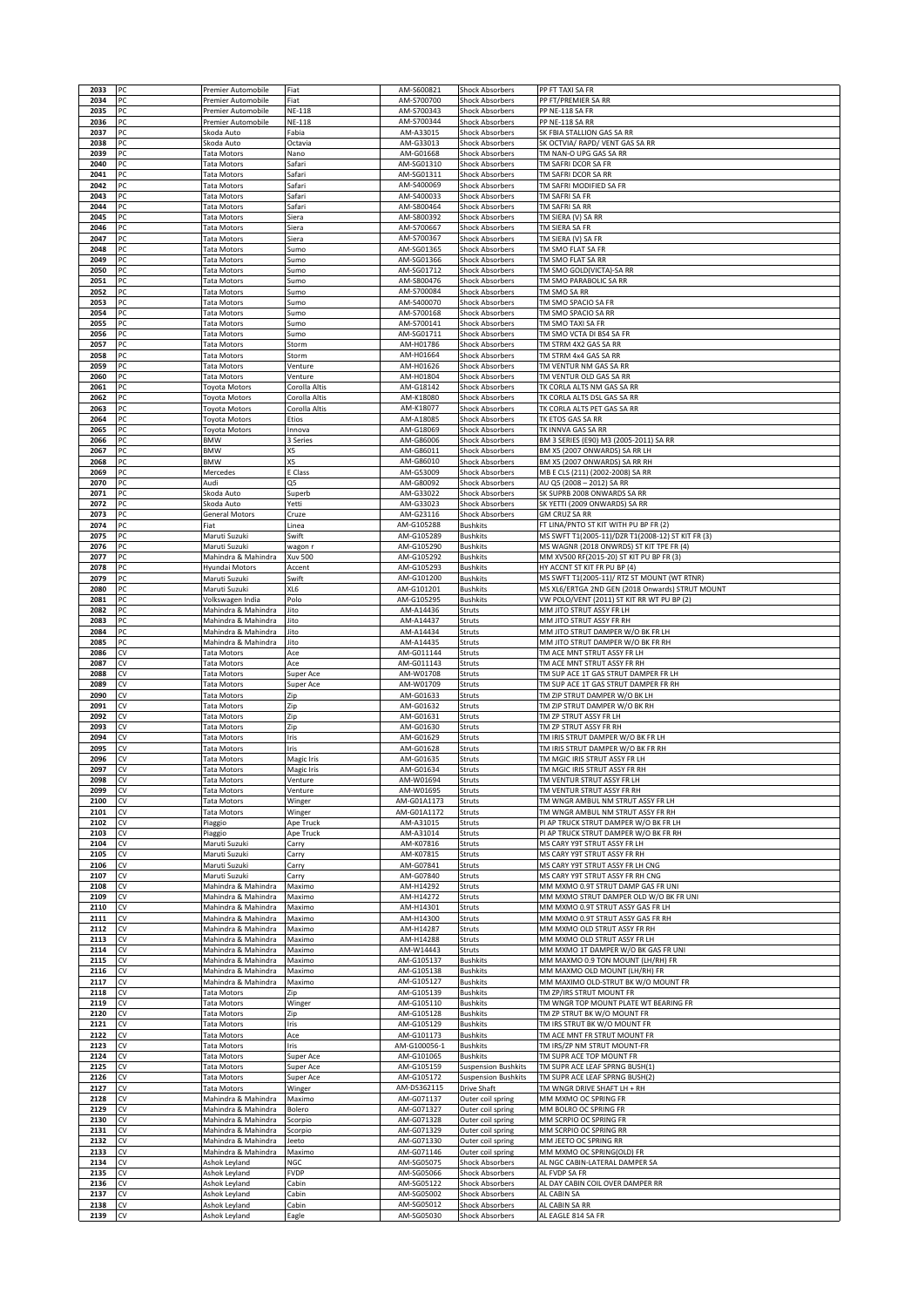| 2033         | PC       | Premier Automobile                         | Fiat               | AM-S600821                | <b>Shock Absorbers</b>                           | PP FT TAXI SA FR                                                                               |
|--------------|----------|--------------------------------------------|--------------------|---------------------------|--------------------------------------------------|------------------------------------------------------------------------------------------------|
| 2034         | PC       | Premier Automobile                         | Fiat               | AM-S700700                | <b>Shock Absorbers</b>                           | PP FT/PREMIER SA RR                                                                            |
| 2035         | PC       | Premier Automobile                         | <b>NE-118</b>      | AM-S700343                | <b>Shock Absorbers</b>                           | PP NE-118 SA FR                                                                                |
| 2036         | PC       | Premier Automobile                         | <b>NE-118</b>      | AM-S700344                | <b>Shock Absorbers</b>                           | PP NE-118 SA RR                                                                                |
| 2037         | PC       | Skoda Auto                                 | Fabia              | AM-A33015                 | <b>Shock Absorbers</b>                           | SK FBIA STALLION GAS SA RR                                                                     |
| 2038         | PC       | Skoda Auto                                 | Octavia            | AM-G33013                 | <b>Shock Absorbers</b>                           | SK OCTVIA/ RAPD/ VENT GAS SA RR                                                                |
| 2039         | PC       | Tata Motors                                | Nano               | AM-G01668                 | <b>Shock Absorbers</b>                           | TM NAN-O UPG GAS SA RR                                                                         |
| 2040<br>2041 | PC<br>PC | Tata Motors<br>Tata Motors                 | Safari<br>Safari   | AM-SG01310<br>AM-SG01311  | <b>Shock Absorbers</b><br><b>Shock Absorbers</b> | TM SAFRI DCOR SA FR<br>TM SAFRI DCOR SA RR                                                     |
| 2042         | PC       | <b>Tata Motors</b>                         | Safari             | AM-S400069                | <b>Shock Absorbers</b>                           | TM SAFRI MODIFIED SA FR                                                                        |
| 2043         | PC       | <b>Tata Motors</b>                         | Safari             | AM-S400033                | <b>Shock Absorbers</b>                           | TM SAFRI SA FR                                                                                 |
| 2044         | PC       | <b>Tata Motors</b>                         | Safari             | AM-S800464                | <b>Shock Absorbers</b>                           | TM SAFRI SA RR                                                                                 |
| 2045         | PC       | Tata Motors                                | Siera              | AM-S800392                | <b>Shock Absorbers</b>                           | TM SIERA (V) SA RR                                                                             |
| 2046         | PC       | Tata Motors                                | Siera              | AM-S700667                | <b>Shock Absorbers</b>                           | TM SIERA SA FR                                                                                 |
| 2047         | PC       | Tata Motors                                | Siera              | AM-S700367                | Shock Absorbers                                  | TM SIERA (V) SA FR                                                                             |
| 2048         | PC       | <b>Tata Motors</b>                         | Sumo               | AM-SG01365                | Shock Absorbers                                  | TM SMO FLAT SA FR                                                                              |
| 2049         | PC       | Tata Motors                                | Sumo               | AM-SG01366<br>AM-SG01712  | <b>Shock Absorbers</b>                           | TM SMO FLAT SA RR                                                                              |
| 2050<br>2051 | PC<br>PC | <b>Tata Motors</b><br>Tata Motors          | Sumo<br>Sumo       | AM-S800476                | <b>Shock Absorbers</b><br><b>Shock Absorbers</b> | TM SMO GOLD(VICTA)-SA RR<br>TM SMO PARABOLIC SA RR                                             |
| 2052         | PC       | Tata Motors                                | Sumo               | AM-S700084                | <b>Shock Absorbers</b>                           | TM SMO SA RR                                                                                   |
| 2053         | PC       | Tata Motors                                | Sumo               | AM-S400070                | <b>Shock Absorbers</b>                           | TM SMO SPACIO SA FR                                                                            |
| 2054         | PC       | Tata Motors                                | Sumo               | AM-S700168                | Shock Absorbers                                  | TM SMO SPACIO SA RR                                                                            |
| 2055         | PC       | <b>Tata Motors</b>                         | Sumo               | AM-S700141                | Shock Absorbers                                  | TM SMO TAXI SA FR                                                                              |
| 2056         | PC       | Tata Motors                                | Sumo               | AM-SG01711                | <b>Shock Absorbers</b>                           | TM SMO VCTA DI BS4 SA FR                                                                       |
| 2057         | PC       | Tata Motors                                | Storm              | AM-H01786                 | <b>Shock Absorbers</b>                           | TM STRM 4X2 GAS SA RR                                                                          |
| 2058         | PC       | Tata Motors                                | Storm              | AM-H01664                 | <b>Shock Absorbers</b>                           | TM STRM 4x4 GAS SA RR                                                                          |
| 2059<br>2060 | PC<br>PC | Tata Motors<br>Tata Motors                 | Venture<br>Venture | AM-H01626<br>AM-H01804    | <b>Shock Absorbers</b><br><b>Shock Absorbers</b> | TM VENTUR NM GAS SA RR<br>TM VENTUR OLD GAS SA RR                                              |
| 2061         | PC       | <b>Toyota Motors</b>                       | Corolla Altis      | AM-G18142                 | <b>Shock Absorbers</b>                           | TK CORLA ALTS NM GAS SA RR                                                                     |
| 2062         | PC       | Toyota Motors                              | Corolla Altis      | AM-K18080                 | <b>Shock Absorbers</b>                           | TK CORLA ALTS DSL GAS SA RR                                                                    |
| 2063         | PC       | Toyota Motors                              | Corolla Altis      | AM-K18077                 | <b>Shock Absorbers</b>                           | TK CORLA ALTS PET GAS SA RR                                                                    |
| 2064         | PC       | Toyota Motors                              | Etios              | AM-A18085                 | <b>Shock Absorbers</b>                           | TK ETOS GAS SA RR                                                                              |
| 2065         | PC       | <b>Toyota Motors</b>                       | Innova             | AM-G18069                 | <b>Shock Absorbers</b>                           | TK INNVA GAS SA RR                                                                             |
| 2066         | PC       | <b>BMW</b>                                 | 3 Series           | AM-G86006                 | <b>Shock Absorbers</b>                           | BM 3 SERIES (E90) M3 (2005-2011) SA RR                                                         |
| 2067         | PC       | <b>BMW</b>                                 | X5                 | AM-G86011                 | <b>Shock Absorbers</b>                           | BM X5 (2007 ONWARDS) SA RR LH                                                                  |
| 2068         | PC       | <b>BMW</b><br>Mercedes                     | X5                 | AM-G86010                 | Shock Absorbers<br><b>Shock Absorbers</b>        | BM X5 (2007 ONWARDS) SA RR RH                                                                  |
| 2069<br>2070 | PC<br>PC | Audi                                       | E Class<br>Q5      | AM-G53009<br>AM-G80092    | <b>Shock Absorbers</b>                           | MB E CLS (211) (2002-2008) SA RR<br>AU Q5 (2008 - 2012) SA RR                                  |
| 2071         | PC       | Skoda Auto                                 | Superb             | AM-G33022                 | <b>Shock Absorbers</b>                           | SK SUPRB 2008 ONWARDS SA RR                                                                    |
| 2072         | PC       | Skoda Auto                                 | Yetti              | AM-G33023                 | <b>Shock Absorbers</b>                           | SK YETTI (2009 ONWARDS) SA RR                                                                  |
| 2073         | PC       | General Motors                             | Cruze              | AM-G23116                 | <b>Shock Absorbers</b>                           | <b>GM CRUZ SA RR</b>                                                                           |
| 2074         | PC       | Fiat                                       | Linea              | AM-G105288                | <b>Bushkits</b>                                  | FT LINA/PNTO ST KIT WITH PU BP FR (2)                                                          |
| 2075         | PC       | Maruti Suzuki                              | Swift              | AM-G105289                | <b>Bushkits</b>                                  | MS SWFT T1(2005-11)/DZR T1(2008-12) ST KIT FR (3)                                              |
| 2076         | PC       | Maruti Suzuki                              | wagon r            | AM-G105290                | <b>Bushkits</b>                                  | MS WAGNR (2018 ONWRDS) ST KIT TPE FR (4)                                                       |
| 2077         | PC       | Mahindra & Mahindra                        | Xuv 500            | AM-G105292                | <b>Bushkits</b>                                  | MM XV500 RF(2015-20) ST KIT PU BP FR (3)                                                       |
| 2078         | PC       | Hyundai Motors                             | Accent             | AM-G105293                | <b>Bushkits</b>                                  | HY ACCNT ST KIT FR PU BP (4)                                                                   |
| 2079<br>2080 | PC<br>PC | Maruti Suzuki<br>Maruti Suzuki             | Swift<br>XL6       | AM-G101200<br>AM-G101201  | <b>Bushkits</b><br><b>Bushkits</b>               | MS SWFT T1(2005-11)/ RTZ ST MOUNT (WT RTNR)<br>MS XL6/ERTGA 2ND GEN (2018 Onwards) STRUT MOUNT |
| 2081         | PC       | Volkswagen India                           | Polo               | AM-G105295                | <b>Bushkits</b>                                  | VW POLO/VENT (2011) ST KIT RR WT PU BP (2)                                                     |
| 2082         | PC       | Mahindra & Mahindra                        | Jito               | AM-A14436                 | Struts                                           | MM JITO STRUT ASSY FR LH                                                                       |
| 2083         | PC       | Mahindra & Mahindra                        | Jito               | AM-A14437                 | Struts                                           | MM JITO STRUT ASSY FR RH                                                                       |
| 2084         | PC       | Mahindra & Mahindra                        | Jito               | AM-A14434                 | Struts                                           | MM JITO STRUT DAMPER W/O BK FR LH                                                              |
| 2085         | PC       | Mahindra & Mahindra                        | Jito               | AM-A14435                 | Struts                                           | MM JITO STRUT DAMPER W/O BK FR RH                                                              |
| 2086         | CV       | Tata Motors                                | Ace                | AM-G011144                | Struts                                           | TM ACE MNT STRUT ASSY FR LH                                                                    |
| 2087         | CV       | <b>Tata Motors</b>                         | Ace                | AM-G011143                | Struts                                           | TM ACE MNT STRUT ASSY FR RH                                                                    |
| 2088<br>2089 | CV<br>CV | <b>Tata Motors</b><br>Tata Motors          | Super Ace          | AM-W01708<br>AM-W01709    | Struts<br>Struts                                 | TM SUP ACE 1T GAS STRUT DAMPER FR LH<br>TM SUP ACE 1T GAS STRUT DAMPER FR RH                   |
| 2090         | CV       | <b>Tata Motors</b>                         | Super Ace<br>Zip   | AM-G01633                 | Struts                                           | TM ZIP STRUT DAMPER W/O BK LH                                                                  |
| 2091         | CV       | Tata Motors                                | Zip                | AM-G01632                 | Struts                                           | TM ZIP STRUT DAMPER W/O BK RH                                                                  |
| 2092         | CV       | Tata Motors                                | Zip                | AM-G01631                 | Struts                                           | TM ZP STRUT ASSY FR LH                                                                         |
| 2093         | CV       | <b>Tata Motors</b>                         | Zip                | AM-G01630                 | Struts                                           | TM ZP STRUT ASSY FR RH                                                                         |
| 2094         | CV       | <b>Tata Motors</b>                         | Iris               | AM-G01629                 | Struts                                           | TM IRIS STRUT DAMPER W/O BK FR LH                                                              |
| 2095         | CV       | <b>Tata Motors</b>                         | Iris               | AM-G01628                 | Struts                                           | TM IRIS STRUT DAMPER W/O BK FR RH                                                              |
| 2096         | CV       | Tata Motors                                | Magic Iris         | AM-G01635                 | Struts                                           | TM MGIC IRIS STRUT ASSY FR LH                                                                  |
| 2097         | CV       | <b>Tata Motors</b>                         | Magic Iris         | AM-G01634                 | Struts                                           | TM MGIC IRIS STRUT ASSY FR RH                                                                  |
| 2098<br>2099 | CV       | Tata Motors<br><b>Tata Motors</b>          | Venture<br>Venture | AM-W01694<br>AM-W01695    | Struts<br>Struts                                 | TM VENTUR STRUT ASSY FR LH<br>TM VENTUR STRUT ASSY FR RH                                       |
| 2100         | CV       | Tata Motors                                | Winger             | AM-G01A1173               | Struts                                           | TM WNGR AMBUL NM STRUT ASSY FR LH                                                              |
| 2101         | CV       | <b>Tata Motors</b>                         | Winger             | AM-G01A1172               | Struts                                           | TM WNGR AMBUL NM STRUT ASSY FR RH                                                              |
| 2102         | CV       | Piaggio                                    | Ape Truck          | AM-A31015                 | Struts                                           | PI AP TRUCK STRUT DAMPER W/O BK FR LH                                                          |
| 2103         | CV       | Piaggio                                    | Ape Truck          | AM-A31014                 | Struts                                           | PI AP TRUCK STRUT DAMPER W/O BK FR RH                                                          |
| 2104         | CV       | Maruti Suzuki                              | Carry              | AM-K07816                 | Struts                                           | MS CARY Y9T STRUT ASSY FR LH                                                                   |
| 2105         | CV       | Maruti Suzuki                              | Carry              | AM-K07815                 | Struts<br>Struts                                 | MS CARY Y9T STRUT ASSY FR RH                                                                   |
| 2106<br>2107 | CV<br>CV | Maruti Suzuki                              | Carry              | AM-G07841                 |                                                  |                                                                                                |
| 2108         |          |                                            |                    |                           |                                                  | MS CARY Y9T STRUT ASSY FR LH CNG                                                               |
|              |          | Maruti Suzuki                              | Carry              | AM-G07840                 | Struts                                           | MS CARY Y9T STRUT ASSY FR RH CNG                                                               |
| 2109         | CV<br>CV | Mahindra & Mahindra<br>Mahindra & Mahindra | Maximo<br>Maximo   | AM-H14292<br>AM-H14272    | Struts<br>Struts                                 | MM MXMO 0.9T STRUT DAMP GAS FR UNI<br>MM MXMO STRUT DAMPER OLD W/O BK FR UNI                   |
| 2110         | CV       | Mahindra & Mahindra                        | Maximo             | AM-H14301                 | Struts                                           | MM MXMO 0.9T STRUT ASSY GAS FR LH                                                              |
| 2111         | CV       | Mahindra & Mahindra                        | Maximo             | AM-H14300                 | Struts                                           | MM MXMO 0.9T STRUT ASSY GAS FR RH                                                              |
| 2112         | CV       | Mahindra & Mahindra                        | Maximo             | AM-H14287                 | Struts                                           | MM MXMO OLD STRUT ASSY FR RH                                                                   |
| 2113         | CV       | Mahindra & Mahindra                        | Maximo             | AM-H14288                 | Struts                                           | MM MXMO OLD STRUT ASSY FR LH                                                                   |
| 2114         | CV       | Mahindra & Mahindra                        | Maximo             | AM-W14443                 | Struts                                           | MM MXMO 1T DAMPER W/O BK GAS FR UNI                                                            |
| 2115         | CV       | Mahindra & Mahindra                        | Maximo             | AM-G105137                | <b>Bushkits</b>                                  | MM MAXMO 0.9 TON MOUNT (LH/RH) FR                                                              |
| 2116         | CV<br>CV | Mahindra & Mahindra                        | Maximo             | AM-G105138                | <b>Bushkits</b>                                  | MM MAXMO OLD MOUNT (LH/RH) FR                                                                  |
| 2117<br>2118 | CV       | Mahindra & Mahindra<br>Tata Motors         | Maximo<br>Zip      | AM-G105127<br>AM-G105139  | <b>Bushkits</b><br><b>Bushkits</b>               | MM MAXIMO OLD-STRUT BK W/O MOUNT FR<br>TM ZP/IRS STRUT MOUNT FR                                |
| 2119         | CV       | Tata Motors                                | Winger             | AM-G105110                | <b>Bushkits</b>                                  | TM WNGR TOP MOUNT PLATE WT BEARING FR                                                          |
| 2120         | CV       | Tata Motors                                | Zip                | AM-G105128                | <b>Bushkits</b>                                  | TM ZP STRUT BK W/O MOUNT FR                                                                    |
| 2121         | CV       | Tata Motors                                | Iris               | AM-G105129                | <b>Bushkits</b>                                  | TM IRS STRUT BK W/O MOUNT FR                                                                   |
| 2122         | CV       | Tata Motors                                | Ace                | AM-G101173                | <b>Bushkits</b>                                  | TM ACE MNT FR STRUT MOUNT FR                                                                   |
| 2123         | CV       | Tata Motors                                | Iris               | AM-G100056-1              | <b>Bushkits</b>                                  | TM IRS/ZP NM STRUT MOUNT-FR                                                                    |
| 2124         | CV       | <b>Tata Motors</b>                         | Super Ace          | AM-G101065                | <b>Bushkits</b>                                  | TM SUPR ACE TOP MOUNT FR                                                                       |
| 2125         | CV       | <b>Tata Motors</b>                         | Super Ace          | AM-G105159                | Suspension Bushkits                              | TM SUPR ACE LEAF SPRNG BUSH(1)                                                                 |
| 2126         | CV<br>CV | Tata Motors                                | Super Ace          | AM-G105172<br>AM-DS362115 | <b>Suspension Bushkits</b>                       | TM SUPR ACE LEAF SPRNG BUSH(2)                                                                 |
| 2127<br>2128 | CV       | <b>Tata Motors</b><br>Mahindra & Mahindra  | Winger<br>Maximo   | AM-G071137                | Drive Shaft<br>Outer coil spring                 | TM WNGR DRIVE SHAFT LH + RH<br>MM MXMO OC SPRING FR                                            |
| 2129         | CV       | Mahindra & Mahindra                        | Bolero             | AM-G071327                | Outer coil spring                                | MM BOLRO OC SPRING FR                                                                          |
| 2130         | CV       | Mahindra & Mahindra                        | Scorpio            | AM-G071328                | Outer coil spring                                | MM SCRPIO OC SPRING FR                                                                         |
| 2131         | CV       | Mahindra & Mahindra                        | Scorpio            | AM-G071329                | Outer coil spring                                | MM SCRPIO OC SPRING RR                                                                         |
| 2132         | CV       | Mahindra & Mahindra                        | Jeeto              | AM-G071330                | Outer coil spring                                | MM JEETO OC SPRING RR                                                                          |
| 2133         | CV       | Mahindra & Mahindra                        | Maximo             | AM-G071146                | Outer coil spring                                | MM MXMO OC SPRING(OLD) FR                                                                      |
| 2134         | CV       | Ashok Leyland                              | NGC                | AM-SG05075                | <b>Shock Absorbers</b>                           | AL NGC CABIN-LATERAL DAMPER SA                                                                 |
| 2135         | CV       | Ashok Leyland                              | FVDP               | AM-SG05066                | <b>Shock Absorbers</b>                           | AL FVDP SA FR                                                                                  |
| 2136         | CV       | Ashok Leyland                              | Cabin              | AM-SG05122                | <b>Shock Absorbers</b>                           | AL DAY CABIN COIL OVER DAMPER RR                                                               |
| 2137<br>2138 | CV<br>CV | Ashok Leyland<br>Ashok Leyland             | Cabin<br>Cabin     | AM-SG05002<br>AM-SG05012  | <b>Shock Absorbers</b><br><b>Shock Absorbers</b> | AL CABIN SA<br>AL CABIN SA RR                                                                  |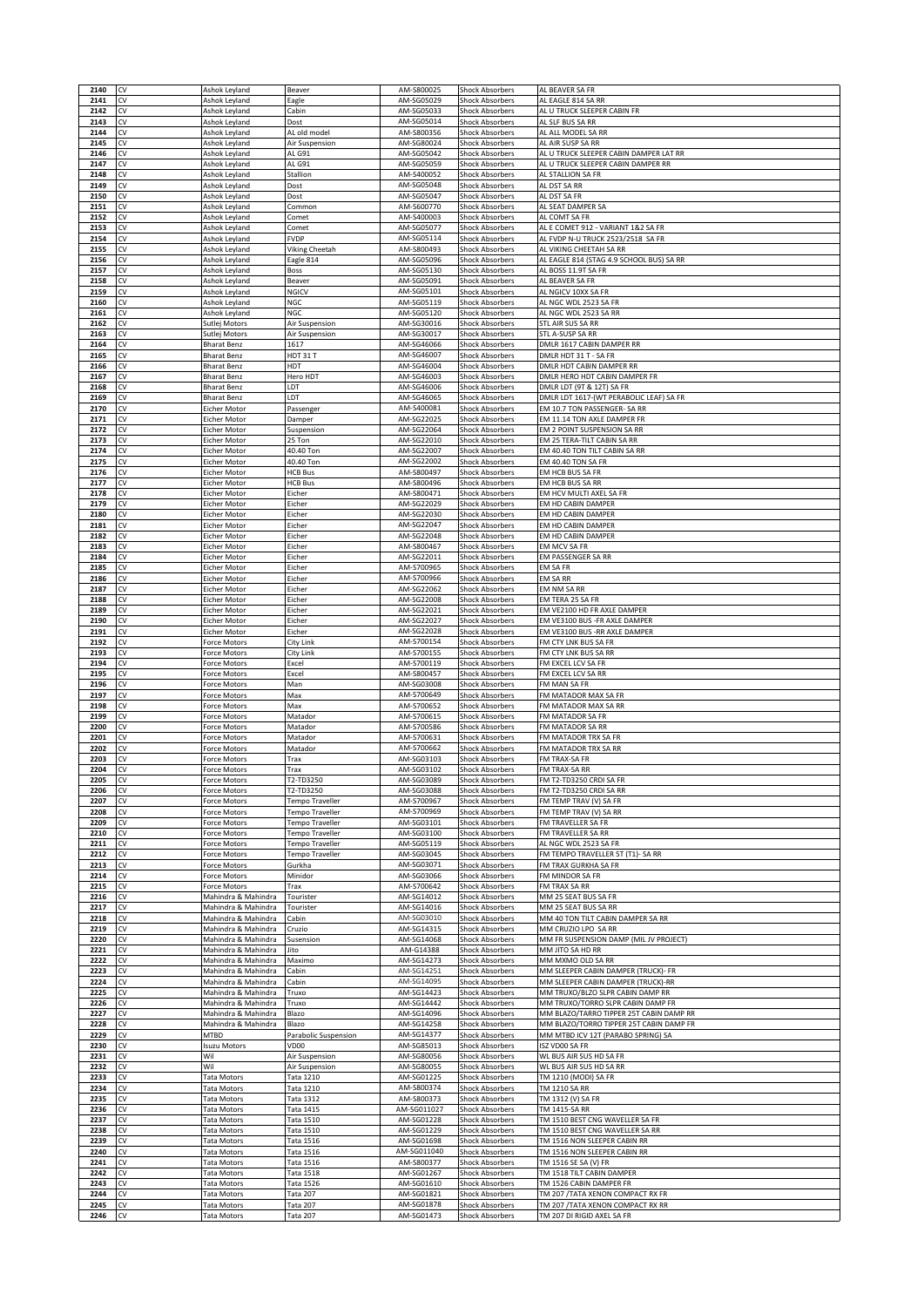| 2140         | CV       | Ashok Leyland                              | Beaver                             | AM-S800025                | <b>Shock Absorbers</b>                           | AL BEAVER SA FR                                                               |
|--------------|----------|--------------------------------------------|------------------------------------|---------------------------|--------------------------------------------------|-------------------------------------------------------------------------------|
| 2141<br>2142 | CV<br>CV | Ashok Leyland<br>Ashok Leyland             | Eagle<br>Cabin                     | AM-SG05029<br>AM-SG05033  | <b>Shock Absorbers</b><br><b>Shock Absorbers</b> | AL EAGLE 814 SA RR<br>AL U TRUCK SLEEPER CABIN FR                             |
| 2143         | CV       | Ashok Leyland                              | Dost                               | AM-SG05014                | <b>Shock Absorbers</b>                           | AL SLF BUS SA RR                                                              |
| 2144         | CV       | Ashok Leyland                              | AL old model                       | AM-S800356                | <b>Shock Absorbers</b>                           | AL ALL MODEL SA RR                                                            |
| 2145<br>2146 | CV<br>CV | Ashok Leyland<br>Ashok Leyland             | Air Suspension<br>AL G91           | AM-SG80024<br>AM-SG05042  | <b>Shock Absorbers</b><br><b>Shock Absorbers</b> | AL AIR SUSP SA RR<br>AL U TRUCK SLEEPER CABIN DAMPER LAT RR                   |
| 2147         | CV       | Ashok Leyland                              | AL G91                             | AM-SG05059                | <b>Shock Absorbers</b>                           | AL U TRUCK SLEEPER CABIN DAMPER RR                                            |
| 2148<br>2149 | CV<br>CV | Ashok Leyland<br>Ashok Leyland             | Stallion<br>Dost                   | AM-S400052<br>AM-SG05048  | <b>Shock Absorbers</b><br><b>Shock Absorbers</b> | AL STALLION SA FR<br>AL DST SA RR                                             |
| 2150         | CV       | Ashok Leyland                              | Dost                               | AM-SG05047                | <b>Shock Absorbers</b>                           | AL DST SA FR                                                                  |
| 2151<br>2152 | CV<br>CV | Ashok Leyland<br>Ashok Leyland             | Common<br>Comet                    | AM-S600770<br>AM-S400003  | <b>Shock Absorbers</b><br><b>Shock Absorbers</b> | AL SEAT DAMPER SA<br>AL COMT SA FR                                            |
| 2153         | CV       | Ashok Leyland                              | Comet                              | AM-SG05077                | <b>Shock Absorbers</b>                           | AL E COMET 912 - VARIANT 1&2 SA FR                                            |
| 2154         | CV       | Ashok Leyland                              | <b>FVDP</b>                        | AM-SG05114                | <b>Shock Absorbers</b>                           | AL FVDP N-U TRUCK 2523/2518 SA FR                                             |
| 2155<br>2156 | CV<br>CV | Ashok Leyland<br>Ashok Leyland             | Viking Cheetah<br>Eagle 814        | AM-S800493<br>AM-SG05096  | <b>Shock Absorbers</b><br><b>Shock Absorbers</b> | AL VIKING CHEETAH SA RR<br>AL EAGLE 814 (STAG 4.9 SCHOOL BUS) SA RR           |
| 2157         | CV       | Ashok Leyland                              | Boss                               | AM-SG05130                | <b>Shock Absorbers</b>                           | AL BOSS 11.9T SA FR                                                           |
| 2158<br>2159 | CV<br>CV | Ashok Leyland<br>Ashok Leyland             | Beaver<br>NGICV                    | AM-SG05091<br>AM-SG05101  | <b>Shock Absorbers</b><br>Shock Absorbers        | AL BEAVER SA FR<br>AL NGICV 10XX SA FR                                        |
| 2160         | CV       | Ashok Leyland                              | NGC                                | AM-SG05119                | <b>Shock Absorbers</b>                           | AL NGC WDL 2523 SA FR                                                         |
| 2161         | CV       | Ashok Leyland                              | NGC                                | AM-SG05120                | <b>Shock Absorbers</b>                           | AL NGC WDL 2523 SA RR                                                         |
| 2162<br>2163 | CV<br>CV | Sutlej Motors<br>Sutlej Motors             | Air Suspension<br>Air Suspension   | AM-SG30016<br>AM-SG30017  | <b>Shock Absorbers</b><br><b>Shock Absorbers</b> | STL AIR SUS SA RR<br>STL A-SUSP SA RR                                         |
| 2164         | CV       | <b>Bharat Benz</b>                         | 1617                               | AM-SG46066                | <b>Shock Absorbers</b>                           | DMLR 1617 CABIN DAMPER RR                                                     |
| 2165<br>2166 | CV<br>CV | <b>Bharat Benz</b><br>Bharat Benz          | HDT 31 T<br>HDT                    | AM-SG46007<br>AM-SG46004  | <b>Shock Absorbers</b><br>Shock Absorbers        | DMLR HDT 31 T - SA FR<br>DMLR HDT CABIN DAMPER RR                             |
| 2167         | CV       | Bharat Benz                                | Hero HDT                           | AM-SG46003                | <b>Shock Absorbers</b>                           | DMLR HERO HDT CABIN DAMPER FR                                                 |
| 2168<br>2169 | CV<br>CV | Bharat Benz<br><b>Bharat Benz</b>          | LDT<br>LDT                         | AM-SG46006<br>AM-SG46065  | <b>Shock Absorbers</b><br><b>Shock Absorbers</b> | DMLR LDT (9T & 12T) SA FR<br>DMLR LDT 1617-(WT PERABOLIC LEAF) SA FR          |
| 2170         | CV       | Eicher Motor                               | Passenger                          | AM-S400081                | <b>Shock Absorbers</b>                           | EM 10.7 TON PASSENGER- SA RR                                                  |
| 2171         | CV       | Eicher Motor                               | Damper                             | AM-SG22025                | <b>Shock Absorbers</b>                           | EM 11.14 TON AXLE DAMPER FR                                                   |
| 2172<br>2173 | CV<br>CV | Eicher Motor<br>Eicher Motor               | Suspension<br>25 Ton               | AM-SG22064<br>AM-SG22010  | <b>Shock Absorbers</b><br><b>Shock Absorbers</b> | EM 2 POINT SUSPENSION SA RR<br>EM 25 TERA-TILT CABIN SA RR                    |
| 2174         | CV       | Eicher Motor                               | 40.40 Ton                          | AM-SG22007                | <b>Shock Absorbers</b>                           | EM 40.40 TON TILT CABIN SA RR                                                 |
| 2175<br>2176 | CV<br>CV | Eicher Motor<br>Eicher Motor               | 40.40 Ton<br><b>HCB Bus</b>        | AM-SG22002<br>AM-S800497  | <b>Shock Absorbers</b><br><b>Shock Absorbers</b> | EM 40.40 TON SA FR<br>EM HCB BUS SA FR                                        |
| 2177         | CV       | Eicher Motor                               | <b>HCB Bus</b>                     | AM-S800496                | <b>Shock Absorbers</b>                           | EM HCB BUS SA RR                                                              |
| 2178         | CV       | Eicher Motor                               | Eicher                             | AM-S800471<br>AM-SG22029  | <b>Shock Absorbers</b>                           | EM HCV MULTI AXEL SA FR<br>EM HD CABIN DAMPER                                 |
| 2179<br>2180 | CV<br>CV | Eicher Motor<br>Eicher Motor               | Eicher<br>Eicher                   | AM-SG22030                | <b>Shock Absorbers</b><br><b>Shock Absorbers</b> | EM HD CABIN DAMPER                                                            |
| 2181         | CV       | Eicher Motor                               | Eicher                             | AM-SG22047                | <b>Shock Absorbers</b>                           | EM HD CABIN DAMPER                                                            |
| 2182<br>2183 | CV<br>CV | Eicher Motor<br>Eicher Motor               | Eicher<br>Eicher                   | AM-SG22048<br>AM-S800467  | <b>Shock Absorbers</b><br><b>Shock Absorbers</b> | EM HD CABIN DAMPER<br>EM MCV SA FR                                            |
| 2184         | CV       | Eicher Motor                               | Eicher                             | AM-SG22011                | <b>Shock Absorbers</b>                           | EM PASSENGER SA RR                                                            |
| 2185<br>2186 | CV<br>CV | Eicher Motor<br>Eicher Motor               | Eicher<br>Eicher                   | AM-S700965<br>AM-S700966  | <b>Shock Absorbers</b><br><b>Shock Absorbers</b> | EM SA FR<br>EM SA RR                                                          |
| 2187         | CV       | Eicher Motor                               | Eicher                             | AM-SG22062                | <b>Shock Absorbers</b>                           | EM NM SA RR                                                                   |
| 2188         | CV       | Eicher Motor                               | Eicher                             | AM-SG22008                | <b>Shock Absorbers</b>                           | EM TERA 25 SA FR                                                              |
| 2189<br>2190 | CV<br>CV | Eicher Motor<br>Eicher Motor               | Eicher<br>Eicher                   | AM-SG22021<br>AM-SG22027  | <b>Shock Absorbers</b><br><b>Shock Absorbers</b> | EM VE2100 HD FR AXLE DAMPER<br>EM VE3100 BUS -FR AXLE DAMPER                  |
| 2191         | CV       | Eicher Motor                               | Eicher                             | AM-SG22028                | <b>Shock Absorbers</b>                           | EM VE3100 BUS - RR AXLE DAMPER                                                |
| 2192<br>2193 | CV<br>CV | orce Motors<br>orce Motors                 | City Link<br>City Link             | AM-S700154<br>AM-S700155  | <b>Shock Absorbers</b><br><b>Shock Absorbers</b> | FM CTY LNK BUS SA FR<br>FM CTY LNK BUS SA RR                                  |
| 2194         | CV       | Force Motors                               | Excel                              | AM-S700119                | <b>Shock Absorbers</b>                           | FM EXCEL LCV SA FR                                                            |
| 2195<br>2196 | CV<br>CV | Force Motors<br>Force Motors               | Excel<br>Man                       | AM-S800457<br>AM-SG03008  | <b>Shock Absorbers</b><br><b>Shock Absorbers</b> | FM EXCEL LCV SA RR<br>FM MAN SA FR                                            |
| 2197         | CV       | orce Motors                                | Max                                | AM-S700649                | Shock Absorbers                                  | FM MATADOR MAX SA FR                                                          |
| 2198         | CV       | orce Motors                                | Max                                | AM-S700652                | <b>Shock Absorbers</b>                           | FM MATADOR MAX SA RR                                                          |
| 2199<br>2200 | CV<br>CV | orce Motors<br>orce Motors                 | Matador<br>Matador                 | AM-S700615<br>AM-S700586  | <b>Shock Absorbers</b><br>Shock Absorbers        | FM MATADOR SA FR<br>FM MATADOR SA RR                                          |
| 2201         | CV       | Force Motors                               | Matador                            | AM-S700631                | <b>Shock Absorbers</b>                           | FM MATADOR TRX SA FR                                                          |
| 2202<br>2203 | CV<br>CV | orce Motors<br>Force Motors                | Matador<br>Trax                    | AM-S700662<br>AM-SG03103  | <b>Shock Absorbers</b><br><b>Shock Absorbers</b> | FM MATADOR TRX SA RR<br>FM TRAX-SA FR                                         |
| 2204         | CV       | Force Motors                               | Trax                               | AM-SG03102                | <b>Shock Absorbers</b>                           | FM TRAX-SA RR                                                                 |
| 2205<br>2206 | CV<br>CV | orce Motors-<br>Force Motors               | r2-TD3250<br>T2-TD3250             | AM-2003089<br>AM-SG03088  | <b>Shock Absorbers</b><br><b>Shock Absorbers</b> | FM T2-TD3250 CRDI SA FR<br>FM T2-TD3250 CRDI SA RR                            |
| 2207         | CV       | orce Motors                                | <b>Tempo Traveller</b>             | AM-S700967                | <b>Shock Absorbers</b>                           | FM TEMP TRAV (V) SA FR                                                        |
| 2208         | CV       | Force Motors                               | Tempo Traveller                    | AM-S700969                | <b>Shock Absorbers</b>                           | FM TEMP TRAV (V) SA RR<br>FM TRAVELLER SA FR                                  |
| 2209<br>2210 | CV<br>CV | Force Motors<br>Force Motors               | Tempo Traveller<br>Tempo Traveller | AM-SG03101<br>AM-SG03100  | <b>Shock Absorbers</b><br><b>Shock Absorbers</b> | FM TRAVELLER SA RR                                                            |
| 2211         | CV       | orce Motors                                | Fempo Traveller                    | AM-SG05119                | <b>Shock Absorbers</b>                           | AL NGC WDL 2523 SA FR                                                         |
| 2212<br>2213 | CV<br>CV | Force Motors<br>Force Motors               | Tempo Traveller<br>Gurkha          | AM-SG03045<br>AM-SG03071  | <b>Shock Absorbers</b><br><b>Shock Absorbers</b> | FM TEMPO TRAVELLER 5T (T1)- SA RR<br>FM TRAX GURKHA SA FR                     |
| 2214         | CV       | Force Motors                               | Minidor                            | AM-SG03066                | <b>Shock Absorbers</b>                           | FM MINDOR SA FR                                                               |
| 2215<br>2216 | CV<br>CV | Force Motors<br>Mahindra & Mahindra        | Trax<br>Tourister                  | AM-S700642<br>AM-SG14012  | Shock Absorbers<br><b>Shock Absorbers</b>        | FM TRAX SA RR<br>MM 25 SEAT BUS SA FR                                         |
| 2217         | CV       | Mahindra & Mahindra                        | Tourister                          | AM-SG14016                | <b>Shock Absorbers</b>                           | MM 25 SEAT BUS SA RR                                                          |
| 2218<br>2219 | CV<br>CV | Mahindra & Mahindra<br>Mahindra & Mahindra | Cabin<br>Cruzio                    | AM-SG03010<br>AM-SG14315  | <b>Shock Absorbers</b><br><b>Shock Absorbers</b> | MM 40 TON TILT CABIN DAMPER SA RR<br>MM CRUZIO LPO SA RR                      |
| 2220         | CV       | Mahindra & Mahindra                        | Susension                          | AM-SG14068                | <b>Shock Absorbers</b>                           | MM FR SUSPENSION DAMP (MIL JV PROJECT)                                        |
| 2221         | CV       | Mahindra & Mahindra                        | Jito                               | AM-G14388                 | <b>Shock Absorbers</b>                           | MM JITO SA HD RR                                                              |
| 2222<br>2223 | CV<br>CV | Mahindra & Mahindra<br>Mahindra & Mahindra | Maximo<br>Cabin                    | AM-SG14273<br>AM-SG14251  | <b>Shock Absorbers</b><br>Shock Absorbers        | MM MXMO OLD SA RR<br>MM SLEEPER CABIN DAMPER (TRUCK)- FR                      |
| 2224         | CV       | Mahindra & Mahindra                        | Cabin                              | AM-SG14095                | <b>Shock Absorbers</b>                           | MM SLEEPER CABIN DAMPER (TRUCK)-RR                                            |
| 2225<br>2226 | CV<br>CV | Mahindra & Mahindra<br>Mahindra & Mahindra | Truxo<br>Truxo                     | AM-SG14423<br>AM-SG14442  | <b>Shock Absorbers</b><br><b>Shock Absorbers</b> | MM TRUXO/BLZO SLPR CABIN DAMP RR<br>MM TRUXO/TORRO SLPR CABIN DAMP FR         |
| 2227         | CV       | Mahindra & Mahindra                        | Blazo                              | AM-SG14096                | <b>Shock Absorbers</b>                           | MM BLAZO/TARRO TIPPER 25T CABIN DAMP RR                                       |
| 2228<br>2229 | CV<br>CV | Mahindra & Mahindra<br><b>MTBD</b>         | Blazo<br>Parabolic Suspension      | AM-SG14258<br>AM-SG14377  | <b>Shock Absorbers</b><br><b>Shock Absorbers</b> | MM BLAZO/TORRO TIPPER 25T CABIN DAMP FR<br>MM MTBD ICV 12T (PARABO SPRING) SA |
| 2230         | CV       | Isuzu Motors                               | VD00                               | AM-SG85013                | <b>Shock Absorbers</b>                           | ISZ VD00 SA FR                                                                |
| 2231         | CV       | Wil                                        | Air Suspension                     | AM-SG80056                | <b>Shock Absorbers</b>                           | WL BUS AIR SUS HD SA FR                                                       |
| 2232<br>2233 | CV<br>CV | Wil<br>Tata Motors                         | Air Suspension<br>Tata 1210        | AM-SG80055<br>AM-SG01225  | <b>Shock Absorbers</b><br><b>Shock Absorbers</b> | WL BUS AIR SUS HD SA RR<br>TM 1210 (MODI) SA FR                               |
| 2234         | CV       | <b>Tata Motors</b>                         | Fata 1210                          | AM-S800374                | <b>Shock Absorbers</b>                           | TM 1210 SA RR                                                                 |
| 2235<br>2236 | CV<br>CV | <b>Tata Motors</b><br>ata Motors           | Tata 1312<br>Fata 1415             | AM-S800373<br>AM-SG011027 | <b>Shock Absorbers</b><br><b>Shock Absorbers</b> | TM 1312 (V) SA FR<br>TM 1415-SA RR                                            |
| 2237         | CV       | <b>Tata Motors</b>                         | Tata 1510                          | AM-SG01228                | <b>Shock Absorbers</b>                           | TM 1510 BEST CNG WAVELLER SA FR                                               |
| 2238         | CV       | <b>Tata Motors</b>                         | Tata 1510                          | AM-SG01229                | <b>Shock Absorbers</b>                           | TM 1510 BEST CNG WAVELLER SA RR                                               |
| 2239<br>2240 | CV<br>CV | <b>Tata Motors</b><br><b>Tata Motors</b>   | Tata 1516<br>Tata 1516             | AM-SG01698<br>AM-SG011040 | <b>Shock Absorbers</b><br>Shock Absorbers        | TM 1516 NON SLEEPER CABIN RR<br>TM 1516 NON SLEEPER CABIN RR                  |
| 2241         | CV       | <b>Tata Motors</b>                         | Fata 1516                          | AM-S800377                | <b>Shock Absorbers</b>                           | TM 1516 SE SA (V) FR                                                          |
| 2242<br>2243 | CV<br>CV | <b>Tata Motors</b><br><b>Tata Motors</b>   | Tata 1518<br>Tata 1526             | AM-SG01267<br>AM-SG01610  | <b>Shock Absorbers</b><br><b>Shock Absorbers</b> | TM 1518 TILT CABIN DAMPER<br>TM 1526 CABIN DAMPER FR                          |
| 2244         | CV       | <b>Tata Motors</b>                         | Tata 207                           | AM-SG01821                | <b>Shock Absorbers</b>                           | TM 207 /TATA XENON COMPACT RX FR                                              |
|              |          |                                            |                                    |                           |                                                  |                                                                               |
| 2245<br>2246 | CV<br>CV | <b>Tata Motors</b><br><b>Tata Motors</b>   | Tata 207<br>Tata 207               | AM-SG01878<br>AM-SG01473  | <b>Shock Absorbers</b><br><b>Shock Absorbers</b> | TM 207 /TATA XENON COMPACT RX RR<br>TM 207 DI RIGID AXEL SA FR                |